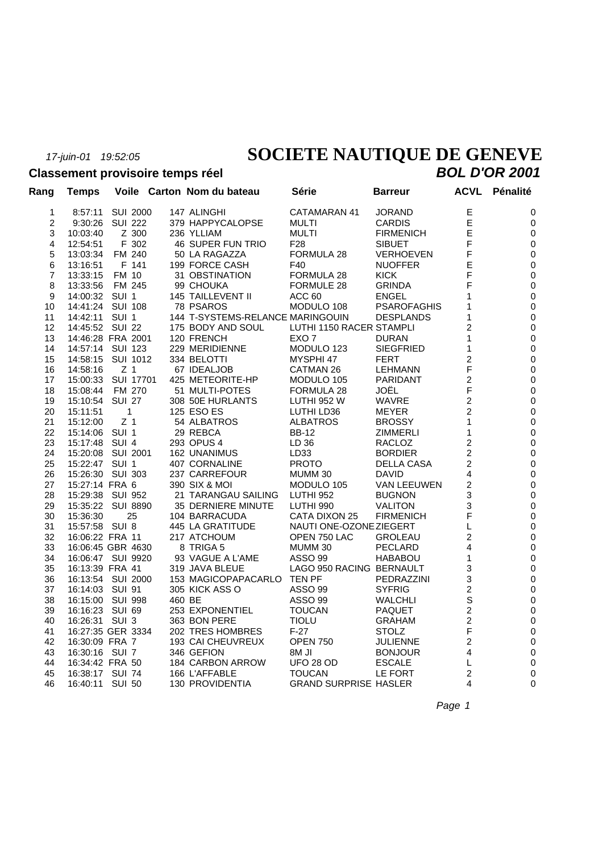# *17-juin-01 19:52:05* **SOCIETE NAUTIQUE DE GENEVE**

#### **Classement provisoire temps réel** *BOL D'OR 2001*

| Rang              | <b>Temps</b>       |                 |       | Voile Carton Nom du bateau       | Série                        | <b>Barreur</b>     | <b>ACVL</b>             | Pénalité         |
|-------------------|--------------------|-----------------|-------|----------------------------------|------------------------------|--------------------|-------------------------|------------------|
| 1                 | 8:57:11            | <b>SUI 2000</b> |       | 147 ALINGHI                      | CATAMARAN 41                 | <b>JORAND</b>      | $\mathsf E$             | 0                |
| $\overline{c}$    | 9:30:26            | <b>SUI 222</b>  |       | 379 HAPPYCALOPSE                 | <b>MULTI</b>                 | <b>CARDIS</b>      | E                       | 0                |
| 3                 | 10:03:40           | Z 300           |       | 236 YLLIAM                       | <b>MULTI</b>                 | <b>FIRMENICH</b>   | E                       | $\pmb{0}$        |
| 4                 | 12:54:51           |                 | F 302 | 46 SUPER FUN TRIO                | F <sub>28</sub>              | <b>SIBUET</b>      | F                       | $\pmb{0}$        |
| 5                 | 13:03:34           | FM 240          |       | 50 LA RAGAZZA                    | FORMULA 28                   | <b>VERHOEVEN</b>   | F                       | $\pmb{0}$        |
| 6                 | 13:16:51           |                 | F 141 | 199 FORCE CASH                   | F40                          | <b>NUOFFER</b>     | E                       | $\pmb{0}$        |
| 7                 | 13:33:15           | FM 10           |       | 31 OBSTINATION                   | FORMULA 28                   | <b>KICK</b>        | F                       | $\pmb{0}$        |
| 8                 | 13:33:56           | FM 245          |       | 99 CHOUKA                        | <b>FORMULE 28</b>            | <b>GRINDA</b>      | F                       | $\pmb{0}$        |
| 9                 | 14:00:32 SUI 1     |                 |       | 145 TAILLEVENT II                | ACC 60                       | <b>ENGEL</b>       | 1                       | $\pmb{0}$        |
| 10                | 14:41:24 SUI 108   |                 |       | 78 PSAROS                        | MODULO 108                   | <b>PSAROFAGHIS</b> | 1                       | $\pmb{0}$        |
| 11                | 14:42:11 SUI 1     |                 |       | 144 T-SYSTEMS-RELANCE MARINGOUIN |                              | <b>DESPLANDS</b>   | 1                       | $\mathbf 0$      |
| $12 \overline{ }$ | 14:45:52 SUI 22    |                 |       | 175 BODY AND SOUL                | LUTHI 1150 RACER STAMPLI     |                    | 2                       | $\pmb{0}$        |
| 13                | 14:46:28 FRA 2001  |                 |       | 120 FRENCH                       | EXO 7                        | <b>DURAN</b>       | 1                       | $\pmb{0}$        |
| 14                | 14:57:14 SUI 123   |                 |       | 229 MERIDIENNE                   | MODULO 123                   | <b>SIEGFRIED</b>   | 1                       | $\pmb{0}$        |
| 15                | 14:58:15 SUI 1012  |                 |       | 334 BELOTTI                      | MYSPHI 47                    | <b>FERT</b>        | 2                       | $\pmb{0}$        |
| 16                | 14:58:16           | Z <sub>1</sub>  |       | 67 IDEALJOB                      | CATMAN 26                    | <b>LEHMANN</b>     | F                       | $\pmb{0}$        |
| 17                | 15:00:33 SUI 17701 |                 |       | 425 METEORITE-HP                 | MODULO 105                   | <b>PARIDANT</b>    | $\overline{c}$          | $\pmb{0}$        |
| 18                | 15:08:44           | FM 270          |       | 51 MULTI-POTES                   | FORMULA 28                   | JOËL               | $\mathsf F$             | $\mathbf 0$      |
| 19                | 15:10:54 SUI 27    |                 |       | 308 50E HURLANTS                 | <b>LUTHI 952 W</b>           | WAVRE              | $\overline{c}$          | $\pmb{0}$        |
| 20                | 15:11:51           | $\mathbf{1}$    |       | 125 ESO ES                       | LUTHI LD36                   | MEYER              | 2                       | $\pmb{0}$        |
| 21                | 15:12:00           | Z <sub>1</sub>  |       | 54 ALBATROS                      | <b>ALBATROS</b>              | <b>BROSSY</b>      | 1                       | $\pmb{0}$        |
| 22                | 15:14:06 SUI 1     |                 |       | 29 REBCA                         | <b>BB-12</b>                 | <b>ZIMMERLI</b>    | 1                       | $\pmb{0}$        |
| 23                | 15:17:48 SUI 4     |                 |       | 293 OPUS 4                       | LD 36                        | RACLOZ             | 2                       | $\pmb{0}$        |
| 24                | 15:20:08 SUI 2001  |                 |       | 162 UNANIMUS                     | LD33                         | <b>BORDIER</b>     | $\overline{2}$          | $\pmb{0}$        |
| 25                | 15:22:47 SUI 1     |                 |       | 407 CORNALINE                    | <b>PROTO</b>                 | <b>DELLA CASA</b>  | $\overline{c}$          | $\pmb{0}$        |
| 26                | 15:26:30 SUI 303   |                 |       | 237 CARREFOUR                    | MUMM 30                      | <b>DAVID</b>       | 4                       | $\pmb{0}$        |
| 27                | 15:27:14 FRA 6     |                 |       | 390 SIX & MOI                    | MODULO 105                   | VAN LEEUWEN        | $\overline{c}$          | $\mathbf 0$      |
| 28                | 15:29:38 SUI 952   |                 |       | 21 TARANGAU SAILING              | <b>LUTHI 952</b>             | <b>BUGNON</b>      | 3                       | $\pmb{0}$        |
| 29                | 15:35:22 SUI 8890  |                 |       | 35 DERNIERE MINUTE               | LUTHI 990                    | <b>VALITON</b>     | 3                       | $\pmb{0}$        |
| 30                | 15:36:30           |                 | 25    | 104 BARRACUDA                    | CATA DIXON 25                | <b>FIRMENICH</b>   | F                       | $\pmb{0}$        |
| 31                | 15:57:58 SUI 8     |                 |       | 445 LA GRATITUDE                 | NAUTI ONE-OZONE ZIEGERT      |                    | L                       | $\pmb{0}$        |
| 32                | 16:06:22 FRA 11    |                 |       | 217 ATCHOUM                      | OPEN 750 LAC                 | <b>GROLEAU</b>     | 2                       | $\pmb{0}$        |
| 33                | 16:06:45 GBR 4630  |                 |       | 8 TRIGA 5                        | MUMM 30                      | PECLARD            | 4                       | $\pmb{0}$        |
| 34                | 16:06:47 SUI 9920  |                 |       | 93 VAGUE A L'AME                 | <b>ASSO 99</b>               | <b>HABABOU</b>     | 1                       | $\pmb{0}$        |
| 35                | 16:13:39 FRA 41    |                 |       | 319 JAVA BLEUE                   | LAGO 950 RACING BERNAULT     |                    | 3                       | $\pmb{0}$        |
| 36                | 16:13:54 SUI 2000  |                 |       | 153 MAGICOPAPACARLO TEN PF       |                              | <b>PEDRAZZINI</b>  | 3                       | $\mathbf 0$      |
| 37                | 16:14:03 SUI 91    |                 |       | 305 KICK ASS O                   | ASSO 99                      | <b>SYFRIG</b>      | 2                       | $\pmb{0}$        |
| 38                | 16:15:00 SUI 998   |                 |       | 460 BE                           | ASSO 99                      | <b>WALCHLI</b>     | S                       | $\mathbf 0$      |
| 39                | 16:16:23 SUI 69    |                 |       | 253 EXPONENTIEL                  | <b>TOUCAN</b>                | <b>PAQUET</b>      | $\overline{c}$          | $\pmb{0}$        |
| 40                | 16:26:31 SUI 3     |                 |       | 363 BON PERE                     | <b>TIOLU</b>                 | <b>GRAHAM</b>      | $\overline{\mathbf{c}}$ | $\boldsymbol{0}$ |
| 41                | 16:27:35 GER 3334  |                 |       | 202 TRES HOMBRES                 | $F-27$                       | <b>STOLZ</b>       | F                       | $\pmb{0}$        |
| 42                | 16:30:09 FRA 7     |                 |       | 193 CAI CHEUVREUX                | <b>OPEN 750</b>              | <b>JULIENNE</b>    | 2                       | $\pmb{0}$        |
| 43                | 16:30:16 SUI 7     |                 |       | 346 GEFION                       | 8M JI                        | <b>BONJOUR</b>     | 4                       | $\pmb{0}$        |
| 44                | 16:34:42 FRA 50    |                 |       | 184 CARBON ARROW                 | <b>UFO 28 OD</b>             | <b>ESCALE</b>      | L                       | $\pmb{0}$        |
| 45                | 16:38:17 SUI 74    |                 |       | 166 L'AFFABLE                    | <b>TOUCAN</b>                | LE FORT            | $\overline{2}$          | $\pmb{0}$        |
| 46                | 16:40:11 SUI 50    |                 |       | 130 PROVIDENTIA                  | <b>GRAND SURPRISE HASLER</b> |                    | 4                       | 0                |
|                   |                    |                 |       |                                  |                              |                    |                         |                  |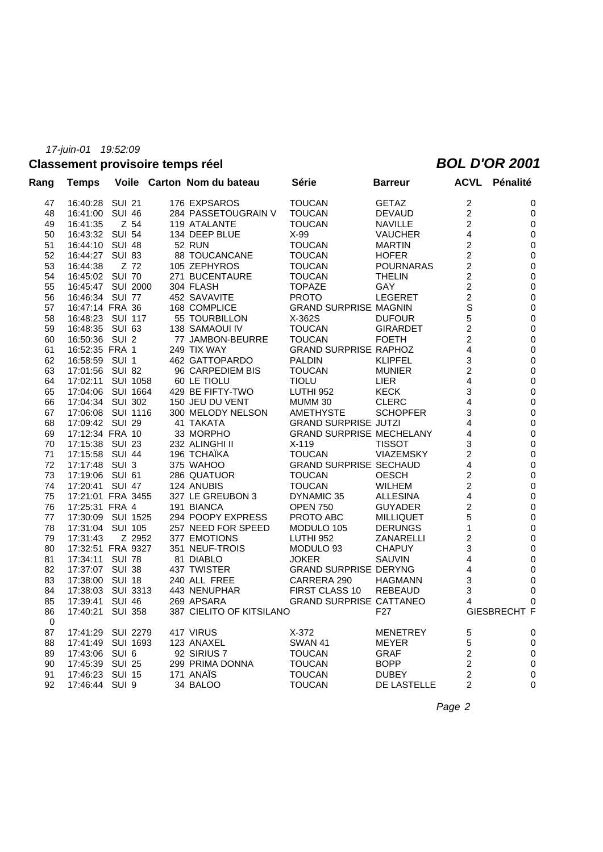### **Classement provisoire temps réel** *BOL D'OR 2001*

| Rang        | <b>Temps</b>      |                  |        | Voile Carton Nom du bateau | Série                           | <b>Barreur</b>   |                         | <b>ACVL Pénalité</b> |
|-------------|-------------------|------------------|--------|----------------------------|---------------------------------|------------------|-------------------------|----------------------|
| 47          | 16:40:28          | SUI 21           |        | 176 EXPSAROS               | <b>TOUCAN</b>                   | <b>GETAZ</b>     | $\overline{\mathbf{c}}$ | 0                    |
| 48          | 16:41:00          | <b>SUI 46</b>    |        | 284 PASSETOUGRAIN V        | <b>TOUCAN</b>                   | <b>DEVAUD</b>    | $\boldsymbol{2}$        | 0                    |
| 49          | 16:41:35          | Z 54             |        | 119 ATALANTE               | <b>TOUCAN</b>                   | <b>NAVILLE</b>   | $\overline{c}$          | $\mathbf 0$          |
| 50          | 16:43:32 SUI 54   |                  |        | 134 DEEP BLUE              | X-99                            | <b>VAUCHER</b>   | 4                       | 0                    |
| 51          | 16:44:10 SUI 48   |                  |        | <b>52 RUN</b>              | <b>TOUCAN</b>                   | <b>MARTIN</b>    | 2                       | $\mathbf 0$          |
| 52          | 16:44:27 SUI 83   |                  |        | 88 TOUCANCANE              | <b>TOUCAN</b>                   | <b>HOFER</b>     | 2                       | 0                    |
| 53          | 16:44:38          | Z 72             |        | 105 ZEPHYROS               | <b>TOUCAN</b>                   | <b>POURNARAS</b> | 2                       | 0                    |
| 54          | 16:45:02 SUI 70   |                  |        | 271 BUCENTAURE             | <b>TOUCAN</b>                   | <b>THELIN</b>    | 2                       | 0                    |
| 55          | 16:45:47 SUI 2000 |                  |        | 304 FLASH                  | <b>TOPAZE</b>                   | GAY              | $\overline{c}$          | $\mathbf 0$          |
| 56          | 16:46:34 SUI 77   |                  |        | 452 SAVAVITE               | <b>PROTO</b>                    | <b>LEGERET</b>   | 2                       | 0                    |
| 57          | 16:47:14 FRA 36   |                  |        | 168 COMPLICE               | <b>GRAND SURPRISE MAGNIN</b>    |                  | S                       | 0                    |
| 58          | 16:48:23 SUI 117  |                  |        | 55 TOURBILLON              | X-362S                          | <b>DUFOUR</b>    | 5                       | $\mathbf 0$          |
| 59          | 16:48:35          | SUI 63           |        | 138 SAMAOUI IV             | <b>TOUCAN</b>                   | <b>GIRARDET</b>  | $\overline{c}$          | 0                    |
| 60          | 16:50:36          | SUI <sub>2</sub> |        | 77 JAMBON-BEURRE           | <b>TOUCAN</b>                   | <b>FOETH</b>     | $\overline{c}$          | 0                    |
| 61          | 16:52:35 FRA 1    |                  |        | 249 TIX WAY                | <b>GRAND SURPRISE RAPHOZ</b>    |                  | 4                       | 0                    |
| 62          | 16:58:59          | SUI 1            |        | 462 GATTOPARDO             | <b>PALDIN</b>                   | <b>KLIPFEL</b>   | 3                       | 0                    |
| 63          | 17:01:56          | SUI 82           |        | 96 CARPEDIEM BIS           | <b>TOUCAN</b>                   | <b>MUNIER</b>    | 2                       | $\mathbf 0$          |
| 64          | 17:02:11          | SUI 1058         |        | 60 LE TIOLU                | <b>TIOLU</b>                    | <b>LIER</b>      | 4                       | 0                    |
| 65          | 17:04:06          | SUI 1664         |        | 429 BE FIFTY-TWO           | <b>LUTHI 952</b>                | <b>KECK</b>      | 3                       | $\mathbf 0$          |
| 66          | 17:04:34          | SUI 302          |        | 150 JEU DU VENT            | MUMM 30                         | <b>CLERC</b>     | 4                       | 0                    |
| 67          | 17:06:08          | SUI 1116         |        | 300 MELODY NELSON          | <b>AMETHYSTE</b>                | <b>SCHOPFER</b>  | 3                       | 0                    |
| 68          | 17:09:42 SUI 29   |                  |        | 41 TAKATA                  | <b>GRAND SURPRISE JUTZI</b>     |                  | 4                       | 0                    |
| 69          | 17:12:34 FRA 10   |                  |        | 33 MORPHO                  | <b>GRAND SURPRISE MECHELANY</b> |                  | 4                       | $\mathbf 0$          |
| 70          | 17:15:38          | SUI 23           |        | 232 ALINGHI II             | $X-119$                         | <b>TISSOT</b>    | 3                       | 0                    |
| 71          | 17:15:58          | SUI 44           |        | 196 TCHAÏKA                | <b>TOUCAN</b>                   | <b>VIAZEMSKY</b> | 2                       | $\pmb{0}$            |
| 72          | 17:17:48          | SUI 3            |        | 375 WAHOO                  | <b>GRAND SURPRISE SECHAUD</b>   |                  | 4                       | 0                    |
| 73          | 17:19:06          | SUI 61           |        | 286 QUATUOR                | <b>TOUCAN</b>                   | <b>OESCH</b>     | $\overline{c}$          | $\mathbf 0$          |
| 74          | 17:20:41          | SUI 47           |        | 124 ANUBIS                 | <b>TOUCAN</b>                   | <b>WILHEM</b>    | 2                       | 0                    |
| 75          | 17:21:01 FRA 3455 |                  |        | 327 LE GREUBON 3           | DYNAMIC 35                      | <b>ALLESINA</b>  | 4                       | 0                    |
| 76          | 17:25:31 FRA 4    |                  |        | 191 BIANCA                 | <b>OPEN 750</b>                 | <b>GUYADER</b>   | $\overline{c}$          | $\mathbf 0$          |
| 77          | 17:30:09          | SUI 1525         |        |                            | PROTO ABC                       |                  | 5                       | $\pmb{0}$            |
| 78          | 17:31:04 SUI 105  |                  |        | 294 POOPY EXPRESS          |                                 | <b>MILLIQUET</b> | 1                       |                      |
|             |                   |                  |        | 257 NEED FOR SPEED         | MODULO 105                      | <b>DERUNGS</b>   |                         | 0<br>$\mathbf 0$     |
| 79          | 17:31:43          |                  | Z 2952 | <b>377 EMOTIONS</b>        | LUTHI 952                       | ZANARELLI        | $\overline{c}$          |                      |
| 80          | 17:32:51 FRA 9327 |                  |        | 351 NEUF-TROIS             | MODULO 93                       | <b>CHAPUY</b>    | 3                       | $\pmb{0}$            |
| 81          | 17:34:11          | <b>SUI 78</b>    |        | 81 DIABLO                  | <b>JOKER</b>                    | <b>SAUVIN</b>    | 4                       | $\pmb{0}$            |
| 82          | 17:37:07 SUI 38   |                  |        | 437 TWISTER                | <b>GRAND SURPRISE DERYNG</b>    |                  | 4                       | 0                    |
| 83          | 17:38:00          | <b>SUI 18</b>    |        | 240 ALL FREE               | CARRERA 290                     | <b>HAGMANN</b>   | 3                       | 0                    |
| 84          | 17:38:03          | SUI 3313         |        | 443 NENUPHAR               | FIRST CLASS 10                  | <b>REBEAUD</b>   | 3                       | 0                    |
| 85          | 17:39:41          | SUI 46           |        | 269 APSARA                 | <b>GRAND SURPRISE CATTANEO</b>  |                  | 4                       | 0                    |
| 86          | 17:40:21          | <b>SUI 358</b>   |        | 387 CIELITO OF KITSILANO   |                                 | F <sub>27</sub>  |                         | <b>GIESBRECHT F</b>  |
| $\mathbf 0$ |                   |                  |        |                            |                                 |                  |                         |                      |
| 87          | 17:41:29          | <b>SUI 2279</b>  |        | 417 VIRUS                  | $X-372$                         | <b>MENETREY</b>  | 5                       | 0                    |
| 88          | 17:41:49          | SUI 1693         |        | 123 ANAXEL                 | <b>SWAN 41</b>                  | <b>MEYER</b>     | 5                       | 0                    |
| 89          | 17:43:06          | SUI 6            |        | 92 SIRIUS 7                | <b>TOUCAN</b>                   | <b>GRAF</b>      | 2                       | 0                    |
| 90          | 17:45:39          | <b>SUI 25</b>    |        | 299 PRIMA DONNA            | <b>TOUCAN</b>                   | <b>BOPP</b>      | $\overline{c}$          | 0                    |
| 91          | 17:46:23          | SUI 15           |        | 171 ANAIS                  | <b>TOUCAN</b>                   | <b>DUBEY</b>     | $\overline{c}$          | 0                    |
| 92          | 17:46:44          | SUI 9            |        | 34 BALOO                   | <b>TOUCAN</b>                   | DE LASTELLE      | $\overline{2}$          | 0                    |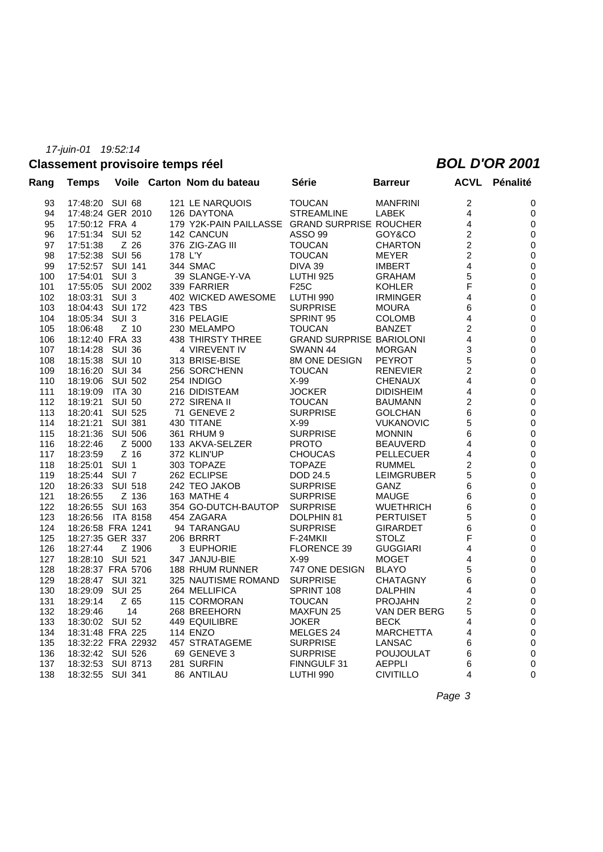# **Classement provisoire temps réel** *BOL D'OR 2001*

| $\overline{c}$<br>17:48:20 SUI 68<br>121 LE NARQUOIS<br><b>TOUCAN</b><br>0<br>93<br><b>MANFRINI</b><br>17:48:24 GER 2010<br><b>STREAMLINE</b><br><b>LABEK</b><br>4<br>94<br>126 DAYTONA<br>0<br>95<br>17:50:12 FRA 4<br>179 Y2K-PAIN PAILLASSE GRAND SURPRISE ROUCHER<br>4<br>0<br>2<br>17:51:34 SUI 52<br>142 CANCUN<br>ASSO 99<br>96<br>GOY&CO<br>0<br>$\overline{c}$<br>Z 26<br>376 ZIG-ZAG III<br><b>TOUCAN</b><br>$\boldsymbol{0}$<br>97<br>17:51:38<br><b>CHARTON</b><br>$\overline{c}$<br>98<br>17:52:38<br><b>SUI 56</b><br>178 L'Y<br><b>TOUCAN</b><br>0<br><b>MEYER</b><br>4<br>99<br>17:52:57<br><b>SUI 141</b><br>344 SMAC<br>DIVA 39<br>$\boldsymbol{0}$<br><b>IMBERT</b><br>5<br>17:54:01<br>SUI <sub>3</sub><br>39 SLANGE-Y-VA<br>LUTHI 925<br>$\pmb{0}$<br>100<br><b>GRAHAM</b><br>F<br>0<br>101<br>17:55:05<br>SUI 2002<br>339 FARRIER<br>F25C<br><b>KOHLER</b><br>4<br>0<br>102<br>18:03:31 SUI 3<br>402 WICKED AWESOME<br>LUTHI 990<br><b>IRMINGER</b><br>18:04:43 SUI 172<br>423 TBS<br><b>SURPRISE</b><br>103<br><b>MOURA</b><br>6<br>0<br>18:05:34 SUI 3<br>316 PELAGIE<br>SPRINT 95<br>4<br>0<br>104<br><b>COLOMB</b><br>$\overline{c}$<br>$Z$ 10<br>230 MELAMPO<br><b>TOUCAN</b><br>$\pmb{0}$<br>105<br>18:06:48<br><b>BANZET</b><br>18:12:40 FRA 33<br>4<br>$\boldsymbol{0}$<br>106<br>438 THIRSTY THREE<br><b>GRAND SURPRISE BARIOLONI</b><br>18:14:28 SUI 36<br>3<br>$\pmb{0}$<br>107<br>4 VIREVENT IV<br>SWANN 44<br><b>MORGAN</b><br>5<br>8M ONE DESIGN<br>0<br>108<br>18:15:38 SUI 10<br>313 BRISE-BISE<br><b>PEYROT</b><br>$\overline{c}$<br>0<br>109<br>18:16:20<br>SUI 34<br>256 SORC'HENN<br><b>TOUCAN</b><br><b>RENEVIER</b><br>4<br>110<br>18:19:06<br>SUI 502<br>254 INDIGO<br>$X-99$<br>0<br><b>CHENAUX</b><br><b>ITA 30</b><br>4<br>111<br>18:19:09<br>216 DIDISTEAM<br><b>JOCKER</b><br>0<br><b>DIDISHEIM</b><br>$\overline{c}$<br><b>SUI 50</b><br>272 SIRENA II<br><b>TOUCAN</b><br>0<br>112<br>18:19:21<br><b>BAUMANN</b><br>6<br>$\boldsymbol{0}$<br>113<br>18:20:41<br><b>SUI 525</b><br>71 GENEVE 2<br><b>SURPRISE</b><br><b>GOLCHAN</b><br>430 TITANE<br>$X-99$<br>5<br>114<br>18:21:21<br><b>SUI 381</b><br>0<br><b>VUKANOVIC</b><br><b>SUI 506</b><br><b>SURPRISE</b><br>6<br>$\boldsymbol{0}$<br>115<br>18:21:36<br>361 RHUM 9<br><b>MONNIN</b><br>0<br>18:22:46<br>Z 5000<br>133 AKVA-SELZER<br><b>PROTO</b><br>4<br>116<br><b>BEAUVERD</b><br>18:23:59<br>$Z$ 16<br>372 KLIN'UP<br><b>CHOUCAS</b><br>4<br>0<br>117<br><b>PELLECUER</b><br>2<br>0<br>118<br>18:25:01<br>SUI 1<br>303 TOPAZE<br><b>TOPAZE</b><br><b>RUMMEL</b><br>5<br>119<br>18:25:44 SUI 7<br>262 ECLIPSE<br>DOD 24.5<br>0<br><b>LEIMGRUBER</b><br><b>SUI 518</b><br>242 TEO JAKOB<br><b>SURPRISE</b><br>6<br>$\boldsymbol{0}$<br>120<br>18:26:33<br>GANZ<br>121<br>Z 136<br>163 MATHE 4<br><b>SURPRISE</b><br><b>MAUGE</b><br>6<br>0<br>18:26:55<br>122<br><b>SUI 163</b><br>354 GO-DUTCH-BAUTOP<br><b>SURPRISE</b><br>6<br>$\boldsymbol{0}$<br>18:26:55<br><b>WUETHRICH</b><br>454 ZAGARA<br>5<br>123<br>ITA 8158<br>DOLPHIN 81<br><b>PERTUISET</b><br>$\pmb{0}$<br>18:26:56<br>6<br>0<br>124<br>18:26:58 FRA 1241<br>94 TARANGAU<br><b>SURPRISE</b><br><b>GIRARDET</b><br>F<br>18:27:35 GER 337<br>0<br>125<br>206 BRRRT<br>F-24MKII<br><b>STOLZ</b><br>126<br>18:27:44<br>Z 1906<br>3 EUPHORIE<br>FLORENCE 39<br><b>GUGGIARI</b><br>4<br>0<br>127<br>18:28:10 SUI 521<br>$X-99$<br>4<br>$\pmb{0}$<br>347 JANJU-BIE<br><b>MOGET</b><br>5<br>128<br>18:28:37 FRA 5706<br>188 RHUM RUNNER<br>747 ONE DESIGN<br><b>BLAYO</b><br>0<br><b>SURPRISE</b><br>6<br>$\boldsymbol{0}$<br>129<br>18:28:47 SUI 321<br>325 NAUTISME ROMAND<br><b>CHATAGNY</b><br>$\pmb{0}$<br>130<br>18:29:09<br><b>SUI 25</b><br>264 MELLIFICA<br>SPRINT 108<br>4<br><b>DALPHIN</b><br>$\overline{c}$<br>131<br>18:29:14<br>Z 65<br>115 CORMORAN<br><b>TOUCAN</b><br><b>PROJAHN</b><br>0<br>5<br>$\pmb{0}$<br>132<br>18:29:46<br>14<br>268 BREEHORN<br><b>MAXFUN 25</b><br>VAN DER BERG<br>18:30:02 SUI 52<br>449 EQUILIBRE<br><b>BECK</b><br>133<br><b>JOKER</b><br>4<br>0<br>18:31:48 FRA 225<br><b>114 ENZO</b><br>134<br>MELGES 24<br><b>MARCHETTA</b><br>4<br>0<br>18:32:22 FRA 22932<br>457 STRATAGEME<br><b>SURPRISE</b><br>LANSAC<br>135<br>6<br>0<br>136<br>18:32:42 SUI 526<br>69 GENEVE 3<br><b>SURPRISE</b><br><b>POUJOULAT</b><br>6<br>0<br>18:32:53 SUI 8713<br>281 SURFIN<br>137<br>FINNGULF 31<br><b>AEPPLI</b><br>6<br>0<br>4<br>$\mathbf{0}$<br>138<br>18:32:55 SUI 341<br><b>86 ANTILAU</b><br>LUTHI 990<br><b>CIVITILLO</b> | Rang | Temps |  | Voile Carton Nom du bateau | Série | <b>Barreur</b> | <b>ACVL</b> | Pénalité |
|-------------------------------------------------------------------------------------------------------------------------------------------------------------------------------------------------------------------------------------------------------------------------------------------------------------------------------------------------------------------------------------------------------------------------------------------------------------------------------------------------------------------------------------------------------------------------------------------------------------------------------------------------------------------------------------------------------------------------------------------------------------------------------------------------------------------------------------------------------------------------------------------------------------------------------------------------------------------------------------------------------------------------------------------------------------------------------------------------------------------------------------------------------------------------------------------------------------------------------------------------------------------------------------------------------------------------------------------------------------------------------------------------------------------------------------------------------------------------------------------------------------------------------------------------------------------------------------------------------------------------------------------------------------------------------------------------------------------------------------------------------------------------------------------------------------------------------------------------------------------------------------------------------------------------------------------------------------------------------------------------------------------------------------------------------------------------------------------------------------------------------------------------------------------------------------------------------------------------------------------------------------------------------------------------------------------------------------------------------------------------------------------------------------------------------------------------------------------------------------------------------------------------------------------------------------------------------------------------------------------------------------------------------------------------------------------------------------------------------------------------------------------------------------------------------------------------------------------------------------------------------------------------------------------------------------------------------------------------------------------------------------------------------------------------------------------------------------------------------------------------------------------------------------------------------------------------------------------------------------------------------------------------------------------------------------------------------------------------------------------------------------------------------------------------------------------------------------------------------------------------------------------------------------------------------------------------------------------------------------------------------------------------------------------------------------------------------------------------------------------------------------------------------------------------------------------------------------------------------------------------------------------------------------------------------------------------------------------------------------------------------------------------------------------------------------------------------------------------------------------------------------------------------------------------------------------------------------------------------------------------------------------------------------------------------------------------------------------------------------------------------------------------------------------------------------------------------------------------------------------------------------------------------------------|------|-------|--|----------------------------|-------|----------------|-------------|----------|
|                                                                                                                                                                                                                                                                                                                                                                                                                                                                                                                                                                                                                                                                                                                                                                                                                                                                                                                                                                                                                                                                                                                                                                                                                                                                                                                                                                                                                                                                                                                                                                                                                                                                                                                                                                                                                                                                                                                                                                                                                                                                                                                                                                                                                                                                                                                                                                                                                                                                                                                                                                                                                                                                                                                                                                                                                                                                                                                                                                                                                                                                                                                                                                                                                                                                                                                                                                                                                                                                                                                                                                                                                                                                                                                                                                                                                                                                                                                                                                                                                                                                                                                                                                                                                                                                                                                                                                                                                                                                                                                                           |      |       |  |                            |       |                |             |          |
|                                                                                                                                                                                                                                                                                                                                                                                                                                                                                                                                                                                                                                                                                                                                                                                                                                                                                                                                                                                                                                                                                                                                                                                                                                                                                                                                                                                                                                                                                                                                                                                                                                                                                                                                                                                                                                                                                                                                                                                                                                                                                                                                                                                                                                                                                                                                                                                                                                                                                                                                                                                                                                                                                                                                                                                                                                                                                                                                                                                                                                                                                                                                                                                                                                                                                                                                                                                                                                                                                                                                                                                                                                                                                                                                                                                                                                                                                                                                                                                                                                                                                                                                                                                                                                                                                                                                                                                                                                                                                                                                           |      |       |  |                            |       |                |             |          |
|                                                                                                                                                                                                                                                                                                                                                                                                                                                                                                                                                                                                                                                                                                                                                                                                                                                                                                                                                                                                                                                                                                                                                                                                                                                                                                                                                                                                                                                                                                                                                                                                                                                                                                                                                                                                                                                                                                                                                                                                                                                                                                                                                                                                                                                                                                                                                                                                                                                                                                                                                                                                                                                                                                                                                                                                                                                                                                                                                                                                                                                                                                                                                                                                                                                                                                                                                                                                                                                                                                                                                                                                                                                                                                                                                                                                                                                                                                                                                                                                                                                                                                                                                                                                                                                                                                                                                                                                                                                                                                                                           |      |       |  |                            |       |                |             |          |
|                                                                                                                                                                                                                                                                                                                                                                                                                                                                                                                                                                                                                                                                                                                                                                                                                                                                                                                                                                                                                                                                                                                                                                                                                                                                                                                                                                                                                                                                                                                                                                                                                                                                                                                                                                                                                                                                                                                                                                                                                                                                                                                                                                                                                                                                                                                                                                                                                                                                                                                                                                                                                                                                                                                                                                                                                                                                                                                                                                                                                                                                                                                                                                                                                                                                                                                                                                                                                                                                                                                                                                                                                                                                                                                                                                                                                                                                                                                                                                                                                                                                                                                                                                                                                                                                                                                                                                                                                                                                                                                                           |      |       |  |                            |       |                |             |          |
|                                                                                                                                                                                                                                                                                                                                                                                                                                                                                                                                                                                                                                                                                                                                                                                                                                                                                                                                                                                                                                                                                                                                                                                                                                                                                                                                                                                                                                                                                                                                                                                                                                                                                                                                                                                                                                                                                                                                                                                                                                                                                                                                                                                                                                                                                                                                                                                                                                                                                                                                                                                                                                                                                                                                                                                                                                                                                                                                                                                                                                                                                                                                                                                                                                                                                                                                                                                                                                                                                                                                                                                                                                                                                                                                                                                                                                                                                                                                                                                                                                                                                                                                                                                                                                                                                                                                                                                                                                                                                                                                           |      |       |  |                            |       |                |             |          |
|                                                                                                                                                                                                                                                                                                                                                                                                                                                                                                                                                                                                                                                                                                                                                                                                                                                                                                                                                                                                                                                                                                                                                                                                                                                                                                                                                                                                                                                                                                                                                                                                                                                                                                                                                                                                                                                                                                                                                                                                                                                                                                                                                                                                                                                                                                                                                                                                                                                                                                                                                                                                                                                                                                                                                                                                                                                                                                                                                                                                                                                                                                                                                                                                                                                                                                                                                                                                                                                                                                                                                                                                                                                                                                                                                                                                                                                                                                                                                                                                                                                                                                                                                                                                                                                                                                                                                                                                                                                                                                                                           |      |       |  |                            |       |                |             |          |
|                                                                                                                                                                                                                                                                                                                                                                                                                                                                                                                                                                                                                                                                                                                                                                                                                                                                                                                                                                                                                                                                                                                                                                                                                                                                                                                                                                                                                                                                                                                                                                                                                                                                                                                                                                                                                                                                                                                                                                                                                                                                                                                                                                                                                                                                                                                                                                                                                                                                                                                                                                                                                                                                                                                                                                                                                                                                                                                                                                                                                                                                                                                                                                                                                                                                                                                                                                                                                                                                                                                                                                                                                                                                                                                                                                                                                                                                                                                                                                                                                                                                                                                                                                                                                                                                                                                                                                                                                                                                                                                                           |      |       |  |                            |       |                |             |          |
|                                                                                                                                                                                                                                                                                                                                                                                                                                                                                                                                                                                                                                                                                                                                                                                                                                                                                                                                                                                                                                                                                                                                                                                                                                                                                                                                                                                                                                                                                                                                                                                                                                                                                                                                                                                                                                                                                                                                                                                                                                                                                                                                                                                                                                                                                                                                                                                                                                                                                                                                                                                                                                                                                                                                                                                                                                                                                                                                                                                                                                                                                                                                                                                                                                                                                                                                                                                                                                                                                                                                                                                                                                                                                                                                                                                                                                                                                                                                                                                                                                                                                                                                                                                                                                                                                                                                                                                                                                                                                                                                           |      |       |  |                            |       |                |             |          |
|                                                                                                                                                                                                                                                                                                                                                                                                                                                                                                                                                                                                                                                                                                                                                                                                                                                                                                                                                                                                                                                                                                                                                                                                                                                                                                                                                                                                                                                                                                                                                                                                                                                                                                                                                                                                                                                                                                                                                                                                                                                                                                                                                                                                                                                                                                                                                                                                                                                                                                                                                                                                                                                                                                                                                                                                                                                                                                                                                                                                                                                                                                                                                                                                                                                                                                                                                                                                                                                                                                                                                                                                                                                                                                                                                                                                                                                                                                                                                                                                                                                                                                                                                                                                                                                                                                                                                                                                                                                                                                                                           |      |       |  |                            |       |                |             |          |
|                                                                                                                                                                                                                                                                                                                                                                                                                                                                                                                                                                                                                                                                                                                                                                                                                                                                                                                                                                                                                                                                                                                                                                                                                                                                                                                                                                                                                                                                                                                                                                                                                                                                                                                                                                                                                                                                                                                                                                                                                                                                                                                                                                                                                                                                                                                                                                                                                                                                                                                                                                                                                                                                                                                                                                                                                                                                                                                                                                                                                                                                                                                                                                                                                                                                                                                                                                                                                                                                                                                                                                                                                                                                                                                                                                                                                                                                                                                                                                                                                                                                                                                                                                                                                                                                                                                                                                                                                                                                                                                                           |      |       |  |                            |       |                |             |          |
|                                                                                                                                                                                                                                                                                                                                                                                                                                                                                                                                                                                                                                                                                                                                                                                                                                                                                                                                                                                                                                                                                                                                                                                                                                                                                                                                                                                                                                                                                                                                                                                                                                                                                                                                                                                                                                                                                                                                                                                                                                                                                                                                                                                                                                                                                                                                                                                                                                                                                                                                                                                                                                                                                                                                                                                                                                                                                                                                                                                                                                                                                                                                                                                                                                                                                                                                                                                                                                                                                                                                                                                                                                                                                                                                                                                                                                                                                                                                                                                                                                                                                                                                                                                                                                                                                                                                                                                                                                                                                                                                           |      |       |  |                            |       |                |             |          |
|                                                                                                                                                                                                                                                                                                                                                                                                                                                                                                                                                                                                                                                                                                                                                                                                                                                                                                                                                                                                                                                                                                                                                                                                                                                                                                                                                                                                                                                                                                                                                                                                                                                                                                                                                                                                                                                                                                                                                                                                                                                                                                                                                                                                                                                                                                                                                                                                                                                                                                                                                                                                                                                                                                                                                                                                                                                                                                                                                                                                                                                                                                                                                                                                                                                                                                                                                                                                                                                                                                                                                                                                                                                                                                                                                                                                                                                                                                                                                                                                                                                                                                                                                                                                                                                                                                                                                                                                                                                                                                                                           |      |       |  |                            |       |                |             |          |
|                                                                                                                                                                                                                                                                                                                                                                                                                                                                                                                                                                                                                                                                                                                                                                                                                                                                                                                                                                                                                                                                                                                                                                                                                                                                                                                                                                                                                                                                                                                                                                                                                                                                                                                                                                                                                                                                                                                                                                                                                                                                                                                                                                                                                                                                                                                                                                                                                                                                                                                                                                                                                                                                                                                                                                                                                                                                                                                                                                                                                                                                                                                                                                                                                                                                                                                                                                                                                                                                                                                                                                                                                                                                                                                                                                                                                                                                                                                                                                                                                                                                                                                                                                                                                                                                                                                                                                                                                                                                                                                                           |      |       |  |                            |       |                |             |          |
|                                                                                                                                                                                                                                                                                                                                                                                                                                                                                                                                                                                                                                                                                                                                                                                                                                                                                                                                                                                                                                                                                                                                                                                                                                                                                                                                                                                                                                                                                                                                                                                                                                                                                                                                                                                                                                                                                                                                                                                                                                                                                                                                                                                                                                                                                                                                                                                                                                                                                                                                                                                                                                                                                                                                                                                                                                                                                                                                                                                                                                                                                                                                                                                                                                                                                                                                                                                                                                                                                                                                                                                                                                                                                                                                                                                                                                                                                                                                                                                                                                                                                                                                                                                                                                                                                                                                                                                                                                                                                                                                           |      |       |  |                            |       |                |             |          |
|                                                                                                                                                                                                                                                                                                                                                                                                                                                                                                                                                                                                                                                                                                                                                                                                                                                                                                                                                                                                                                                                                                                                                                                                                                                                                                                                                                                                                                                                                                                                                                                                                                                                                                                                                                                                                                                                                                                                                                                                                                                                                                                                                                                                                                                                                                                                                                                                                                                                                                                                                                                                                                                                                                                                                                                                                                                                                                                                                                                                                                                                                                                                                                                                                                                                                                                                                                                                                                                                                                                                                                                                                                                                                                                                                                                                                                                                                                                                                                                                                                                                                                                                                                                                                                                                                                                                                                                                                                                                                                                                           |      |       |  |                            |       |                |             |          |
|                                                                                                                                                                                                                                                                                                                                                                                                                                                                                                                                                                                                                                                                                                                                                                                                                                                                                                                                                                                                                                                                                                                                                                                                                                                                                                                                                                                                                                                                                                                                                                                                                                                                                                                                                                                                                                                                                                                                                                                                                                                                                                                                                                                                                                                                                                                                                                                                                                                                                                                                                                                                                                                                                                                                                                                                                                                                                                                                                                                                                                                                                                                                                                                                                                                                                                                                                                                                                                                                                                                                                                                                                                                                                                                                                                                                                                                                                                                                                                                                                                                                                                                                                                                                                                                                                                                                                                                                                                                                                                                                           |      |       |  |                            |       |                |             |          |
|                                                                                                                                                                                                                                                                                                                                                                                                                                                                                                                                                                                                                                                                                                                                                                                                                                                                                                                                                                                                                                                                                                                                                                                                                                                                                                                                                                                                                                                                                                                                                                                                                                                                                                                                                                                                                                                                                                                                                                                                                                                                                                                                                                                                                                                                                                                                                                                                                                                                                                                                                                                                                                                                                                                                                                                                                                                                                                                                                                                                                                                                                                                                                                                                                                                                                                                                                                                                                                                                                                                                                                                                                                                                                                                                                                                                                                                                                                                                                                                                                                                                                                                                                                                                                                                                                                                                                                                                                                                                                                                                           |      |       |  |                            |       |                |             |          |
|                                                                                                                                                                                                                                                                                                                                                                                                                                                                                                                                                                                                                                                                                                                                                                                                                                                                                                                                                                                                                                                                                                                                                                                                                                                                                                                                                                                                                                                                                                                                                                                                                                                                                                                                                                                                                                                                                                                                                                                                                                                                                                                                                                                                                                                                                                                                                                                                                                                                                                                                                                                                                                                                                                                                                                                                                                                                                                                                                                                                                                                                                                                                                                                                                                                                                                                                                                                                                                                                                                                                                                                                                                                                                                                                                                                                                                                                                                                                                                                                                                                                                                                                                                                                                                                                                                                                                                                                                                                                                                                                           |      |       |  |                            |       |                |             |          |
|                                                                                                                                                                                                                                                                                                                                                                                                                                                                                                                                                                                                                                                                                                                                                                                                                                                                                                                                                                                                                                                                                                                                                                                                                                                                                                                                                                                                                                                                                                                                                                                                                                                                                                                                                                                                                                                                                                                                                                                                                                                                                                                                                                                                                                                                                                                                                                                                                                                                                                                                                                                                                                                                                                                                                                                                                                                                                                                                                                                                                                                                                                                                                                                                                                                                                                                                                                                                                                                                                                                                                                                                                                                                                                                                                                                                                                                                                                                                                                                                                                                                                                                                                                                                                                                                                                                                                                                                                                                                                                                                           |      |       |  |                            |       |                |             |          |
|                                                                                                                                                                                                                                                                                                                                                                                                                                                                                                                                                                                                                                                                                                                                                                                                                                                                                                                                                                                                                                                                                                                                                                                                                                                                                                                                                                                                                                                                                                                                                                                                                                                                                                                                                                                                                                                                                                                                                                                                                                                                                                                                                                                                                                                                                                                                                                                                                                                                                                                                                                                                                                                                                                                                                                                                                                                                                                                                                                                                                                                                                                                                                                                                                                                                                                                                                                                                                                                                                                                                                                                                                                                                                                                                                                                                                                                                                                                                                                                                                                                                                                                                                                                                                                                                                                                                                                                                                                                                                                                                           |      |       |  |                            |       |                |             |          |
|                                                                                                                                                                                                                                                                                                                                                                                                                                                                                                                                                                                                                                                                                                                                                                                                                                                                                                                                                                                                                                                                                                                                                                                                                                                                                                                                                                                                                                                                                                                                                                                                                                                                                                                                                                                                                                                                                                                                                                                                                                                                                                                                                                                                                                                                                                                                                                                                                                                                                                                                                                                                                                                                                                                                                                                                                                                                                                                                                                                                                                                                                                                                                                                                                                                                                                                                                                                                                                                                                                                                                                                                                                                                                                                                                                                                                                                                                                                                                                                                                                                                                                                                                                                                                                                                                                                                                                                                                                                                                                                                           |      |       |  |                            |       |                |             |          |
|                                                                                                                                                                                                                                                                                                                                                                                                                                                                                                                                                                                                                                                                                                                                                                                                                                                                                                                                                                                                                                                                                                                                                                                                                                                                                                                                                                                                                                                                                                                                                                                                                                                                                                                                                                                                                                                                                                                                                                                                                                                                                                                                                                                                                                                                                                                                                                                                                                                                                                                                                                                                                                                                                                                                                                                                                                                                                                                                                                                                                                                                                                                                                                                                                                                                                                                                                                                                                                                                                                                                                                                                                                                                                                                                                                                                                                                                                                                                                                                                                                                                                                                                                                                                                                                                                                                                                                                                                                                                                                                                           |      |       |  |                            |       |                |             |          |
|                                                                                                                                                                                                                                                                                                                                                                                                                                                                                                                                                                                                                                                                                                                                                                                                                                                                                                                                                                                                                                                                                                                                                                                                                                                                                                                                                                                                                                                                                                                                                                                                                                                                                                                                                                                                                                                                                                                                                                                                                                                                                                                                                                                                                                                                                                                                                                                                                                                                                                                                                                                                                                                                                                                                                                                                                                                                                                                                                                                                                                                                                                                                                                                                                                                                                                                                                                                                                                                                                                                                                                                                                                                                                                                                                                                                                                                                                                                                                                                                                                                                                                                                                                                                                                                                                                                                                                                                                                                                                                                                           |      |       |  |                            |       |                |             |          |
|                                                                                                                                                                                                                                                                                                                                                                                                                                                                                                                                                                                                                                                                                                                                                                                                                                                                                                                                                                                                                                                                                                                                                                                                                                                                                                                                                                                                                                                                                                                                                                                                                                                                                                                                                                                                                                                                                                                                                                                                                                                                                                                                                                                                                                                                                                                                                                                                                                                                                                                                                                                                                                                                                                                                                                                                                                                                                                                                                                                                                                                                                                                                                                                                                                                                                                                                                                                                                                                                                                                                                                                                                                                                                                                                                                                                                                                                                                                                                                                                                                                                                                                                                                                                                                                                                                                                                                                                                                                                                                                                           |      |       |  |                            |       |                |             |          |
|                                                                                                                                                                                                                                                                                                                                                                                                                                                                                                                                                                                                                                                                                                                                                                                                                                                                                                                                                                                                                                                                                                                                                                                                                                                                                                                                                                                                                                                                                                                                                                                                                                                                                                                                                                                                                                                                                                                                                                                                                                                                                                                                                                                                                                                                                                                                                                                                                                                                                                                                                                                                                                                                                                                                                                                                                                                                                                                                                                                                                                                                                                                                                                                                                                                                                                                                                                                                                                                                                                                                                                                                                                                                                                                                                                                                                                                                                                                                                                                                                                                                                                                                                                                                                                                                                                                                                                                                                                                                                                                                           |      |       |  |                            |       |                |             |          |
|                                                                                                                                                                                                                                                                                                                                                                                                                                                                                                                                                                                                                                                                                                                                                                                                                                                                                                                                                                                                                                                                                                                                                                                                                                                                                                                                                                                                                                                                                                                                                                                                                                                                                                                                                                                                                                                                                                                                                                                                                                                                                                                                                                                                                                                                                                                                                                                                                                                                                                                                                                                                                                                                                                                                                                                                                                                                                                                                                                                                                                                                                                                                                                                                                                                                                                                                                                                                                                                                                                                                                                                                                                                                                                                                                                                                                                                                                                                                                                                                                                                                                                                                                                                                                                                                                                                                                                                                                                                                                                                                           |      |       |  |                            |       |                |             |          |
|                                                                                                                                                                                                                                                                                                                                                                                                                                                                                                                                                                                                                                                                                                                                                                                                                                                                                                                                                                                                                                                                                                                                                                                                                                                                                                                                                                                                                                                                                                                                                                                                                                                                                                                                                                                                                                                                                                                                                                                                                                                                                                                                                                                                                                                                                                                                                                                                                                                                                                                                                                                                                                                                                                                                                                                                                                                                                                                                                                                                                                                                                                                                                                                                                                                                                                                                                                                                                                                                                                                                                                                                                                                                                                                                                                                                                                                                                                                                                                                                                                                                                                                                                                                                                                                                                                                                                                                                                                                                                                                                           |      |       |  |                            |       |                |             |          |
|                                                                                                                                                                                                                                                                                                                                                                                                                                                                                                                                                                                                                                                                                                                                                                                                                                                                                                                                                                                                                                                                                                                                                                                                                                                                                                                                                                                                                                                                                                                                                                                                                                                                                                                                                                                                                                                                                                                                                                                                                                                                                                                                                                                                                                                                                                                                                                                                                                                                                                                                                                                                                                                                                                                                                                                                                                                                                                                                                                                                                                                                                                                                                                                                                                                                                                                                                                                                                                                                                                                                                                                                                                                                                                                                                                                                                                                                                                                                                                                                                                                                                                                                                                                                                                                                                                                                                                                                                                                                                                                                           |      |       |  |                            |       |                |             |          |
|                                                                                                                                                                                                                                                                                                                                                                                                                                                                                                                                                                                                                                                                                                                                                                                                                                                                                                                                                                                                                                                                                                                                                                                                                                                                                                                                                                                                                                                                                                                                                                                                                                                                                                                                                                                                                                                                                                                                                                                                                                                                                                                                                                                                                                                                                                                                                                                                                                                                                                                                                                                                                                                                                                                                                                                                                                                                                                                                                                                                                                                                                                                                                                                                                                                                                                                                                                                                                                                                                                                                                                                                                                                                                                                                                                                                                                                                                                                                                                                                                                                                                                                                                                                                                                                                                                                                                                                                                                                                                                                                           |      |       |  |                            |       |                |             |          |
|                                                                                                                                                                                                                                                                                                                                                                                                                                                                                                                                                                                                                                                                                                                                                                                                                                                                                                                                                                                                                                                                                                                                                                                                                                                                                                                                                                                                                                                                                                                                                                                                                                                                                                                                                                                                                                                                                                                                                                                                                                                                                                                                                                                                                                                                                                                                                                                                                                                                                                                                                                                                                                                                                                                                                                                                                                                                                                                                                                                                                                                                                                                                                                                                                                                                                                                                                                                                                                                                                                                                                                                                                                                                                                                                                                                                                                                                                                                                                                                                                                                                                                                                                                                                                                                                                                                                                                                                                                                                                                                                           |      |       |  |                            |       |                |             |          |
|                                                                                                                                                                                                                                                                                                                                                                                                                                                                                                                                                                                                                                                                                                                                                                                                                                                                                                                                                                                                                                                                                                                                                                                                                                                                                                                                                                                                                                                                                                                                                                                                                                                                                                                                                                                                                                                                                                                                                                                                                                                                                                                                                                                                                                                                                                                                                                                                                                                                                                                                                                                                                                                                                                                                                                                                                                                                                                                                                                                                                                                                                                                                                                                                                                                                                                                                                                                                                                                                                                                                                                                                                                                                                                                                                                                                                                                                                                                                                                                                                                                                                                                                                                                                                                                                                                                                                                                                                                                                                                                                           |      |       |  |                            |       |                |             |          |
|                                                                                                                                                                                                                                                                                                                                                                                                                                                                                                                                                                                                                                                                                                                                                                                                                                                                                                                                                                                                                                                                                                                                                                                                                                                                                                                                                                                                                                                                                                                                                                                                                                                                                                                                                                                                                                                                                                                                                                                                                                                                                                                                                                                                                                                                                                                                                                                                                                                                                                                                                                                                                                                                                                                                                                                                                                                                                                                                                                                                                                                                                                                                                                                                                                                                                                                                                                                                                                                                                                                                                                                                                                                                                                                                                                                                                                                                                                                                                                                                                                                                                                                                                                                                                                                                                                                                                                                                                                                                                                                                           |      |       |  |                            |       |                |             |          |
|                                                                                                                                                                                                                                                                                                                                                                                                                                                                                                                                                                                                                                                                                                                                                                                                                                                                                                                                                                                                                                                                                                                                                                                                                                                                                                                                                                                                                                                                                                                                                                                                                                                                                                                                                                                                                                                                                                                                                                                                                                                                                                                                                                                                                                                                                                                                                                                                                                                                                                                                                                                                                                                                                                                                                                                                                                                                                                                                                                                                                                                                                                                                                                                                                                                                                                                                                                                                                                                                                                                                                                                                                                                                                                                                                                                                                                                                                                                                                                                                                                                                                                                                                                                                                                                                                                                                                                                                                                                                                                                                           |      |       |  |                            |       |                |             |          |
|                                                                                                                                                                                                                                                                                                                                                                                                                                                                                                                                                                                                                                                                                                                                                                                                                                                                                                                                                                                                                                                                                                                                                                                                                                                                                                                                                                                                                                                                                                                                                                                                                                                                                                                                                                                                                                                                                                                                                                                                                                                                                                                                                                                                                                                                                                                                                                                                                                                                                                                                                                                                                                                                                                                                                                                                                                                                                                                                                                                                                                                                                                                                                                                                                                                                                                                                                                                                                                                                                                                                                                                                                                                                                                                                                                                                                                                                                                                                                                                                                                                                                                                                                                                                                                                                                                                                                                                                                                                                                                                                           |      |       |  |                            |       |                |             |          |
|                                                                                                                                                                                                                                                                                                                                                                                                                                                                                                                                                                                                                                                                                                                                                                                                                                                                                                                                                                                                                                                                                                                                                                                                                                                                                                                                                                                                                                                                                                                                                                                                                                                                                                                                                                                                                                                                                                                                                                                                                                                                                                                                                                                                                                                                                                                                                                                                                                                                                                                                                                                                                                                                                                                                                                                                                                                                                                                                                                                                                                                                                                                                                                                                                                                                                                                                                                                                                                                                                                                                                                                                                                                                                                                                                                                                                                                                                                                                                                                                                                                                                                                                                                                                                                                                                                                                                                                                                                                                                                                                           |      |       |  |                            |       |                |             |          |
|                                                                                                                                                                                                                                                                                                                                                                                                                                                                                                                                                                                                                                                                                                                                                                                                                                                                                                                                                                                                                                                                                                                                                                                                                                                                                                                                                                                                                                                                                                                                                                                                                                                                                                                                                                                                                                                                                                                                                                                                                                                                                                                                                                                                                                                                                                                                                                                                                                                                                                                                                                                                                                                                                                                                                                                                                                                                                                                                                                                                                                                                                                                                                                                                                                                                                                                                                                                                                                                                                                                                                                                                                                                                                                                                                                                                                                                                                                                                                                                                                                                                                                                                                                                                                                                                                                                                                                                                                                                                                                                                           |      |       |  |                            |       |                |             |          |
|                                                                                                                                                                                                                                                                                                                                                                                                                                                                                                                                                                                                                                                                                                                                                                                                                                                                                                                                                                                                                                                                                                                                                                                                                                                                                                                                                                                                                                                                                                                                                                                                                                                                                                                                                                                                                                                                                                                                                                                                                                                                                                                                                                                                                                                                                                                                                                                                                                                                                                                                                                                                                                                                                                                                                                                                                                                                                                                                                                                                                                                                                                                                                                                                                                                                                                                                                                                                                                                                                                                                                                                                                                                                                                                                                                                                                                                                                                                                                                                                                                                                                                                                                                                                                                                                                                                                                                                                                                                                                                                                           |      |       |  |                            |       |                |             |          |
|                                                                                                                                                                                                                                                                                                                                                                                                                                                                                                                                                                                                                                                                                                                                                                                                                                                                                                                                                                                                                                                                                                                                                                                                                                                                                                                                                                                                                                                                                                                                                                                                                                                                                                                                                                                                                                                                                                                                                                                                                                                                                                                                                                                                                                                                                                                                                                                                                                                                                                                                                                                                                                                                                                                                                                                                                                                                                                                                                                                                                                                                                                                                                                                                                                                                                                                                                                                                                                                                                                                                                                                                                                                                                                                                                                                                                                                                                                                                                                                                                                                                                                                                                                                                                                                                                                                                                                                                                                                                                                                                           |      |       |  |                            |       |                |             |          |
|                                                                                                                                                                                                                                                                                                                                                                                                                                                                                                                                                                                                                                                                                                                                                                                                                                                                                                                                                                                                                                                                                                                                                                                                                                                                                                                                                                                                                                                                                                                                                                                                                                                                                                                                                                                                                                                                                                                                                                                                                                                                                                                                                                                                                                                                                                                                                                                                                                                                                                                                                                                                                                                                                                                                                                                                                                                                                                                                                                                                                                                                                                                                                                                                                                                                                                                                                                                                                                                                                                                                                                                                                                                                                                                                                                                                                                                                                                                                                                                                                                                                                                                                                                                                                                                                                                                                                                                                                                                                                                                                           |      |       |  |                            |       |                |             |          |
|                                                                                                                                                                                                                                                                                                                                                                                                                                                                                                                                                                                                                                                                                                                                                                                                                                                                                                                                                                                                                                                                                                                                                                                                                                                                                                                                                                                                                                                                                                                                                                                                                                                                                                                                                                                                                                                                                                                                                                                                                                                                                                                                                                                                                                                                                                                                                                                                                                                                                                                                                                                                                                                                                                                                                                                                                                                                                                                                                                                                                                                                                                                                                                                                                                                                                                                                                                                                                                                                                                                                                                                                                                                                                                                                                                                                                                                                                                                                                                                                                                                                                                                                                                                                                                                                                                                                                                                                                                                                                                                                           |      |       |  |                            |       |                |             |          |
|                                                                                                                                                                                                                                                                                                                                                                                                                                                                                                                                                                                                                                                                                                                                                                                                                                                                                                                                                                                                                                                                                                                                                                                                                                                                                                                                                                                                                                                                                                                                                                                                                                                                                                                                                                                                                                                                                                                                                                                                                                                                                                                                                                                                                                                                                                                                                                                                                                                                                                                                                                                                                                                                                                                                                                                                                                                                                                                                                                                                                                                                                                                                                                                                                                                                                                                                                                                                                                                                                                                                                                                                                                                                                                                                                                                                                                                                                                                                                                                                                                                                                                                                                                                                                                                                                                                                                                                                                                                                                                                                           |      |       |  |                            |       |                |             |          |
|                                                                                                                                                                                                                                                                                                                                                                                                                                                                                                                                                                                                                                                                                                                                                                                                                                                                                                                                                                                                                                                                                                                                                                                                                                                                                                                                                                                                                                                                                                                                                                                                                                                                                                                                                                                                                                                                                                                                                                                                                                                                                                                                                                                                                                                                                                                                                                                                                                                                                                                                                                                                                                                                                                                                                                                                                                                                                                                                                                                                                                                                                                                                                                                                                                                                                                                                                                                                                                                                                                                                                                                                                                                                                                                                                                                                                                                                                                                                                                                                                                                                                                                                                                                                                                                                                                                                                                                                                                                                                                                                           |      |       |  |                            |       |                |             |          |
|                                                                                                                                                                                                                                                                                                                                                                                                                                                                                                                                                                                                                                                                                                                                                                                                                                                                                                                                                                                                                                                                                                                                                                                                                                                                                                                                                                                                                                                                                                                                                                                                                                                                                                                                                                                                                                                                                                                                                                                                                                                                                                                                                                                                                                                                                                                                                                                                                                                                                                                                                                                                                                                                                                                                                                                                                                                                                                                                                                                                                                                                                                                                                                                                                                                                                                                                                                                                                                                                                                                                                                                                                                                                                                                                                                                                                                                                                                                                                                                                                                                                                                                                                                                                                                                                                                                                                                                                                                                                                                                                           |      |       |  |                            |       |                |             |          |
|                                                                                                                                                                                                                                                                                                                                                                                                                                                                                                                                                                                                                                                                                                                                                                                                                                                                                                                                                                                                                                                                                                                                                                                                                                                                                                                                                                                                                                                                                                                                                                                                                                                                                                                                                                                                                                                                                                                                                                                                                                                                                                                                                                                                                                                                                                                                                                                                                                                                                                                                                                                                                                                                                                                                                                                                                                                                                                                                                                                                                                                                                                                                                                                                                                                                                                                                                                                                                                                                                                                                                                                                                                                                                                                                                                                                                                                                                                                                                                                                                                                                                                                                                                                                                                                                                                                                                                                                                                                                                                                                           |      |       |  |                            |       |                |             |          |
|                                                                                                                                                                                                                                                                                                                                                                                                                                                                                                                                                                                                                                                                                                                                                                                                                                                                                                                                                                                                                                                                                                                                                                                                                                                                                                                                                                                                                                                                                                                                                                                                                                                                                                                                                                                                                                                                                                                                                                                                                                                                                                                                                                                                                                                                                                                                                                                                                                                                                                                                                                                                                                                                                                                                                                                                                                                                                                                                                                                                                                                                                                                                                                                                                                                                                                                                                                                                                                                                                                                                                                                                                                                                                                                                                                                                                                                                                                                                                                                                                                                                                                                                                                                                                                                                                                                                                                                                                                                                                                                                           |      |       |  |                            |       |                |             |          |
|                                                                                                                                                                                                                                                                                                                                                                                                                                                                                                                                                                                                                                                                                                                                                                                                                                                                                                                                                                                                                                                                                                                                                                                                                                                                                                                                                                                                                                                                                                                                                                                                                                                                                                                                                                                                                                                                                                                                                                                                                                                                                                                                                                                                                                                                                                                                                                                                                                                                                                                                                                                                                                                                                                                                                                                                                                                                                                                                                                                                                                                                                                                                                                                                                                                                                                                                                                                                                                                                                                                                                                                                                                                                                                                                                                                                                                                                                                                                                                                                                                                                                                                                                                                                                                                                                                                                                                                                                                                                                                                                           |      |       |  |                            |       |                |             |          |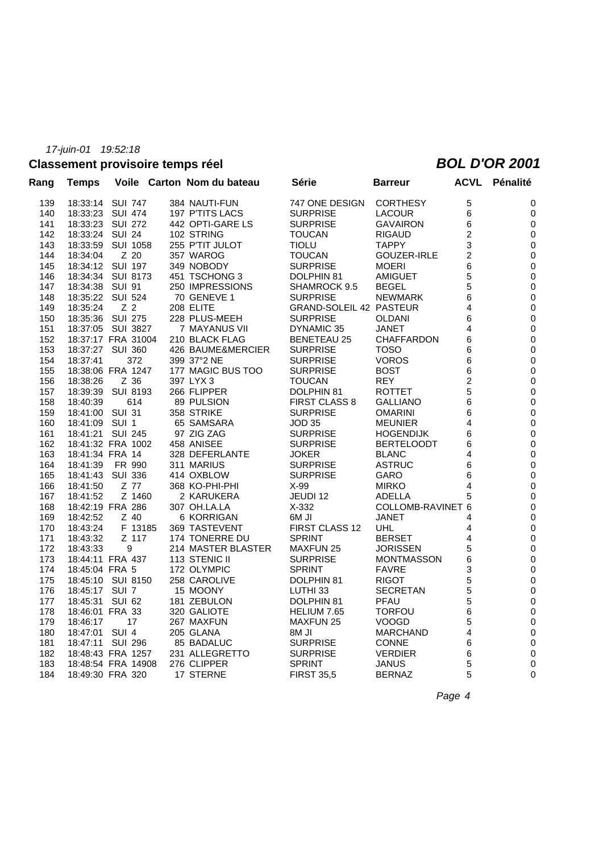# **Classement provisoire temps réel** *BOL D'OR 2001*

| Rang | <b>Temps</b>       |                  |         | Voile Carton Nom du bateau | Série                          | <b>Barreur</b>           | ACVL                    | Pénalité  |
|------|--------------------|------------------|---------|----------------------------|--------------------------------|--------------------------|-------------------------|-----------|
| 139  | 18:33:14 SUI 747   |                  |         | 384 NAUTI-FUN              | 747 ONE DESIGN                 | <b>CORTHESY</b>          | 5                       | 0         |
| 140  | 18:33:23           | <b>SUI 474</b>   |         | 197 P'TITS LACS            | <b>SURPRISE</b>                | <b>LACOUR</b>            | 6                       | 0         |
| 141  | 18:33:23           | SUI 272          |         | 442 OPTI-GARE LS           | <b>SURPRISE</b>                | <b>GAVAIRON</b>          | 6                       | 0         |
| 142  | 18:33:24           | <b>SUI 24</b>    |         | 102 STRING                 | <b>TOUCAN</b>                  | <b>RIGAUD</b>            | $\overline{c}$          | 0         |
| 143  | 18:33:59           | <b>SUI 1058</b>  |         | 255 P'TIT JULOT            | <b>TIOLU</b>                   | <b>TAPPY</b>             | 3                       | 0         |
| 144  | 18:34:04           | Z 20             |         | 357 WAROG                  | <b>TOUCAN</b>                  | GOUZER-IRLE              | 2                       | 0         |
| 145  | 18:34:12 SUI 197   |                  |         | 349 NOBODY                 | <b>SURPRISE</b>                | <b>MOERI</b>             | 6                       | 0         |
| 146  | 18:34:34 SUI 8173  |                  |         | 451 TSCHONG 3              | DOLPHIN 81                     | <b>AMIGUET</b>           | 5                       | 0         |
| 147  | 18:34:38           | <b>SUI 91</b>    |         | 250 IMPRESSIONS            | SHAMROCK 9.5                   | <b>BEGEL</b>             | 5                       | 0         |
| 148  | 18:35:22           | <b>SUI 524</b>   |         | 70 GENEVE 1                | <b>SURPRISE</b>                | <b>NEWMARK</b>           | 6                       | 0         |
| 149  | 18:35:24           | Z 2              |         | 208 ELITE                  | <b>GRAND-SOLEIL 42 PASTEUR</b> |                          | 4                       | 0         |
| 150  | 18:35:36           | SUI 275          |         | 228 PLUS-MEEH              | <b>SURPRISE</b>                | OLDANI                   | 6                       | 0         |
| 151  | 18:37:05 SUI 3827  |                  |         | 7 MAYANUS VII              | DYNAMIC 35                     | <b>JANET</b>             | 4                       | 0         |
| 152  | 18:37:17 FRA 31004 |                  |         | 210 BLACK FLAG             | <b>BENETEAU 25</b>             | <b>CHAFFARDON</b>        | 6                       | 0         |
| 153  | 18:37:27 SUI 360   |                  |         | 426 BAUME&MERCIER          | <b>SURPRISE</b>                | <b>TOSO</b>              | 6                       | 0         |
| 154  | 18:37:41           | 372              |         | 399 37°2 NE                | <b>SURPRISE</b>                | <b>VOROS</b>             | 6                       | 0         |
| 155  | 18:38:06 FRA 1247  |                  |         | 177 MAGIC BUS TOO          | <b>SURPRISE</b>                | <b>BOST</b>              | 6                       | 0         |
| 156  | 18:38:26           | Z 36             |         | 397 LYX 3                  | <b>TOUCAN</b>                  | <b>REY</b>               | $\overline{\mathbf{c}}$ | 0         |
| 157  | 18:39:39           | <b>SUI 8193</b>  |         | 266 FLIPPER                | DOLPHIN 81                     | <b>ROTTET</b>            | 5                       | 0         |
| 158  | 18:40:39           | 614              |         | 89 PULSION                 | <b>FIRST CLASS 8</b>           | <b>GALLIANO</b>          | 6                       | 0         |
| 159  | 18:41:00           | <b>SUI 31</b>    |         | 358 STRIKE                 | <b>SURPRISE</b>                | <b>OMARINI</b>           | 6                       | 0         |
| 160  | 18:41:09           | SUI <sub>1</sub> |         | 65 SAMSARA                 | <b>JOD 35</b>                  | <b>MEUNIER</b>           | 4                       | 0         |
| 161  | 18:41:21           | <b>SUI 245</b>   |         | 97 ZIG ZAG                 | <b>SURPRISE</b>                | <b>HOGENDIJK</b>         | 6                       | 0         |
| 162  | 18:41:32 FRA 1002  |                  |         | 458 ANISEE                 | <b>SURPRISE</b>                | <b>BERTELOODT</b>        | 6                       | 0         |
| 163  | 18:41:34 FRA 14    |                  |         | 328 DEFERLANTE             | JOKER                          | <b>BLANC</b>             | 4                       | 0         |
| 164  | 18:41:39           | FR 990           |         | 311 MARIUS                 | <b>SURPRISE</b>                | <b>ASTRUC</b>            | 6                       | 0         |
| 165  | 18:41:43           | <b>SUI 336</b>   |         | 414 OXBLOW                 | <b>SURPRISE</b>                | GARO                     | 6                       | 0         |
| 166  | 18:41:50           | Z 77             |         | 368 KO-PHI-PHI             | $X-99$                         | <b>MIRKO</b>             | 4                       | 0         |
| 167  | 18:41:52           |                  | Z 1460  | 2 KARUKERA                 | JEUDI 12                       | ADELLA                   | 5                       | 0         |
| 168  | 18:42:19 FRA 286   |                  |         | 307 OH.LA.LA               | $X-332$                        | <b>COLLOMB-RAVINET 6</b> |                         | 0         |
| 169  | 18:42:52           | Z 40             |         | 6 KORRIGAN                 | IL M <sub>6</sub>              | <b>JANET</b>             | 4                       | 0         |
| 170  | 18:43:24           |                  | F 13185 | 369 TASTEVENT              | <b>FIRST CLASS 12</b>          | UHL                      | 4                       | 0         |
| 171  | 18:43:32           | Z 117            |         | 174 TONERRE DU             | <b>SPRINT</b>                  | <b>BERSET</b>            | 4                       | 0         |
| 172  | 18:43:33           | 9                |         | 214 MASTER BLASTER         | <b>MAXFUN 25</b>               | <b>JORISSEN</b>          | 5                       | 0         |
| 173  | 18:44:11 FRA 437   |                  |         | 113 STENIC II              | <b>SURPRISE</b>                | <b>MONTMASSON</b>        | 6                       | 0         |
| 174  | 18:45:04 FRA 5     |                  |         | 172 OLYMPIC                | <b>SPRINT</b>                  | <b>FAVRE</b>             | 3                       | 0         |
| 175  | 18:45:10           | SUI 8150         |         | 258 CAROLIVE               | DOLPHIN 81                     | <b>RIGOT</b>             | 5                       | 0         |
| 176  | 18:45:17 SUI 7     |                  |         | 15 MOONY                   | LUTHI <sub>33</sub>            | <b>SECRETAN</b>          | 5                       | 0         |
| 177  | 18:45:31           | <b>SUI 62</b>    |         | 181 ZEBULON                | DOLPHIN 81                     | <b>PFAU</b>              | 5                       | 0         |
| 178  | 18:46:01 FRA 33    |                  |         | 320 GALIOTE                | HELIUM 7.65                    | <b>TORFOU</b>            | 6                       | $\pmb{0}$ |
| 179  | 18:46:17           | 17               |         | 267 MAXFUN                 | <b>MAXFUN 25</b>               | <b>VOOGD</b>             | 5                       | 0         |
| 180  | 18:47:01           | SUI <sub>4</sub> |         | 205 GLANA                  | <b>IL M8</b>                   | <b>MARCHAND</b>          | 4                       | 0         |
| 181  | 18:47:11 SUI 296   |                  |         | 85 BADALUC                 | <b>SURPRISE</b>                | <b>CONNE</b>             | 6                       | 0         |
| 182  | 18:48:43 FRA 1257  |                  |         | 231 ALLEGRETTO             | <b>SURPRISE</b>                | <b>VERDIER</b>           | 6                       | 0         |
| 183  | 18:48:54 FRA 14908 |                  |         | 276 CLIPPER                | <b>SPRINT</b>                  | <b>JANUS</b>             | 5                       | 0         |
| 184  | 18:49:30 FRA 320   |                  |         | 17 STERNE                  | <b>FIRST 35.5</b>              | <b>BERNAZ</b>            | 5                       | 0         |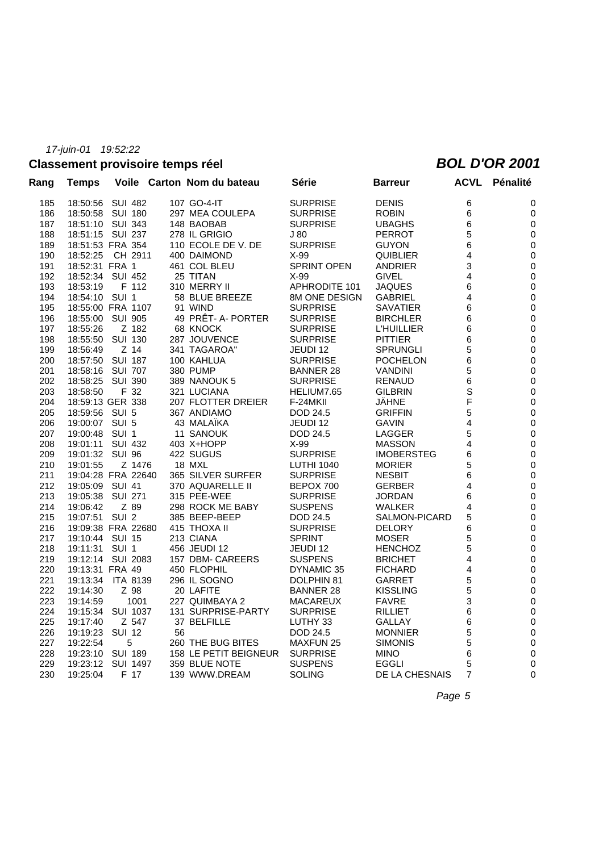# **Classement provisoire temps réel** *BOL D'OR 2001*

| Rang | <b>Temps</b>       |                  |    | Voile Carton Nom du bateau | Série              | <b>Barreur</b>    | <b>ACVL</b>    | Pénalité         |
|------|--------------------|------------------|----|----------------------------|--------------------|-------------------|----------------|------------------|
| 185  | 18:50:56 SUI 482   |                  |    | 107 GO-4-IT                | <b>SURPRISE</b>    | <b>DENIS</b>      | 6              | 0                |
| 186  | 18:50:58           | SUI 180          |    | 297 MEA COULEPA            | <b>SURPRISE</b>    | <b>ROBIN</b>      | 6              | 0                |
| 187  | 18:51:10 SUI 343   |                  |    | 148 BAOBAB                 | <b>SURPRISE</b>    | <b>UBAGHS</b>     | 6              | $\boldsymbol{0}$ |
| 188  | 18:51:15 SUI 237   |                  |    | 278 IL GRIGIO              | J 80               | <b>PERROT</b>     | 5              | 0                |
| 189  | 18:51:53 FRA 354   |                  |    | 110 ECOLE DE V. DE         | <b>SURPRISE</b>    | <b>GUYON</b>      | 6              | $\boldsymbol{0}$ |
| 190  | 18:52:25           | CH 2911          |    | 400 DAIMOND                | $X-99$             | <b>QUIBLIER</b>   | 4              | $\pmb{0}$        |
| 191  | 18:52:31 FRA 1     |                  |    | 461 COL BLEU               | <b>SPRINT OPEN</b> | <b>ANDRIER</b>    | 3              | $\boldsymbol{0}$ |
| 192  | 18:52:34 SUI 452   |                  |    | 25 TITAN                   | $X-99$             | <b>GIVEL</b>      | 4              | $\pmb{0}$        |
| 193  | 18:53:19           | F 112            |    | 310 MERRY II               | APHRODITE 101      | <b>JAQUES</b>     | 6              | 0                |
| 194  | 18:54:10 SUI 1     |                  |    | 58 BLUE BREEZE             | 8M ONE DESIGN      | <b>GABRIEL</b>    | 4              | $\pmb{0}$        |
| 195  | 18:55:00 FRA 1107  |                  |    | 91 WIND                    | <b>SURPRISE</b>    | <b>SAVATIER</b>   | 6              | 0                |
| 196  | 18:55:00           | <b>SUI 905</b>   |    | 49 PRÊT- A- PORTER         | <b>SURPRISE</b>    | <b>BIRCHLER</b>   | 6              | $\boldsymbol{0}$ |
| 197  | 18:55:26           | Z 182            |    | 68 KNOCK                   | <b>SURPRISE</b>    | <b>L'HUILLIER</b> | 6              | 0                |
| 198  | 18:55:50           | <b>SUI 130</b>   |    | 287 JOUVENCE               | <b>SURPRISE</b>    | <b>PITTIER</b>    | 6              | $\boldsymbol{0}$ |
| 199  | 18:56:49           | Z 14             |    | 341 TAGAROA"               | JEUDI 12           | <b>SPRUNGLI</b>   | 5              | $\pmb{0}$        |
| 200  | 18:57:50 SUI 187   |                  |    | 100 KAHLUA                 | <b>SURPRISE</b>    | <b>POCHELON</b>   | 6              | 0                |
| 201  | 18:58:16 SUI 707   |                  |    | <b>380 PUMP</b>            | <b>BANNER 28</b>   | <b>VANDINI</b>    | 5              | $\pmb{0}$        |
| 202  | 18:58:25           | SUI 390          |    | 389 NANOUK 5               | <b>SURPRISE</b>    | <b>RENAUD</b>     | 6              | 0                |
| 203  | 18:58:50           | F 32             |    | 321 LUCIANA                | HELIUM7.65         | <b>GILBRIN</b>    | $\mathbf S$    | 0                |
| 204  | 18:59:13 GER 338   |                  |    | 207 FLOTTER DREIER         | F-24MKII           | <b>JAHNE</b>      | F              | 0                |
| 205  | 18:59:56 SUI 5     |                  |    | 367 ANDIAMO                | <b>DOD 24.5</b>    | <b>GRIFFIN</b>    | 5              | $\boldsymbol{0}$ |
| 206  | 19:00:07 SUI 5     |                  |    | 43 MALAÏKA                 | JEUDI 12           | <b>GAVIN</b>      | 4              | $\pmb{0}$        |
| 207  | 19:00:48 SUI 1     |                  |    | 11 SANOUK                  | DOD 24.5           | LAGGER            | 5              | $\boldsymbol{0}$ |
| 208  | 19:01:11 SUI 432   |                  |    | 403 X+HOPP                 | X-99               | <b>MASSON</b>     | 4              | $\pmb{0}$        |
| 209  | 19:01:32 SUI 96    |                  |    | 422 SUGUS                  | <b>SURPRISE</b>    | <b>IMOBERSTEG</b> | 6              | 0                |
| 210  | 19:01:55           | Z 1476           |    | 18 MXL                     | <b>LUTHI 1040</b>  | <b>MORIER</b>     | 5              | $\pmb{0}$        |
| 211  | 19:04:28 FRA 22640 |                  |    | 365 SILVER SURFER          | <b>SURPRISE</b>    | <b>NESBIT</b>     | 6              | 0                |
| 212  | 19:05:09           | <b>SUI 41</b>    |    | 370 AQUARELLE II           | BEPOX 700          | <b>GERBER</b>     | 4              | $\boldsymbol{0}$ |
| 213  | 19:05:38           | <b>SUI 271</b>   |    | 315 PEE-WEE                | <b>SURPRISE</b>    | <b>JORDAN</b>     | 6              | $\pmb{0}$        |
| 214  | 19:06:42           | Z 89             |    | 298 ROCK ME BABY           | <b>SUSPENS</b>     | <b>WALKER</b>     | 4              | $\boldsymbol{0}$ |
| 215  | 19:07:51           | SUI <sub>2</sub> |    | 385 BEEP-BEEP              | DOD 24.5           | SALMON-PICARD     | 5              | $\pmb{0}$        |
| 216  | 19:09:38 FRA 22680 |                  |    | 415 THOXA II               | <b>SURPRISE</b>    | <b>DELORY</b>     | 6              | 0                |
| 217  | 19:10:44 SUI 15    |                  |    | 213 CIANA                  | <b>SPRINT</b>      | <b>MOSER</b>      | 5              | $\pmb{0}$        |
| 218  | 19:11:31 SUI 1     |                  |    | 456 JEUDI 12               | JEUDI 12           | <b>HENCHOZ</b>    | 5              | 0                |
| 219  | 19:12:14 SUI 2083  |                  |    | 157 DBM- CAREERS           | <b>SUSPENS</b>     | <b>BRICHET</b>    | 4              | $\boldsymbol{0}$ |
| 220  | 19:13:31 FRA 49    |                  |    | 450 FLOPHIL                | DYNAMIC 35         | <b>FICHARD</b>    | 4              | 0                |
| 221  | 19:13:34           | <b>ITA 8139</b>  |    | 296 IL SOGNO               | DOLPHIN 81         | <b>GARRET</b>     | 5              | $\boldsymbol{0}$ |
| 222  | 19:14:30           | Z 98             |    | 20 LAFITE                  | BANNER 28          | <b>KISSLING</b>   | 5              | $\pmb{0}$        |
| 223  | 19:14:59           | 1001             |    | 227 QUIMBAYA 2             | <b>MACAREUX</b>    | <b>FAVRE</b>      | 3              | 0                |
| 224  | 19:15:34           | SUI 1037         |    | 131 SURPRISE-PARTY         | <b>SURPRISE</b>    | <b>RILLIET</b>    | 6              | 0                |
| 225  | 19:17:40           | Z 547            |    | 37 BELFILLE                | LUTHY 33           | GALLAY            | 6              | 0                |
| 226  | 19:19:23           | <b>SUI 12</b>    | 56 |                            | DOD 24.5           | <b>MONNIER</b>    | 5              | 0                |
| 227  | 19:22:54           | 5                |    | 260 THE BUG BITES          | <b>MAXFUN 25</b>   | <b>SIMONIS</b>    | 5              | 0                |
| 228  | 19:23:10           | <b>SUI 189</b>   |    | 158 LE PETIT BEIGNEUR      | <b>SURPRISE</b>    | <b>MINO</b>       | 6              | 0                |
| 229  | 19:23:12           | <b>SUI 1497</b>  |    | 359 BLUE NOTE              | <b>SUSPENS</b>     | <b>EGGLI</b>      | 5              | 0                |
| 230  | 19:25:04           | F 17             |    | 139 WWW.DREAM              | <b>SOLING</b>      | DE LA CHESNAIS    | $\overline{7}$ | $\mathbf 0$      |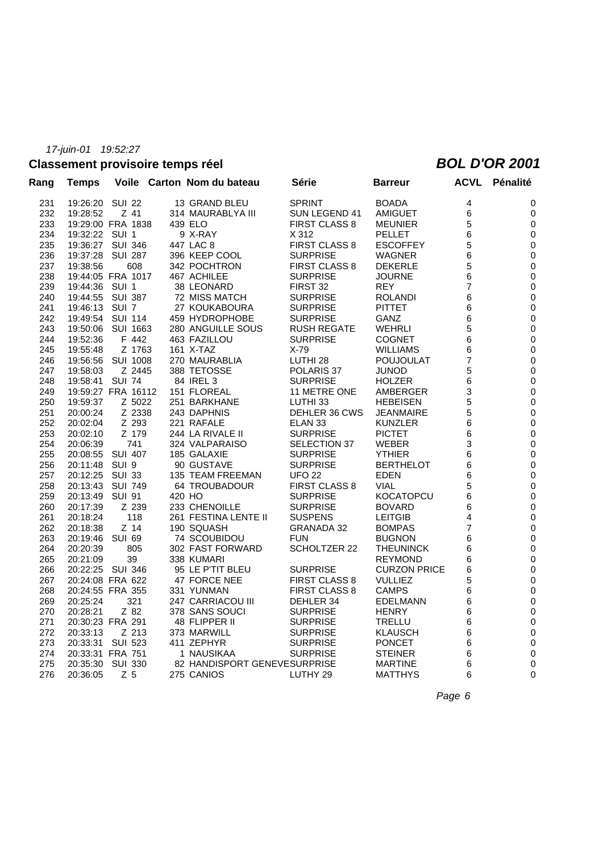### **Classement provisoire temps réel** *BOL D'OR 2001*

| <b>Temps</b> |                      |                                                                                                                                                                                                                                                                         |                    | Série                                                                                                                                                                                                                                                                                                                                                                                                                                                                                                                                                                                                                                                                                                                                                                                        | <b>Barreur</b>                                                                                 |                                     | <b>ACVL Pénalité</b>                                |
|--------------|----------------------|-------------------------------------------------------------------------------------------------------------------------------------------------------------------------------------------------------------------------------------------------------------------------|--------------------|----------------------------------------------------------------------------------------------------------------------------------------------------------------------------------------------------------------------------------------------------------------------------------------------------------------------------------------------------------------------------------------------------------------------------------------------------------------------------------------------------------------------------------------------------------------------------------------------------------------------------------------------------------------------------------------------------------------------------------------------------------------------------------------------|------------------------------------------------------------------------------------------------|-------------------------------------|-----------------------------------------------------|
|              | <b>SUI 22</b>        |                                                                                                                                                                                                                                                                         |                    | <b>SPRINT</b>                                                                                                                                                                                                                                                                                                                                                                                                                                                                                                                                                                                                                                                                                                                                                                                | <b>BOADA</b>                                                                                   | 4                                   | 0                                                   |
| 19:28:52     | Z 41                 |                                                                                                                                                                                                                                                                         |                    | SUN LEGEND 41                                                                                                                                                                                                                                                                                                                                                                                                                                                                                                                                                                                                                                                                                                                                                                                | AMIGUET                                                                                        | 6                                   | 0                                                   |
|              |                      |                                                                                                                                                                                                                                                                         |                    | <b>FIRST CLASS 8</b>                                                                                                                                                                                                                                                                                                                                                                                                                                                                                                                                                                                                                                                                                                                                                                         | <b>MEUNIER</b>                                                                                 | 5                                   | 0                                                   |
|              |                      |                                                                                                                                                                                                                                                                         |                    | X 312                                                                                                                                                                                                                                                                                                                                                                                                                                                                                                                                                                                                                                                                                                                                                                                        | PELLET                                                                                         | 6                                   | 0                                                   |
|              |                      |                                                                                                                                                                                                                                                                         |                    | <b>FIRST CLASS 8</b>                                                                                                                                                                                                                                                                                                                                                                                                                                                                                                                                                                                                                                                                                                                                                                         | ESCOFFEY                                                                                       | 5                                   | 0                                                   |
| 19:37:28     | SUI 287              |                                                                                                                                                                                                                                                                         |                    | <b>SURPRISE</b>                                                                                                                                                                                                                                                                                                                                                                                                                                                                                                                                                                                                                                                                                                                                                                              | WAGNER                                                                                         | 6                                   | 0                                                   |
| 19:38:56     | 608                  |                                                                                                                                                                                                                                                                         |                    | <b>FIRST CLASS 8</b>                                                                                                                                                                                                                                                                                                                                                                                                                                                                                                                                                                                                                                                                                                                                                                         | <b>DEKERLE</b>                                                                                 | 5                                   | 0                                                   |
|              |                      |                                                                                                                                                                                                                                                                         |                    | <b>SURPRISE</b>                                                                                                                                                                                                                                                                                                                                                                                                                                                                                                                                                                                                                                                                                                                                                                              | JOURNE                                                                                         | 6                                   | 0                                                   |
| 19:44:36     | SUI 1                |                                                                                                                                                                                                                                                                         |                    | FIRST 32                                                                                                                                                                                                                                                                                                                                                                                                                                                                                                                                                                                                                                                                                                                                                                                     | <b>REY</b>                                                                                     | $\overline{7}$                      | 0                                                   |
| 19:44:55     | SUI 387              |                                                                                                                                                                                                                                                                         |                    | <b>SURPRISE</b>                                                                                                                                                                                                                                                                                                                                                                                                                                                                                                                                                                                                                                                                                                                                                                              | <b>ROLANDI</b>                                                                                 | 6                                   | 0                                                   |
| 19:46:13     | SUI 7                |                                                                                                                                                                                                                                                                         |                    | <b>SURPRISE</b>                                                                                                                                                                                                                                                                                                                                                                                                                                                                                                                                                                                                                                                                                                                                                                              | PITTET                                                                                         | 6                                   | 0                                                   |
| 19:49:54     | <b>SUI 114</b>       |                                                                                                                                                                                                                                                                         |                    | <b>SURPRISE</b>                                                                                                                                                                                                                                                                                                                                                                                                                                                                                                                                                                                                                                                                                                                                                                              | GANZ                                                                                           | 6                                   | 0                                                   |
| 19:50:06     | SUI 1663             |                                                                                                                                                                                                                                                                         |                    | <b>RUSH REGATE</b>                                                                                                                                                                                                                                                                                                                                                                                                                                                                                                                                                                                                                                                                                                                                                                           | WEHRLI                                                                                         | 5                                   | 0                                                   |
| 19:52:36     | F 442                |                                                                                                                                                                                                                                                                         |                    | <b>SURPRISE</b>                                                                                                                                                                                                                                                                                                                                                                                                                                                                                                                                                                                                                                                                                                                                                                              | <b>COGNET</b>                                                                                  | 6                                   | 0                                                   |
| 19:55:48     | Z 1763               |                                                                                                                                                                                                                                                                         |                    | $X-79$                                                                                                                                                                                                                                                                                                                                                                                                                                                                                                                                                                                                                                                                                                                                                                                       | WILLIAMS                                                                                       | 6                                   | 0                                                   |
| 19:56:56     | SUI 1008             |                                                                                                                                                                                                                                                                         |                    | LUTHI <sub>28</sub>                                                                                                                                                                                                                                                                                                                                                                                                                                                                                                                                                                                                                                                                                                                                                                          | POUJOULAT                                                                                      | $\overline{7}$                      | 0                                                   |
| 19:58:03     | Z 2445               |                                                                                                                                                                                                                                                                         |                    | POLARIS 37                                                                                                                                                                                                                                                                                                                                                                                                                                                                                                                                                                                                                                                                                                                                                                                   | JUNOD                                                                                          | 5                                   | 0                                                   |
| 19:58:41     | <b>SUI 74</b>        |                                                                                                                                                                                                                                                                         |                    | <b>SURPRISE</b>                                                                                                                                                                                                                                                                                                                                                                                                                                                                                                                                                                                                                                                                                                                                                                              | <b>HOLZER</b>                                                                                  | 6                                   | 0                                                   |
|              |                      |                                                                                                                                                                                                                                                                         |                    | 11 METRE ONE                                                                                                                                                                                                                                                                                                                                                                                                                                                                                                                                                                                                                                                                                                                                                                                 | AMBERGER                                                                                       | 3                                   | 0                                                   |
| 19:59:37     | Z 5022               |                                                                                                                                                                                                                                                                         |                    | LUTHI <sub>33</sub>                                                                                                                                                                                                                                                                                                                                                                                                                                                                                                                                                                                                                                                                                                                                                                          | <b>HEBEISEN</b>                                                                                | 5                                   | 0                                                   |
| 20:00:24     | Z 2338               |                                                                                                                                                                                                                                                                         |                    | DEHLER 36 CWS                                                                                                                                                                                                                                                                                                                                                                                                                                                                                                                                                                                                                                                                                                                                                                                | JEANMAIRE                                                                                      | 5                                   | 0                                                   |
| 20:02:04     | Z 293                |                                                                                                                                                                                                                                                                         |                    | ELAN <sub>33</sub>                                                                                                                                                                                                                                                                                                                                                                                                                                                                                                                                                                                                                                                                                                                                                                           | <b>KUNZLER</b>                                                                                 | 6                                   | 0                                                   |
| 20:02:10     | Z 179                |                                                                                                                                                                                                                                                                         |                    | <b>SURPRISE</b>                                                                                                                                                                                                                                                                                                                                                                                                                                                                                                                                                                                                                                                                                                                                                                              | <b>PICTET</b>                                                                                  | 6                                   | 0                                                   |
| 20:06:39     | 741                  |                                                                                                                                                                                                                                                                         |                    | SELECTION 37                                                                                                                                                                                                                                                                                                                                                                                                                                                                                                                                                                                                                                                                                                                                                                                 | WEBER                                                                                          | 3                                   | 0                                                   |
| 20:08:55     | SUI 407              |                                                                                                                                                                                                                                                                         |                    | <b>SURPRISE</b>                                                                                                                                                                                                                                                                                                                                                                                                                                                                                                                                                                                                                                                                                                                                                                              | <b>YTHIER</b>                                                                                  | 6                                   | 0                                                   |
| 20:11:48     | SUI 9                |                                                                                                                                                                                                                                                                         |                    | <b>SURPRISE</b>                                                                                                                                                                                                                                                                                                                                                                                                                                                                                                                                                                                                                                                                                                                                                                              | <b>BERTHELOT</b>                                                                               | 6                                   | 0                                                   |
| 20:12:25     | SUI 33               |                                                                                                                                                                                                                                                                         |                    | <b>UFO 22</b>                                                                                                                                                                                                                                                                                                                                                                                                                                                                                                                                                                                                                                                                                                                                                                                | EDEN                                                                                           | 6                                   | 0                                                   |
| 20:13:43     | SUI 749              |                                                                                                                                                                                                                                                                         |                    | <b>FIRST CLASS 8</b>                                                                                                                                                                                                                                                                                                                                                                                                                                                                                                                                                                                                                                                                                                                                                                         | <b>VIAL</b>                                                                                    | 5                                   | 0                                                   |
| 20:13:49     |                      |                                                                                                                                                                                                                                                                         |                    | <b>SURPRISE</b>                                                                                                                                                                                                                                                                                                                                                                                                                                                                                                                                                                                                                                                                                                                                                                              | <b>KOCATOPCU</b>                                                                               | 6                                   | 0                                                   |
| 20:17:39     | Z 239                |                                                                                                                                                                                                                                                                         |                    | <b>SURPRISE</b>                                                                                                                                                                                                                                                                                                                                                                                                                                                                                                                                                                                                                                                                                                                                                                              | <b>BOVARD</b>                                                                                  | 6                                   | 0                                                   |
| 20:18:24     |                      |                                                                                                                                                                                                                                                                         |                    |                                                                                                                                                                                                                                                                                                                                                                                                                                                                                                                                                                                                                                                                                                                                                                                              | <b>LEITGIB</b>                                                                                 |                                     | 0                                                   |
| 20:18:38     | Z 14                 |                                                                                                                                                                                                                                                                         |                    | <b>GRANADA 32</b>                                                                                                                                                                                                                                                                                                                                                                                                                                                                                                                                                                                                                                                                                                                                                                            | <b>BOMPAS</b>                                                                                  | 7                                   | 0                                                   |
| 20:19:46     | SUI 69               |                                                                                                                                                                                                                                                                         |                    | <b>FUN</b>                                                                                                                                                                                                                                                                                                                                                                                                                                                                                                                                                                                                                                                                                                                                                                                   | <b>BUGNON</b>                                                                                  | 6                                   | 0                                                   |
| 20:20:39     |                      |                                                                                                                                                                                                                                                                         |                    |                                                                                                                                                                                                                                                                                                                                                                                                                                                                                                                                                                                                                                                                                                                                                                                              |                                                                                                |                                     | 0                                                   |
| 20:21:09     |                      |                                                                                                                                                                                                                                                                         |                    |                                                                                                                                                                                                                                                                                                                                                                                                                                                                                                                                                                                                                                                                                                                                                                                              | REYMOND                                                                                        |                                     | 0                                                   |
|              |                      |                                                                                                                                                                                                                                                                         |                    | <b>SURPRISE</b>                                                                                                                                                                                                                                                                                                                                                                                                                                                                                                                                                                                                                                                                                                                                                                              | <b>CURZON PRICE</b>                                                                            | 6                                   | 0                                                   |
|              |                      |                                                                                                                                                                                                                                                                         |                    | <b>FIRST CLASS 8</b>                                                                                                                                                                                                                                                                                                                                                                                                                                                                                                                                                                                                                                                                                                                                                                         | <b>VULLIEZ</b>                                                                                 |                                     | 0                                                   |
|              |                      |                                                                                                                                                                                                                                                                         |                    | <b>FIRST CLASS 8</b>                                                                                                                                                                                                                                                                                                                                                                                                                                                                                                                                                                                                                                                                                                                                                                         | <b>CAMPS</b>                                                                                   | 6                                   | 0                                                   |
|              |                      |                                                                                                                                                                                                                                                                         |                    |                                                                                                                                                                                                                                                                                                                                                                                                                                                                                                                                                                                                                                                                                                                                                                                              |                                                                                                |                                     | 0                                                   |
| 20:28:21     | Z 82                 |                                                                                                                                                                                                                                                                         |                    | <b>SURPRISE</b>                                                                                                                                                                                                                                                                                                                                                                                                                                                                                                                                                                                                                                                                                                                                                                              | <b>HENRY</b>                                                                                   | 6                                   | 0                                                   |
|              |                      |                                                                                                                                                                                                                                                                         |                    | <b>SURPRISE</b>                                                                                                                                                                                                                                                                                                                                                                                                                                                                                                                                                                                                                                                                                                                                                                              | TRELLU                                                                                         |                                     | 0                                                   |
|              |                      |                                                                                                                                                                                                                                                                         |                    |                                                                                                                                                                                                                                                                                                                                                                                                                                                                                                                                                                                                                                                                                                                                                                                              | KLAUSCH                                                                                        |                                     | 0                                                   |
| 20:33:31     |                      |                                                                                                                                                                                                                                                                         |                    | <b>SURPRISE</b>                                                                                                                                                                                                                                                                                                                                                                                                                                                                                                                                                                                                                                                                                                                                                                              | <b>PONCET</b>                                                                                  |                                     | 0                                                   |
|              |                      |                                                                                                                                                                                                                                                                         |                    | <b>SURPRISE</b>                                                                                                                                                                                                                                                                                                                                                                                                                                                                                                                                                                                                                                                                                                                                                                              | STEINER                                                                                        |                                     | 0                                                   |
| 20:35:30     |                      |                                                                                                                                                                                                                                                                         |                    |                                                                                                                                                                                                                                                                                                                                                                                                                                                                                                                                                                                                                                                                                                                                                                                              | <b>MARTINE</b>                                                                                 |                                     | 0                                                   |
| 20:36:05     | Z 5                  |                                                                                                                                                                                                                                                                         |                    | LUTHY 29                                                                                                                                                                                                                                                                                                                                                                                                                                                                                                                                                                                                                                                                                                                                                                                     | <b>MATTHYS</b>                                                                                 |                                     | 0                                                   |
|              | 20:25:24<br>20:33:13 | 19:26:20<br>19:29:00 FRA 1838<br>19:32:22 SUI 1<br>19:36:27 SUI 346<br>19:44:05 FRA 1017<br>SUI 91<br>118<br>805<br>39<br>20:22:25 SUI 346<br>20:24:08 FRA 622<br>20:24:55 FRA 355<br>321<br>20:30:23 FRA 291<br>Z 213<br>SUI 523<br>20:33:31 FRA 751<br><b>SUI 330</b> | 19:59:27 FRA 16112 | Voile Carton Nom du bateau<br>13 GRAND BLEU<br>314 MAURABLYA III<br>439 ELO<br>9 X-RAY<br>447 LAC 8<br>396 KEEP COOL<br>342 POCHTRON<br>467 ACHILEE<br>38 LEONARD<br>72 MISS MATCH<br>27 KOUKABOURA<br>459 HYDROPHOBE<br><b>280 ANGUILLE SOUS</b><br>463 FAZILLOU<br>161 X-TAZ<br>270 MAURABLIA<br>388 TETOSSE<br>84 IREL 3<br>151 FLOREAL<br>251 BARKHANE<br>243 DAPHNIS<br>221 RAFALE<br>244 LA RIVALE II<br>324 VALPARAISO<br>185 GALAXIE<br>90 GUSTAVE<br>135 TEAM FREEMAN<br><b>64 TROUBADOUR</b><br>420 HO<br>233 CHENOILLE<br>261 FESTINA LENTE II<br>190 SQUASH<br>74 SCOUBIDOU<br>302 FAST FORWARD<br>338 KUMARI<br>95 LE P'TIT BLEU<br>47 FORCE NEE<br>331 YUNMAN<br>247 CARRIACOU III<br>378 SANS SOUCI<br>48 FLIPPER II<br>373 MARWILL<br>411 ZEPHYR<br>1 NAUSIKAA<br>275 CANIOS | <b>SUSPENS</b><br>SCHOLTZER 22<br>DEHLER 34<br><b>SURPRISE</b><br>82 HANDISPORT GENEVESURPRISE | <b>THEUNINCK</b><br><b>EDELMANN</b> | 4<br>6<br>6<br>5<br>6<br>6<br>6<br>6<br>6<br>6<br>6 |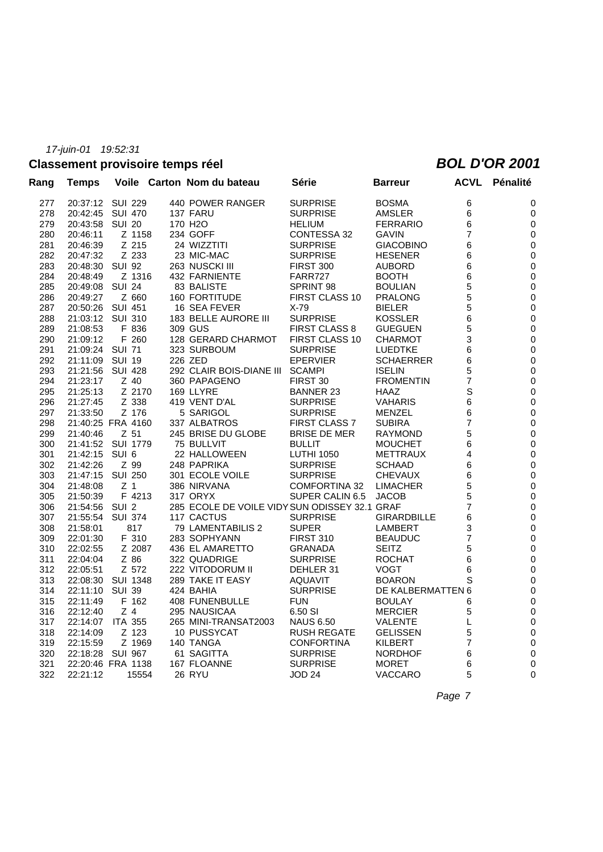# **Classement provisoire temps réel** *BOL D'OR 2001*

| Rang | Temps             |                  | Voile Carton Nom du bateau                    | Série                 | <b>Barreur</b>     | <b>ACVL</b>    | Pénalité         |
|------|-------------------|------------------|-----------------------------------------------|-----------------------|--------------------|----------------|------------------|
| 277  | 20:37:12 SUI 229  |                  | 440 POWER RANGER                              | <b>SURPRISE</b>       | <b>BOSMA</b>       | 6              | 0                |
| 278  | 20:42:45          | <b>SUI 470</b>   | 137 FARU                                      | <b>SURPRISE</b>       | <b>AMSLER</b>      | 6              | 0                |
| 279  | 20:43:58          | <b>SUI 20</b>    | 170 H <sub>2</sub> O                          | <b>HELIUM</b>         | <b>FERRARIO</b>    | 6              | 0                |
| 280  | 20:46:11          | Z 1158           | 234 GOFF                                      | CONTESSA 32           | <b>GAVIN</b>       | 7              | 0                |
| 281  | 20:46:39          | Z 215            | 24 WIZZTITI                                   | <b>SURPRISE</b>       | <b>GIACOBINO</b>   | 6              | 0                |
| 282  | 20:47:32          | Z 233            | 23 MIC-MAC                                    | <b>SURPRISE</b>       | <b>HESENER</b>     | 6              | 0                |
| 283  | 20:48:30          | <b>SUI 92</b>    | 263 NUSCKI III                                | <b>FIRST 300</b>      | <b>AUBORD</b>      | 6              | $\boldsymbol{0}$ |
| 284  | 20:48:49          | Z 1316           | 432 FARNIENTE                                 | FARR727               | <b>BOOTH</b>       | 6              | 0                |
| 285  | 20:49:08          | <b>SUI 24</b>    | 83 BALISTE                                    | SPRINT 98             | <b>BOULIAN</b>     | 5              | $\boldsymbol{0}$ |
| 286  | 20:49:27          | Z 660            | 160 FORTITUDE                                 | <b>FIRST CLASS 10</b> | <b>PRALONG</b>     | 5              | 0                |
| 287  | 20:50:26          | SUI 451          | 16 SEA FEVER                                  | $X-79$                | <b>BIELER</b>      | 5              | 0                |
| 288  | 21:03:12          | <b>SUI 310</b>   | 183 BELLE AURORE III                          | <b>SURPRISE</b>       | <b>KOSSLER</b>     | 6              | 0                |
| 289  | 21:08:53          | F 836            | 309 GUS                                       | FIRST CLASS 8         | <b>GUEGUEN</b>     | 5              | 0                |
| 290  | 21:09:12          | F 260            | 128 GERARD CHARMOT                            | FIRST CLASS 10        | <b>CHARMOT</b>     | 3              | 0                |
| 291  | 21:09:24          | <b>SUI 71</b>    | 323 SURBOUM                                   | <b>SURPRISE</b>       | <b>LUEDTKE</b>     | 6              | 0                |
| 292  | 21:11:09          | <b>SUI 19</b>    | 226 ZED                                       | <b>EPERVIER</b>       | <b>SCHAERRER</b>   | 6              | 0                |
| 293  | 21:21:56          | <b>SUI 428</b>   | 292 CLAIR BOIS-DIANE III SCAMPI               |                       | <b>ISELIN</b>      | 5              | 0                |
| 294  | 21:23:17          | $Z$ 40           | 360 PAPAGENO                                  | FIRST 30              | <b>FROMENTIN</b>   | $\overline{7}$ | 0                |
| 295  | 21:25:13          | Z 2170           | 169 LLYRE                                     | <b>BANNER 23</b>      | <b>HAAZ</b>        | S              | 0                |
| 296  | 21:27:45          | Z 338            | 419 VENT D'AL                                 | <b>SURPRISE</b>       | <b>VAHARIS</b>     | 6              | 0                |
| 297  | 21:33:50          | Z 176            | 5 SARIGOL                                     | <b>SURPRISE</b>       | MENZEL             | 6              | 0                |
| 298  | 21:40:25 FRA 4160 |                  | 337 ALBATROS                                  | <b>FIRST CLASS 7</b>  | <b>SUBIRA</b>      | 7              | 0                |
| 299  | 21:40:46          | $Z$ 51           | 245 BRISE DU GLOBE                            | <b>BRISE DE MER</b>   | <b>RAYMOND</b>     | 5              | $\mathbf 0$      |
| 300  | 21:41:52 SUI 1779 |                  | 75 BULLVIT                                    | <b>BULLIT</b>         | <b>MOUCHET</b>     | 6              | 0                |
| 301  | 21:42:15          | SUI <sub>6</sub> | 22 HALLOWEEN                                  | <b>LUTHI 1050</b>     | <b>METTRAUX</b>    | 4              | 0                |
| 302  | 21:42:26          | Z 99             | 248 PAPRIKA                                   | <b>SURPRISE</b>       | <b>SCHAAD</b>      | 6              | 0                |
| 303  | 21:47:15          | <b>SUI 250</b>   | 301 ECOLE VOILE                               | <b>SURPRISE</b>       | <b>CHEVAUX</b>     | 6              | 0                |
| 304  | 21:48:08          | Z <sub>1</sub>   | 386 NIRVANA                                   | <b>COMFORTINA 32</b>  | <b>LIMACHER</b>    | 5              | 0                |
| 305  | 21:50:39          | F 4213           | 317 ORYX                                      | SUPER CALIN 6.5       | <b>JACOB</b>       | 5              | 0                |
| 306  | 21:54:56          | SUI <sub>2</sub> | 285 ECOLE DE VOILE VIDY SUN ODISSEY 32.1 GRAF |                       |                    | 7              | $\boldsymbol{0}$ |
| 307  | 21:55:54          | <b>SUI 374</b>   | 117 CACTUS                                    | <b>SURPRISE</b>       | <b>GIRARDBILLE</b> | 6              | 0                |
| 308  | 21:58:01          | 817              | 79 LAMENTABILIS 2                             | <b>SUPER</b>          | <b>LAMBERT</b>     | 3              | $\boldsymbol{0}$ |
| 309  | 22:01:30          | F 310            | 283 SOPHYANN                                  | <b>FIRST 310</b>      | <b>BEAUDUC</b>     | 7              | 0                |
| 310  | 22:02:55          | Z 2087           | 436 EL AMARETTO                               | GRANADA               | <b>SEITZ</b>       | 5              | 0                |
| 311  | 22:04:04          | Z 86             | 322 QUADRIGE                                  | <b>SURPRISE</b>       | <b>ROCHAT</b>      | 6              | 0                |
| 312  | 22:05:51          | Z 572            | 222 VITODORUM II                              | DEHLER 31             | <b>VOGT</b>        | 6              | 0                |
| 313  | 22:08:30          | <b>SUI 1348</b>  | 289 TAKE IT EASY                              | <b>AQUAVIT</b>        | <b>BOARON</b>      | S              | 0                |
| 314  | 22:11:10          | <b>SUI 39</b>    | 424 BAHIA                                     | <b>SURPRISE</b>       | DE KALBERMATTEN 6  |                | 0                |
| 315  | 22:11:49          | F 162            | 408 FUNENBULLE                                | <b>FUN</b>            | <b>BOULAY</b>      | 6              | 0                |
| 316  | 22:12:40          | Z <sub>4</sub>   | 295 NAUSICAA                                  | 6.50 SI               | <b>MERCIER</b>     | 5              | 0                |
| 317  | 22:14:07          | <b>ITA 355</b>   | 265 MINI-TRANSAT2003                          | <b>NAUS 6.50</b>      | <b>VALENTE</b>     | L              | 0                |
| 318  | 22:14:09          | Z 123            | 10 PUSSYCAT                                   | <b>RUSH REGATE</b>    | <b>GELISSEN</b>    | 5              | 0                |
| 319  | 22:15:59          | Z 1969           | 140 TANGA                                     | <b>CONFORTINA</b>     | <b>KILBERT</b>     | 7              | 0                |
| 320  | 22:18:28          | SUI 967          | 61 SAGITTA                                    | <b>SURPRISE</b>       | <b>NORDHOF</b>     | 6              | 0                |
| 321  | 22:20:46 FRA 1138 |                  | 167 FLOANNE                                   | <b>SURPRISE</b>       | <b>MORET</b>       | 6              | 0                |
| 322  | 22:21:12          | 15554            | 26 RYU                                        | JOD 24                | <b>VACCARO</b>     | 5              | $\mathbf{0}$     |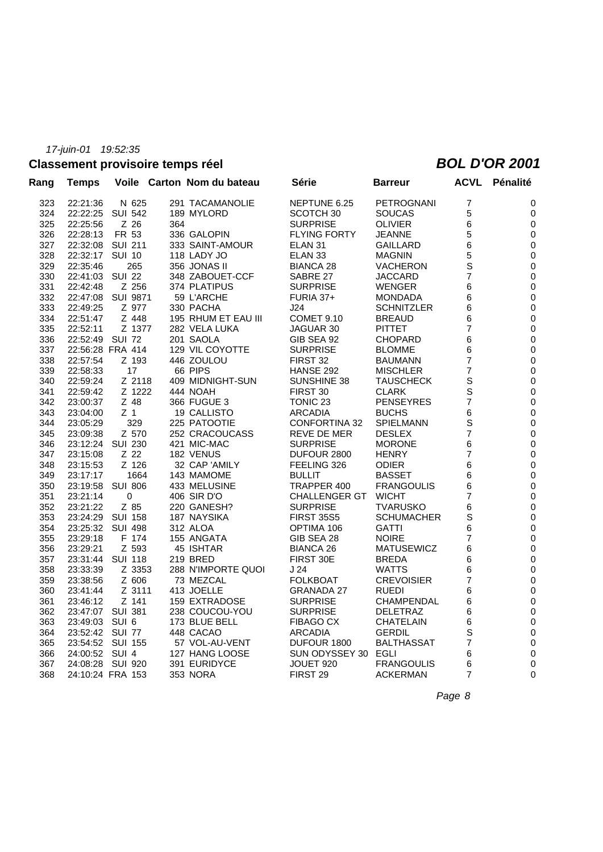# **Classement provisoire temps réel** *BOL D'OR 2001*

| Rang | <b>Temps</b>   |                   |     | Voile Carton Nom du bateau | Série                | <b>Barreur</b>    | <b>ACVL</b>    | Pénalité         |
|------|----------------|-------------------|-----|----------------------------|----------------------|-------------------|----------------|------------------|
| 323  | 22:21:36       | N 625             |     | 291 TACAMANOLIE            | NEPTUNE 6.25         | <b>PETROGNANI</b> | $\overline{7}$ | 0                |
| 324  | 22:22:25       | <b>SUI 542</b>    |     | 189 MYLORD                 | SCOTCH 30            | <b>SOUCAS</b>     | 5              | 0                |
| 325  | 22:25:56       | Z 26              | 364 |                            | <b>SURPRISE</b>      | <b>OLIVIER</b>    | 6              | $\boldsymbol{0}$ |
| 326  | 22:28:13       | FR 53             |     | 336 GALOPIN                | <b>FLYING FORTY</b>  | <b>JEANNE</b>     | 5              | $\pmb{0}$        |
| 327  | 22:32:08       | <b>SUI 211</b>    |     | 333 SAINT-AMOUR            | ELAN 31              | GAILLARD          | 6              | $\pmb{0}$        |
| 328  | 22:32:17       | <b>SUI 10</b>     |     | 118 LADY JO                | ELAN <sub>33</sub>   | <b>MAGNIN</b>     | 5              | 0                |
| 329  | 22:35:46       | 265               |     | 356 JONAS II               | BIANCA 28            | <b>VACHERON</b>   | $\mathbf S$    | 0                |
| 330  | 22:41:03       | <b>SUI 22</b>     |     | 348 ZABOUET-CCF            | SABRE 27             | <b>JACCARD</b>    | 7              | 0                |
| 331  | 22:42:48       | Z 256             |     | 374 PLATIPUS               | <b>SURPRISE</b>      | <b>WENGER</b>     | 6              | 0                |
| 332  |                | 22:47:08 SUI 9871 |     | 59 L'ARCHE                 | <b>FURIA 37+</b>     | <b>MONDADA</b>    | 6              | 0                |
| 333  | 22:49:25       | Z 977             |     | 330 PACHA                  | J24                  | <b>SCHNITZLER</b> | 6              | $\pmb{0}$        |
| 334  | 22:51:47       | Z 448             |     | 195 RHUM ET EAU III        | <b>COMET 9.10</b>    | <b>BREAUD</b>     | 6              | $\boldsymbol{0}$ |
| 335  | 22:52:11       | Z 1377            |     | 282 VELA LUKA              | JAGUAR 30            | <b>PITTET</b>     | $\overline{7}$ | 0                |
| 336  | 22:52:49       | <b>SUI 72</b>     |     | 201 SAOLA                  | GIB SEA 92           | <b>CHOPARD</b>    | 6              | 0                |
| 337  |                | 22:56:28 FRA 414  |     | 129 VIL COYOTTE            | <b>SURPRISE</b>      | <b>BLOMME</b>     | 6              | 0                |
| 338  | 22:57:54       | Z 193             |     | 446 ZOULOU                 | FIRST 32             | <b>BAUMANN</b>    | 7              | 0                |
| 339  | 22:58:33       | 17                |     | 66 PIPS                    | HANSE 292            | <b>MISCHLER</b>   | $\overline{7}$ | 0                |
| 340  | 22:59:24       | Z 2118            |     | 409 MIDNIGHT-SUN           | SUNSHINE 38          | <b>TAUSCHECK</b>  | $\mathsf S$    | 0                |
| 341  | 22:59:42       | Z 1222            |     | 444 NOAH                   | FIRST 30             | <b>CLARK</b>      | $\mathsf S$    | 0                |
| 342  | 23:00:37       | Z 48              |     | 366 FUGUE 3                | TONIC 23             | <b>PENSEYRES</b>  | $\overline{7}$ | 0                |
| 343  | 23:04:00       | Z <sub>1</sub>    |     | 19 CALLISTO                | <b>ARCADIA</b>       | <b>BUCHS</b>      | 6              | $\boldsymbol{0}$ |
| 344  | 23:05:29       | 329               |     | 225 PATOOTIE               | <b>CONFORTINA 32</b> | <b>SPIELMANN</b>  | $\mathbf S$    | 0                |
| 345  | 23:09:38       | Z 570             |     | 252 CRACOUCASS             | <b>REVE DE MER</b>   | <b>DESLEX</b>     | $\overline{7}$ | 0                |
| 346  | 23:12:24       | SUI 230           |     | 421 MIC-MAC                | <b>SURPRISE</b>      | <b>MORONE</b>     | 6              | 0                |
| 347  | 23:15:08       | Z 22              |     | 182 VENUS                  | DUFOUR 2800          | <b>HENRY</b>      | $\overline{7}$ | 0                |
| 348  | 23:15:53       | Z 126             |     | 32 CAP 'AMILY              | FEELING 326          | <b>ODIER</b>      | 6              | 0                |
| 349  | 23:17:17       | 1664              |     | 143 MAMOME                 | <b>BULLIT</b>        | <b>BASSET</b>     | 6              | 0                |
| 350  | 23:19:58       | <b>SUI 806</b>    |     | 433 MELUSINE               | TRAPPER 400          | <b>FRANGOULIS</b> | 6              | $\mathbf 0$      |
| 351  | 23:21:14       | 0                 |     | 406 SIR D'O                | <b>CHALLENGER GT</b> | <b>WICHT</b>      | 7              | 0                |
| 352  | 23:21:22       | Z 85              |     | 220 GANESH?                | <b>SURPRISE</b>      | <b>TVARUSKO</b>   | 6              | 0                |
| 353  |                | 23:24:29 SUI 158  |     | 187 NAYSIKA                | <b>FIRST 35S5</b>    | <b>SCHUMACHER</b> | $\mathbf S$    | 0                |
| 354  | 23:25:32       | SUI 498           |     | 312 ALOA                   | OPTIMA 106           | <b>GATTI</b>      | 6              | 0                |
| 355  | 23:29:18       | F 174             |     | 155 ANGATA                 | GIB SEA 28           | <b>NOIRE</b>      | 7              | 0                |
| 356  | 23:29:21       | Z 593             |     | 45 ISHTAR                  | <b>BIANCA 26</b>     | <b>MATUSEWICZ</b> | 6              | 0                |
| 357  |                | 23:31:44 SUI 118  |     | 219 BRED                   | FIRST 30E            | <b>BREDA</b>      | 6              | 0                |
| 358  | 23:33:39       | Z 3353            |     | 288 N'IMPORTE QUOI         | J24                  | <b>WATTS</b>      | 6              | $\pmb{0}$        |
| 359  | 23:38:56       | Z 606             |     | 73 MEZCAL                  | <b>FOLKBOAT</b>      | <b>CREVOISIER</b> | $\overline{7}$ | 0                |
| 360  | 23:41:44       | Z 3111            |     | 413 JOELLE                 | <b>GRANADA 27</b>    | <b>RUEDI</b>      | 6              | 0                |
| 361  | 23:46:12       | Z 141             |     | 159 EXTRADOSE              | <b>SURPRISE</b>      | <b>CHAMPENDAL</b> | 6              | 0                |
| 362  |                | 23:47:07 SUI 381  |     | 238 COUCOU-YOU             | <b>SURPRISE</b>      | <b>DELETRAZ</b>   | 6              | 0                |
| 363  | 23:49:03 SUI 6 |                   |     | 173 BLUE BELL              | <b>FIBAGO CX</b>     | <b>CHATELAIN</b>  | 6              | 0                |
| 364  |                | 23:52:42 SUI 77   |     | 448 CACAO                  | <b>ARCADIA</b>       | <b>GERDIL</b>     | $\mathbf S$    | 0                |
| 365  |                | 23:54:52 SUI 155  |     | 57 VOL-AU-VENT             | DUFOUR 1800          | <b>BALTHASSAT</b> | 7              | 0                |
| 366  | 24:00:52 SUI 4 |                   |     | 127 HANG LOOSE             | SUN ODYSSEY 30 EGLI  |                   | 6              | 0                |
| 367  |                | 24:08:28 SUI 920  |     | 391 EURIDYCE               | JOUET 920            | <b>FRANGOULIS</b> | 6              | 0                |
| 368  |                | 24:10:24 FRA 153  |     | <b>353 NORA</b>            | FIRST 29             | <b>ACKERMAN</b>   | $\overline{7}$ | $\mathbf 0$      |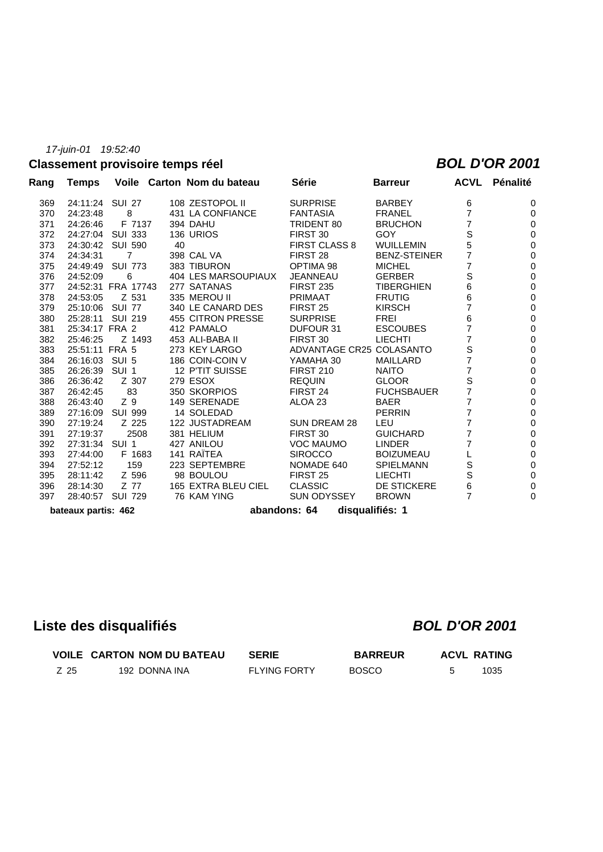# **Classement provisoire temps réel** *BOL D'OR 2001*

| Rang | Temps               |                    |    | Voile Carton Nom du bateau | Série                           | <b>Barreur</b>      | ACVL           | Pénalité |
|------|---------------------|--------------------|----|----------------------------|---------------------------------|---------------------|----------------|----------|
| 369  | 24:11:24 SUI 27     |                    |    | 108 ZESTOPOL II            | <b>SURPRISE</b>                 | <b>BARBEY</b>       | 6              | 0        |
| 370  | 24:23:48            | 8                  |    | 431 LA CONFIANCE           | <b>FANTASIA</b>                 | <b>FRANEL</b>       | $\overline{7}$ | 0        |
| 371  | 24:26:46            | F 7137             |    | 394 DAHU                   | TRIDENT 80                      | <b>BRUCHON</b>      | $\overline{7}$ | 0        |
| 372  |                     | 24:27:04 SUI 333   |    | 136 URIOS                  | FIRST 30                        | <b>GOY</b>          | S              | 0        |
| 373  |                     | 24:30:42 SUI 590   | 40 |                            | <b>FIRST CLASS 8</b>            | <b>WUILLEMIN</b>    | 5              | 0        |
| 374  | 24:34:31            | $\overline{7}$     |    | 398 CAL VA                 | FIRST 28                        | <b>BENZ-STEINER</b> | $\overline{7}$ | 0        |
| 375  |                     | 24:49:49 SUI 773   |    | 383 TIBURON                | OPTIMA 98                       | <b>MICHEL</b>       | 7              | 0        |
| 376  | 24:52:09            | 6                  |    | 404 LES MARSOUPIAUX        | JEANNEAU                        | <b>GERBER</b>       | S              | 0        |
| 377  |                     | 24:52:31 FRA 17743 |    | 277 SATANAS                | <b>FIRST 235</b>                | <b>TIBERGHIEN</b>   | 6              | 0        |
| 378  | 24:53:05            | Z 531              |    | 335 MEROU II               | <b>PRIMAAT</b>                  | <b>FRUTIG</b>       | 6              | 0        |
| 379  | 25:10:06 SUI 77     |                    |    | 340 LE CANARD DES          | FIRST 25                        | <b>KIRSCH</b>       | $\overline{7}$ | 0        |
| 380  | 25:28:11            | <b>SUI 219</b>     |    | 455 CITRON PRESSE          | <b>SURPRISE</b>                 | <b>FREI</b>         | 6              | 0        |
| 381  | 25:34:17 FRA 2      |                    |    | 412 PAMALO                 | DUFOUR 31                       | <b>ESCOUBES</b>     | $\overline{7}$ | 0        |
| 382  | 25:46:25            | Z 1493             |    | 453 ALI-BABA II            | FIRST 30                        | <b>LIECHTI</b>      | $\overline{7}$ | 0        |
| 383  | 25:51:11 FRA 5      |                    |    | 273 KEY LARGO              | ADVANTAGE CR25 COLASANTO        |                     | $\mathbf S$    | 0        |
| 384  | 26:16:03            | SUI 5              |    | 186 COIN-COIN V            | YAMAHA 30                       | <b>MAILLARD</b>     | $\overline{7}$ | 0        |
| 385  | 26:26:39 SUI 1      |                    |    | 12 P'TIT SUISSE            | <b>FIRST 210</b>                | <b>NAITO</b>        | $\overline{7}$ | 0        |
| 386  | 26:36:42            | Z 307              |    | 279 ESOX                   | <b>REQUIN</b>                   | <b>GLOOR</b>        | $\mathbf S$    | 0        |
| 387  | 26:42:45            | 83                 |    | 350 SKORPIOS               | FIRST 24                        | <b>FUCHSBAUER</b>   | $\overline{7}$ | 0        |
| 388  | 26:43:40            | Z 9                |    | 149 SERENADE               | ALOA 23                         | <b>BAER</b>         | 7              | 0        |
| 389  |                     | 27:16:09 SUI 999   |    | 14 SOLEDAD                 |                                 | <b>PERRIN</b>       | $\overline{7}$ | 0        |
| 390  | 27:19:24            | Z 225              |    | 122 JUSTADREAM             | <b>SUN DREAM 28</b>             | LEU                 | $\overline{7}$ | 0        |
| 391  | 27:19:37            | 2508               |    | 381 HELIUM                 | FIRST 30                        | <b>GUICHARD</b>     | 7              | 0        |
| 392  | 27:31:34 SUI 1      |                    |    | 427 ANILOU                 | <b>VOC MAUMO</b>                | <b>LINDER</b>       | 7              | 0        |
| 393  | 27:44:00            | F 1683             |    | 141 RAÏTEA                 | <b>SIROCCO</b>                  | <b>BOIZUMEAU</b>    |                | 0        |
| 394  | 27:52:12            | 159                |    | 223 SEPTEMBRE              | NOMADE 640                      | <b>SPIELMANN</b>    | $\mathbb S$    | 0        |
| 395  | 28:11:42            | Z 596              |    | 98 BOULOU                  | FIRST 25                        | <b>LIECHTI</b>      | S              | 0        |
| 396  | 28:14:30            | Z 77               |    | 165 EXTRA BLEU CIEL        | <b>CLASSIC</b>                  | DE STICKERE         | 6              | 0        |
| 397  |                     | 28:40:57 SUI 729   |    | 76 KAM YING                | SUN ODYSSEY                     | <b>BROWN</b>        | $\overline{7}$ | 0        |
|      | bateaux partis: 462 |                    |    |                            | disqualifiés: 1<br>abandons: 64 |                     |                |          |

# **Liste des disqualifiés** *BOL D'OR 2001*

|      | <b>VOILE CARTON NOM DU BATEAU</b> | <b>SERIE</b>        | <b>BARREUR</b> | <b>ACVL RATING</b> |      |
|------|-----------------------------------|---------------------|----------------|--------------------|------|
| Z 25 | 192 DONNA INA                     | <b>FLYING FORTY</b> | <b>BOSCO</b>   |                    | 1035 |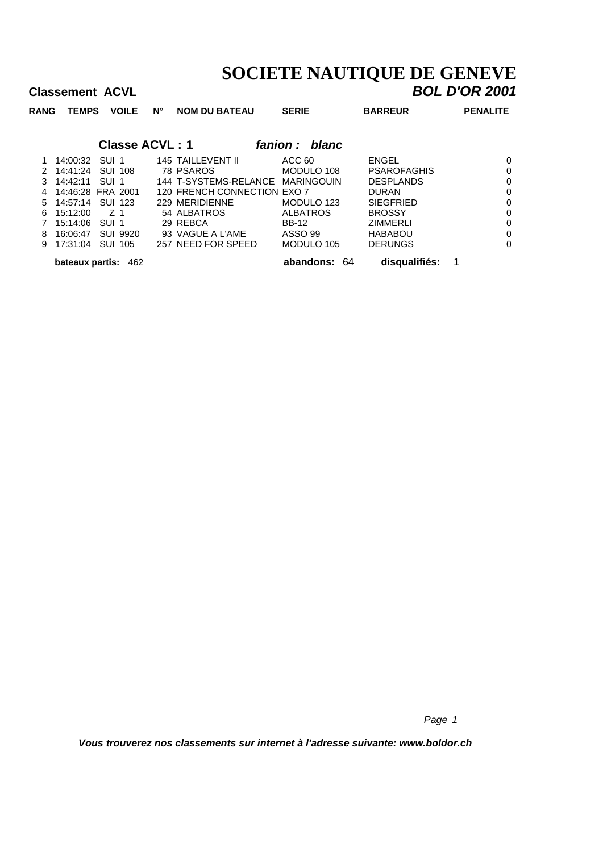# **SOCIETE NAUTIQUE DE GENEVE**<br>**BOL D'OR 2001**

|             | <b>Classement ACVL</b>     |                  |                |                       |                                  |                   |                    | <b>BOL D'OR 2001</b> |
|-------------|----------------------------|------------------|----------------|-----------------------|----------------------------------|-------------------|--------------------|----------------------|
| <b>RANG</b> | <b>TEMPS</b>               |                  | <b>VOILE</b>   | $N^{\circ}$           | <b>NOM DU BATEAU</b>             | <b>SERIE</b>      | <b>BARREUR</b>     | <b>PENALITE</b>      |
|             |                            |                  |                | <b>Classe ACVL: 1</b> |                                  | fanion :<br>blanc |                    |                      |
| 1           | 14:00:32                   | SUI 1            |                |                       | 145 TAILLEVENT II                | ACC 60            | <b>ENGEL</b>       | 0                    |
|             | 14:41:24                   | SUI 108          |                |                       | 78 PSAROS                        | MODULO 108        | <b>PSAROFAGHIS</b> | 0                    |
| 3           | 14:42:11                   | SUL <sub>1</sub> |                |                       | 144 T-SYSTEMS-RELANCE MARINGOUIN |                   | <b>DESPLANDS</b>   | 0                    |
|             | 14:46:28 FRA 2001          |                  |                |                       | 120 FRENCH CONNECTION EXO 7      |                   | <b>DURAN</b>       | 0                    |
| 5           | 14:57:14                   |                  | <b>SUI 123</b> |                       | 229 MERIDIENNE                   | MODULO 123        | <b>SIEGFRIED</b>   | 0                    |
| 6           | 15:12:00                   | Z 1              |                |                       | 54 ALBATROS                      | <b>ALBATROS</b>   | <b>BROSSY</b>      | 0                    |
|             | 15:14:06                   | SUI 1            |                |                       | 29 REBCA                         | <b>BB-12</b>      | ZIMMERLI           | 0                    |
| 8           | 16:06:47                   |                  | SUI 9920       |                       | 93 VAGUE A L'AME                 | ASSO 99           | <b>HABABOU</b>     | 0                    |
| 9           | 17:31:04                   | SUI 105          |                |                       | 257 NEED FOR SPEED               | MODULO 105        | <b>DERUNGS</b>     | 0                    |
|             | <b>bateaux partis: 462</b> |                  |                |                       |                                  | abandons:<br>64   | disqualifiés:      | 1                    |

*Page 1*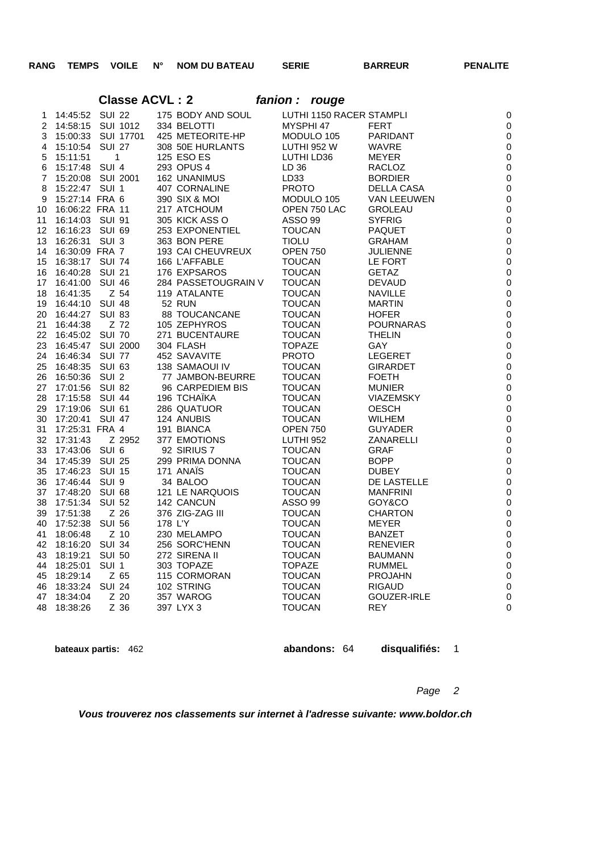**Classe ACVL : 2** *fanion : rouge*

# 14:45:52 SUI 22 175 BODY AND SOUL LUTHI 1150 RACER STAMPLI 0 14:58:15 SUI 1012 334 BELOTTI MYSPHI 47 FERT 0 15:00:33 SUI 17701 425 METEORITE-HP MODULO 105 PARIDANT 0 15:10:54 SUI 27 308 50E HURLANTS LUTHI 952 W WAVRE 0

|    | $\tau$ 10.10.0 $\tau$ 001 21 |                   | <b>OUD OUL LIDINERINTO</b>                                                                                                                                 | <b>LUTTH JUL VV</b>            | V V T V I V L    | ╰            |
|----|------------------------------|-------------------|------------------------------------------------------------------------------------------------------------------------------------------------------------|--------------------------------|------------------|--------------|
| 5  | 15:11:51 1                   |                   | 125 ESO ES                                                                                                                                                 | LUTHI LD36                     | MEYER            | $\mathsf{C}$ |
|    |                              |                   | 6 15:17:48 SUI 4 293 OPUS 4<br>7 15:20:08 SUI 2001 162 UNANIMUS                                                                                            | LD 36<br>LD33                  | RACLOZ           | C            |
|    |                              |                   |                                                                                                                                                            |                                | <b>BORDIER</b>   | $\mathsf{C}$ |
| 8  | 15:22:47 SUI 1               |                   | 407 CORNALINE                                                                                                                                              | <b>PROTO</b>                   | DELLA CASA       | $\mathsf{C}$ |
| 9  | 15:27:14 FRA 6               |                   | 390 SIX & MOI                                                                                                                                              |                                | VAN LEEUWEN      | $\mathsf{C}$ |
| 10 | 16:06:22 FRA 11              |                   | 217 ATCHOUM                                                                                                                                                |                                |                  | $\mathsf{C}$ |
| 11 | 16:14:03 SUI 91              |                   | 305 KICK ASS O                                                                                                                                             |                                |                  | C            |
| 12 | 16:16:23 SUI 69              |                   |                                                                                                                                                            |                                | <b>PAQUET</b>    | $\mathsf{C}$ |
| 13 | 16:26:31 SUI 3               |                   |                                                                                                                                                            |                                | GRAHAM           | $\mathsf{C}$ |
| 14 | 16:30:09 FRA 7               |                   |                                                                                                                                                            |                                | <b>JULIENNE</b>  | $\mathsf{C}$ |
| 15 | 16:38:17 SUI 74              |                   | 166 L'AFFABLE<br>176 EXPSAROS                                                                                                                              | Undin 750<br>TOUCAN<br>TOLIC∆N | LE FORT          | $\mathsf{C}$ |
|    | 16 16:40:28 SUI 21           |                   |                                                                                                                                                            |                                | <b>GETAZ</b>     | $\mathsf{C}$ |
|    | 17 16:41:00 SUI 46           |                   | 284 PASSETOUGRAIN V TOUCAN                                                                                                                                 |                                | <b>DEVAUD</b>    | $\mathsf{C}$ |
| 18 | 16:41:35                     | Z 54              | 119 ATALANTE                                                                                                                                               | TOUCAN                         | <b>NAVILLE</b>   | $\mathsf{C}$ |
|    | 19 16:44:10 SUI 48           |                   | 52 RUN                                                                                                                                                     | <b>TOUCAN</b>                  | <b>MARTIN</b>    | $\mathsf{C}$ |
|    | 20 16:44:27 SUI 83           |                   | 88 TOUCANCANE                                                                                                                                              | <b>TOUCAN</b>                  | <b>HOFER</b>     | $\mathsf{C}$ |
| 21 | 16:44:38                     | Z 72              |                                                                                                                                                            |                                | <b>POURNARAS</b> | $\mathsf{C}$ |
|    | 22 16:45:02 SUI 70           |                   |                                                                                                                                                            |                                | <b>THELIN</b>    | $\mathsf{C}$ |
| 23 |                              | 16:45:47 SUI 2000 |                                                                                                                                                            |                                | GAY              | $\mathsf{C}$ |
| 24 | 16:46:34 SUI 77              |                   |                                                                                                                                                            |                                | LEGERET          | $\mathsf{C}$ |
| 25 | 16:48:35 SUI 63              |                   | 06 COCANCANE<br>105 ZEPHYROS TOUCAN<br>271 BUCENTAURE TOUCAN<br>304 FLASH TOPAZE<br>452 SAVAVITE PROTO<br>138 SAMAOUI IV TOUCAN<br>77 JAMBON-BEURRE TOUCAN |                                | GIRARDET         | $\mathsf{C}$ |
| 26 | 16:50:36 SUI 2               |                   |                                                                                                                                                            |                                | <b>FOETH</b>     | $\mathsf{C}$ |
| 27 | 17:01:56 SUI 82              |                   |                                                                                                                                                            |                                | <b>MUNIER</b>    | C            |
| 28 | 17:15:58 SUI 44              |                   | 196 TCHAÏKA<br>286 QUATUOR                                                                                                                                 |                                | VIAZEMSKY        | $\mathsf{C}$ |
|    | 29 17:19:06 SUI 61           |                   |                                                                                                                                                            | TOUCAN<br>TOUCAN               | <b>OESCH</b>     | $\mathsf{C}$ |
| 30 | 17:20:41 SUI 47              |                   | 124 ANUBIS                                                                                                                                                 | TOUCAN                         | WILHEM           | C            |
| 31 | 17:25:31 FRA 4               |                   | 191 BIANCA                                                                                                                                                 | <b>OPEN 750</b>                | GUYADER          | $\mathsf{C}$ |
|    |                              |                   | 377 EMOTIONS                                                                                                                                               | LUTHI 952                      | ZANARELLI        | $\mathsf{C}$ |
| 33 | 17:43:06 SUI 6               |                   | 92 SIRIUS 7                                                                                                                                                |                                | <b>GRAF</b>      | $\mathsf{C}$ |
|    | 34 17:45:39 SUI 25           |                   | 299 PRIMA DONNA                                                                                                                                            | TOUCAN<br>TOUCAN<br>TOUCAN     | <b>BOPP</b>      | $\mathsf{C}$ |
|    | 35 17:46:23 SUI 15           |                   | 171 ANAIS                                                                                                                                                  |                                | DUBEY            | $\mathsf{C}$ |
| 36 | 17:46:44 SUI 9               |                   | 34 BALOO                                                                                                                                                   | <b>TOUCAN</b>                  | DE LASTELLE      | $\mathsf{C}$ |
| 37 | 17:48:20 SUI 68              |                   | 121 LE NARQUOIS                                                                                                                                            | <b>TOUCAN</b>                  | <b>MANFRINI</b>  | $\mathsf{C}$ |
|    | 38 17:51:34 SUI 52           |                   | 142 CANCUN                                                                                                                                                 | ASSO 99                        | GOY&CO           | $\mathsf{C}$ |
| 39 | 17:51:38                     | Z 26              | 376 ZIG-ZAG III                                                                                                                                            | <b>TOUCAN</b>                  | <b>CHARTON</b>   | $\mathsf{C}$ |
| 40 | 17:52:38 SUI 56              |                   | 178 L'Y<br>230 MELAMPO                                                                                                                                     | <b>TOUCAN</b>                  | MEYER            | $\mathsf{C}$ |
| 41 | 18:06:48                     | $Z$ 10            |                                                                                                                                                            | <b>TOUCAN</b>                  | <b>BANZET</b>    | $\mathsf{C}$ |
| 42 | 18:16:20 SUI 34              |                   | 256 SORC'HENN                                                                                                                                              | TOUCAN                         | RENEVIER         | $\mathsf{C}$ |
| 43 | 18:19:21 SUI 50              |                   | 272 SIRENA II                                                                                                                                              | <b>TOUCAN</b>                  | <b>BAUMANN</b>   | $\mathsf{C}$ |
| 44 | 18:25:01 SUI 1               |                   | 303 TOPAZE                                                                                                                                                 | TOPAZE                         | RUMMEL           | $\mathsf{C}$ |
| 45 |                              |                   | 115 CORMORAN                                                                                                                                               | <b>TOUCAN</b>                  | <b>PROJAHN</b>   | $\mathsf{C}$ |
| 46 | 18:33:24 SUI 24              |                   | 102 STRING                                                                                                                                                 | <b>TOUCAN</b>                  | <b>RIGAUD</b>    | $\mathsf{C}$ |
| 47 | 18:34:04                     | Z 20              | 357 WAROG                                                                                                                                                  | <b>TOUCAN</b>                  | GOUZER-IRLE      | $\mathsf{C}$ |
| 48 | 18:38:26                     | Z 36              | 397 LYX 3                                                                                                                                                  | <b>TOUCAN</b>                  | <b>REY</b>       | $\mathsf{C}$ |
|    |                              |                   |                                                                                                                                                            |                                |                  |              |

 **bateaux partis:** 462 **abandons:** 64 **disqualifiés:** 1

*Page 2*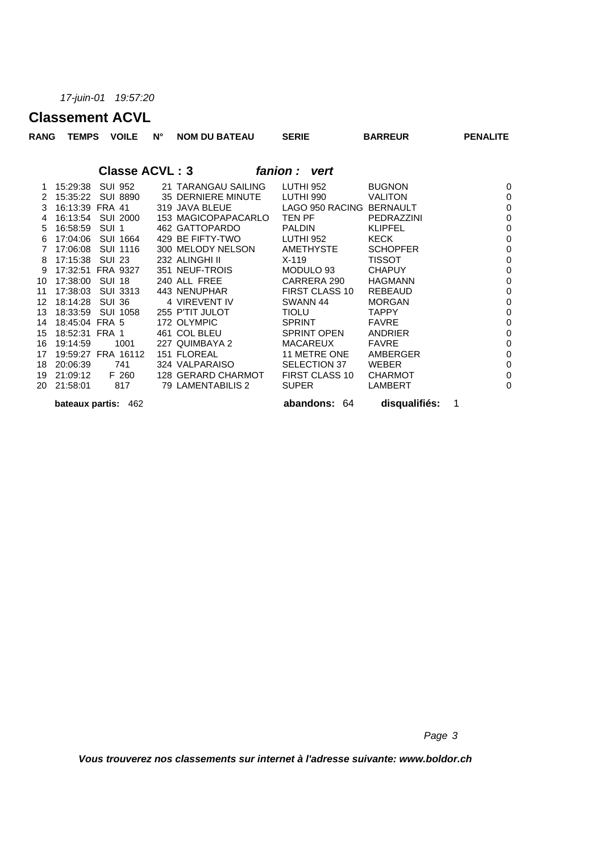### **Classement ACVL**

| RANG | <b>TEMPS</b>        |                  | <b>VOILE</b>    | N°                    | <b>NOM DU BATEAU</b>       | <b>SERIE</b>  |                       | <b>BARREUR</b>  |   | <b>PENALITE</b> |
|------|---------------------|------------------|-----------------|-----------------------|----------------------------|---------------|-----------------------|-----------------|---|-----------------|
|      |                     |                  |                 | <b>Classe ACVL: 3</b> |                            | fanion: vert  |                       |                 |   |                 |
|      | 15:29:38            | <b>SUI 952</b>   |                 |                       | 21 TARANGAU SAILING        | LUTHI 952     |                       | <b>BUGNON</b>   |   | $\mathbf 0$     |
| 2    | 15:35:22            |                  | <b>SUI 8890</b> |                       | 35 DERNIERE MINUTE         | LUTHI 990     |                       | <b>VALITON</b>  |   | $\mathbf 0$     |
| 3    | 16:13:39 FRA 41     |                  |                 |                       | 319 JAVA BLEUE             |               | LAGO 950 RACING       | <b>BERNAULT</b> |   | $\mathbf 0$     |
| 4    | 16:13:54            |                  | <b>SUI 2000</b> |                       | 153 MAGICOPAPACARLO TEN PF |               |                       | PEDRAZZINI      |   | $\mathbf 0$     |
| 5    | 16:58:59            | SUI <sub>1</sub> |                 |                       | 462 GATTOPARDO             | <b>PALDIN</b> |                       | <b>KLIPFEL</b>  |   | $\mathbf 0$     |
| 6    | 17:04:06            |                  | <b>SUI 1664</b> |                       | 429 BE FIFTY-TWO           | LUTHI 952     |                       | KECK            |   | $\mathbf 0$     |
| 7    | 17:06:08            |                  | SUI 1116        |                       | 300 MELODY NELSON          |               | <b>AMETHYSTE</b>      | <b>SCHOPFER</b> |   | $\mathbf 0$     |
| 8    | 17:15:38            | <b>SUI 23</b>    |                 |                       | 232 ALINGHI II             | $X-119$       |                       | <b>TISSOT</b>   |   | $\mathbf 0$     |
| 9    | 17:32:51 FRA 9327   |                  |                 |                       | 351 NEUF-TROIS             |               | MODULO 93             | <b>CHAPUY</b>   |   | $\mathbf 0$     |
| 10   | 17:38:00            | <b>SUI 18</b>    |                 |                       | 240 ALL FREE               |               | CARRERA 290           | <b>HAGMANN</b>  |   | $\mathbf 0$     |
| 11   | 17:38:03            |                  | <b>SUI 3313</b> |                       | 443 NENUPHAR               |               | <b>FIRST CLASS 10</b> | <b>REBEAUD</b>  |   | $\mathbf 0$     |
| 12   | 18:14:28            | <b>SUI 36</b>    |                 |                       | 4 VIREVENT IV              | SWANN 44      |                       | <b>MORGAN</b>   |   | $\mathbf 0$     |
| 13   | 18:33:59            |                  | SUI 1058        |                       | 255 P'TIT JULOT            | <b>TIOLU</b>  |                       | <b>TAPPY</b>    |   | $\mathbf 0$     |
| 14   | 18:45:04 FRA 5      |                  |                 |                       | 172 OLYMPIC                | <b>SPRINT</b> |                       | <b>FAVRE</b>    |   | $\mathbf 0$     |
| 15   | 18:52:31 FRA 1      |                  |                 |                       | 461 COL BLEU               |               | <b>SPRINT OPEN</b>    | ANDRIER         |   | $\mathbf 0$     |
| 16   | 19:14:59            |                  | 1001            |                       | 227 QUIMBAYA 2             |               | <b>MACAREUX</b>       | <b>FAVRE</b>    |   | $\mathbf 0$     |
| 17   | 19:59:27 FRA 16112  |                  |                 |                       | 151 FLOREAL                |               | 11 METRE ONE          | AMBERGER        |   | $\mathbf 0$     |
| 18   | 20:06:39            |                  | 741             |                       | 324 VALPARAISO             |               | SELECTION 37          | <b>WEBER</b>    |   | $\mathbf 0$     |
| 19   | 21:09:12            |                  | F 260           |                       | 128 GERARD CHARMOT         |               | FIRST CLASS 10        | <b>CHARMOT</b>  |   | $\mathbf 0$     |
| 20   | 21:58:01            |                  | 817             |                       | 79 LAMENTABILIS 2          | <b>SUPER</b>  |                       | <b>LAMBERT</b>  |   | $\mathbf 0$     |
|      | bateaux partis: 462 |                  |                 |                       |                            |               | abandons: 64          | disqualifiés:   | 1 |                 |

*Page 3*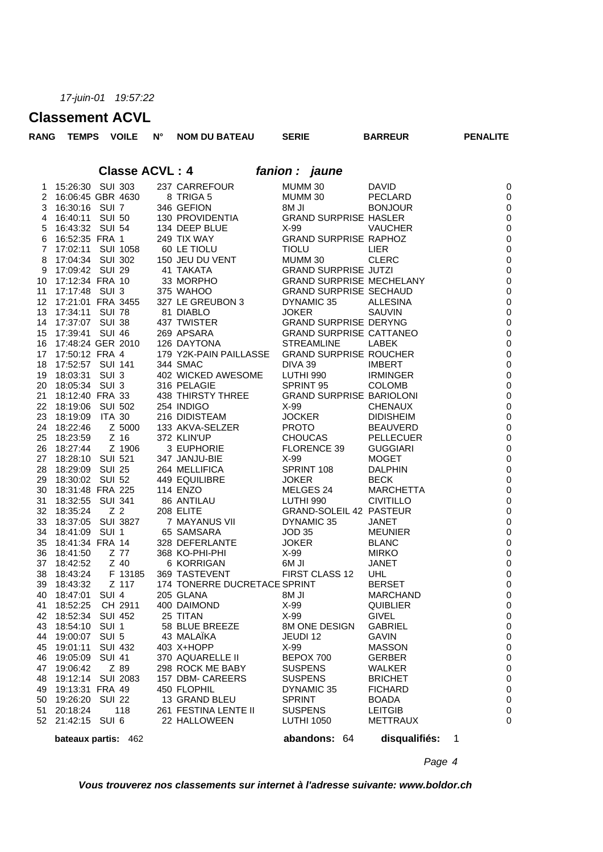### **Classement ACVL**

| <b>PENALITE</b> | <b>BARREUR</b> | <b>SERIE</b>                 | <b>NOM DU BATEAU</b> | N° | <b>VOILE</b>   |          | <b>TEMPS</b>        | <b>RANG</b> |
|-----------------|----------------|------------------------------|----------------------|----|----------------|----------|---------------------|-------------|
|                 |                | fanion : jaune               |                      |    | Classe ACVL: 4 |          |                     |             |
| $\Omega$        | <b>DAVID</b>   | MUMM 30                      | 237 CARREFOUR        |    |                |          | 15:26:30 SUI 303    |             |
| $\Omega$        | PECLARD        | MUMM 30                      | 8 TRIGA 5            |    |                |          | 2 16:06:45 GBR 4630 |             |
| $\Omega$        | <b>BONJOUR</b> | 8M JI                        | 346 GEFION           |    |                |          | 16:30:16 SUI 7      | 3           |
| $\Omega$        |                | <b>GRAND SURPRISE HASLER</b> | 130 PROVIDENTIA      |    | SUI 50         |          | 16:40:11            | 4           |
|                 | <b>VAUCHER</b> | X-99                         | 134 DEEP BLUE        |    |                | - SUL 54 | $5 \quad 16.43.32$  |             |

| bateaux partis: 462 |  | <b>5</b> 16 4332 SUR 13 444 DEPER BUILDING DOWNLOCK WATCHING THE MANUFACTURE TO TANK IN THE SURVEY AND SURFAIR SURFAIRS CRANING DIRECTION TO THE SURFAIRS OF A 1990 SURFAIRS CRANING DIRECTION IN THE SURFAIRS OF A 1990 SURFAIRS | abandons: 64 disqualifiés: 1 |                              |
|---------------------|--|-----------------------------------------------------------------------------------------------------------------------------------------------------------------------------------------------------------------------------------|------------------------------|------------------------------|
|                     |  |                                                                                                                                                                                                                                   |                              | $\mathsf{C}$                 |
|                     |  |                                                                                                                                                                                                                                   |                              | $\mathsf{C}$                 |
|                     |  |                                                                                                                                                                                                                                   |                              | $\mathsf{C}$                 |
|                     |  |                                                                                                                                                                                                                                   |                              | $\mathsf{C}$                 |
|                     |  |                                                                                                                                                                                                                                   |                              | $\mathsf{C}$                 |
|                     |  |                                                                                                                                                                                                                                   |                              | $\mathsf{C}$                 |
|                     |  |                                                                                                                                                                                                                                   |                              | $\mathsf{C}$                 |
|                     |  |                                                                                                                                                                                                                                   |                              | $\mathsf{C}$                 |
|                     |  |                                                                                                                                                                                                                                   |                              | $\mathsf{C}$                 |
|                     |  |                                                                                                                                                                                                                                   |                              | $\mathsf{C}$                 |
|                     |  |                                                                                                                                                                                                                                   |                              | $\mathsf{C}$                 |
|                     |  |                                                                                                                                                                                                                                   |                              | $\mathsf{C}$                 |
|                     |  |                                                                                                                                                                                                                                   |                              | $\mathsf{C}$                 |
|                     |  |                                                                                                                                                                                                                                   |                              | $\mathsf{C}$                 |
|                     |  |                                                                                                                                                                                                                                   |                              | $\mathsf{C}$                 |
|                     |  |                                                                                                                                                                                                                                   |                              | $\mathsf{C}$                 |
|                     |  |                                                                                                                                                                                                                                   |                              | $\mathsf{C}$                 |
|                     |  |                                                                                                                                                                                                                                   |                              | $\mathsf{C}$                 |
|                     |  |                                                                                                                                                                                                                                   |                              | $\mathsf{C}$                 |
|                     |  |                                                                                                                                                                                                                                   |                              | $\mathsf{C}$                 |
|                     |  |                                                                                                                                                                                                                                   |                              | $\mathsf{C}$                 |
|                     |  |                                                                                                                                                                                                                                   |                              | $\mathsf{C}$                 |
|                     |  |                                                                                                                                                                                                                                   |                              | $\mathsf{C}$                 |
|                     |  |                                                                                                                                                                                                                                   |                              | $\mathsf{C}$                 |
|                     |  |                                                                                                                                                                                                                                   |                              | $\mathsf{C}$                 |
|                     |  |                                                                                                                                                                                                                                   |                              | $\mathsf{C}$                 |
|                     |  |                                                                                                                                                                                                                                   |                              | $\mathsf{C}$                 |
|                     |  |                                                                                                                                                                                                                                   |                              | $\mathsf{C}$                 |
|                     |  |                                                                                                                                                                                                                                   |                              | $\mathsf{C}$                 |
|                     |  |                                                                                                                                                                                                                                   |                              | $\mathsf{C}$                 |
|                     |  |                                                                                                                                                                                                                                   |                              | $\mathsf{C}$                 |
|                     |  |                                                                                                                                                                                                                                   |                              | $\mathsf{C}$                 |
|                     |  |                                                                                                                                                                                                                                   |                              | $\mathsf{C}$                 |
|                     |  |                                                                                                                                                                                                                                   |                              | $\mathsf{C}$                 |
|                     |  |                                                                                                                                                                                                                                   |                              | $\mathsf{C}$                 |
|                     |  |                                                                                                                                                                                                                                   |                              | $\mathsf{C}$                 |
|                     |  |                                                                                                                                                                                                                                   |                              | $\mathsf{C}$                 |
|                     |  |                                                                                                                                                                                                                                   |                              | $\mathsf{C}$                 |
|                     |  |                                                                                                                                                                                                                                   |                              |                              |
|                     |  |                                                                                                                                                                                                                                   |                              | $\mathsf{C}$<br>$\mathsf{C}$ |
|                     |  |                                                                                                                                                                                                                                   |                              |                              |
|                     |  |                                                                                                                                                                                                                                   |                              | $\mathsf{C}$                 |
|                     |  |                                                                                                                                                                                                                                   |                              | $\mathsf{C}$<br>$\mathsf{C}$ |
|                     |  |                                                                                                                                                                                                                                   |                              |                              |
|                     |  |                                                                                                                                                                                                                                   |                              | $\mathsf{C}$                 |
|                     |  |                                                                                                                                                                                                                                   |                              | $\mathsf{C}$<br>$\mathsf{C}$ |
|                     |  |                                                                                                                                                                                                                                   |                              | $\mathsf{C}$                 |
|                     |  |                                                                                                                                                                                                                                   |                              | C                            |
|                     |  |                                                                                                                                                                                                                                   |                              | J                            |

*Page 4*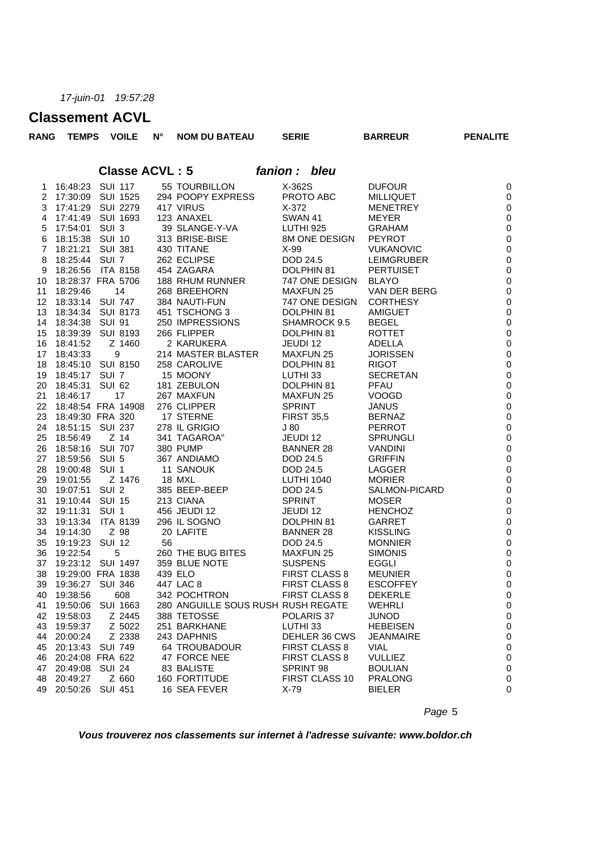### **Classement ACVL**

| <b>RANG</b>    | <b>TEMPS</b>        | <b>VOILE</b>         | $N^{\circ}$ | <b>NOM DU BATEAU</b>               | <b>SERIE</b>                 | <b>BARREUR</b>                  | <b>PENALITE</b>          |  |  |
|----------------|---------------------|----------------------|-------------|------------------------------------|------------------------------|---------------------------------|--------------------------|--|--|
|                |                     |                      |             | <b>Classe ACVL: 5</b>              | fanion: bleu                 |                                 |                          |  |  |
|                |                     |                      |             |                                    |                              |                                 |                          |  |  |
| 1              | 16:48:23 SUI 117    |                      |             | 55 TOURBILLON                      | X-362S                       | <b>DUFOUR</b>                   | $\pmb{0}$                |  |  |
|                |                     | 2 17:30:09 SUI 1525  |             | 294 POOPY EXPRESS                  | PROTO ABC                    | <b>MILLIQUET</b>                | $\pmb{0}$                |  |  |
| 3              | 17:41:29            | SUI 2279             |             | 417 VIRUS                          | $X-372$                      | <b>MENETREY</b>                 | $\pmb{0}$                |  |  |
| 4              | 17:41:49            | SUI 1693             |             | 123 ANAXEL                         | <b>SWAN 41</b>               | <b>MEYER</b>                    | $\pmb{0}$                |  |  |
| 5              | 17:54:01 SUI 3      |                      |             | 39 SLANGE-Y-VA                     | LUTHI 925                    | <b>GRAHAM</b>                   | $\pmb{0}$                |  |  |
| 6              | 18:15:38 SUI 10     |                      |             | 313 BRISE-BISE                     | 8M ONE DESIGN                | <b>PEYROT</b>                   | $\pmb{0}$                |  |  |
| $\overline{7}$ | 18:21:21            | SUI 381              |             | 430 TITANE                         | $X-99$                       | <b>VUKANOVIC</b>                | $\pmb{0}$                |  |  |
| 8              | 18:25:44 SUI 7      |                      |             | 262 ECLIPSE                        | DOD 24.5                     | <b>LEIMGRUBER</b>               | $\pmb{0}$                |  |  |
| 9              | 18:26:56            | ITA 8158             |             | 454 ZAGARA                         | DOLPHIN 81                   | <b>PERTUISET</b>                | $\pmb{0}$                |  |  |
| 10             |                     | 18:28:37 FRA 5706    |             | 188 RHUM RUNNER                    | 747 ONE DESIGN               | <b>BLAYO</b>                    | $\pmb{0}$<br>$\pmb{0}$   |  |  |
| 11             | 18:29:46            | 14                   |             | 268 BREEHORN                       | <b>MAXFUN 25</b>             | VAN DER BERG                    |                          |  |  |
| 12             | 18:33:14 SUI 747    |                      |             | 384 NAUTI-FUN                      | 747 ONE DESIGN               | <b>CORTHESY</b>                 | $\pmb{0}$                |  |  |
| 13             |                     | 18:34:34 SUI 8173    |             | 451 TSCHONG 3                      | DOLPHIN 81                   | <b>AMIGUET</b>                  | $\pmb{0}$                |  |  |
| 14             | 18:34:38            | SUI 91               |             | 250 IMPRESSIONS                    | SHAMROCK 9.5                 | <b>BEGEL</b>                    | $\pmb{0}$                |  |  |
| 15             |                     | 18:39:39 SUI 8193    |             | 266 FLIPPER                        | DOLPHIN 81                   | <b>ROTTET</b>                   | $\pmb{0}$                |  |  |
| 16             | 18:41:52            | Z 1460<br>9          |             | 2 KARUKERA<br>214 MASTER BLASTER   | JEUDI 12<br><b>MAXFUN 25</b> | <b>ADELLA</b>                   | $\pmb{0}$                |  |  |
| 17             | 18:43:33            |                      |             |                                    |                              | <b>JORISSEN</b>                 | $\pmb{0}$<br>$\mathbf 0$ |  |  |
| 18<br>19       | 18:45:17 SUI 7      | 18:45:10 SUI 8150    |             | 258 CAROLIVE<br>15 MOONY           | DOLPHIN 81<br>LUTHI 33       | <b>RIGOT</b><br><b>SECRETAN</b> | $\pmb{0}$                |  |  |
| 20             | 18:45:31 SUI 62     |                      |             | 181 ZEBULON                        | DOLPHIN 81                   | PFAU                            |                          |  |  |
| 21             | 18:46:17            | 17                   |             | 267 MAXFUN                         | <b>MAXFUN 25</b>             | <b>VOOGD</b>                    | $\pmb{0}$<br>$\pmb{0}$   |  |  |
| 22             |                     | 18:48:54 FRA 14908   |             | 276 CLIPPER                        | <b>SPRINT</b>                |                                 | $\pmb{0}$                |  |  |
| 23             | 18:49:30 FRA 320    |                      |             | 17 STERNE                          | <b>FIRST 35,5</b>            | <b>JANUS</b><br><b>BERNAZ</b>   | $\mathbf 0$              |  |  |
| 24             | 18:51:15            | <b>SUI 237</b>       |             | 278 IL GRIGIO                      | J80                          | <b>PERROT</b>                   | $\pmb{0}$                |  |  |
| 25             | 18:56:49            | $Z$ 14               |             | 341 TAGAROA"                       | JEUDI 12                     | <b>SPRUNGLI</b>                 | $\pmb{0}$                |  |  |
| 26             | 18:58:16            | SUI 707              |             | 380 PUMP                           | <b>BANNER 28</b>             | <b>VANDINI</b>                  | $\pmb{0}$                |  |  |
| 27             | 18:59:56 SUI 5      |                      |             | 367 ANDIAMO                        | DOD 24.5                     | <b>GRIFFIN</b>                  | $\pmb{0}$                |  |  |
| 28             | 19:00:48 SUI 1      |                      |             | 11 SANOUK                          | DOD 24.5                     | LAGGER                          | $\pmb{0}$                |  |  |
| 29             | 19:01:55            | Z 1476               |             | 18 MXL                             | <b>LUTHI 1040</b>            | <b>MORIER</b>                   | $\pmb{0}$                |  |  |
| 30             | 19:07:51 SUI 2      |                      |             | 385 BEEP-BEEP                      | DOD 24.5                     | SALMON-PICARD                   | $\mathbf 0$              |  |  |
| 31             | 19:10:44 SUI 15     |                      |             | 213 CIANA                          | <b>SPRINT</b>                | <b>MOSER</b>                    | $\pmb{0}$                |  |  |
| 32             | 19:11:31            | SUI 1                |             | 456 JEUDI 12                       | JEUDI 12                     | <b>HENCHOZ</b>                  | $\pmb{0}$                |  |  |
| 33             | 19:13:34            | <b>ITA 8139</b>      |             | 296 IL SOGNO                       | DOLPHIN 81                   | <b>GARRET</b>                   | $\pmb{0}$                |  |  |
| 34             | 19:14:30            | Z 98                 |             | 20 LAFITE                          | <b>BANNER 28</b>             | <b>KISSLING</b>                 | $\pmb{0}$                |  |  |
| 35             | 19:19:23 SUI 12     |                      | 56          |                                    | DOD 24.5                     | <b>MONNIER</b>                  | $\pmb{0}$                |  |  |
| 36             | 19:22:54            | 5                    |             | 260 THE BUG BITES                  | <b>MAXFUN 25</b>             | <b>SIMONIS</b>                  | $\pmb{0}$                |  |  |
| 37             |                     | 19:23:12 SUI 1497    |             | 359 BLUE NOTE                      | <b>SUSPENS</b>               | EGGLI                           | $\pmb{0}$                |  |  |
|                |                     | 38 19:29:00 FRA 1838 |             | 439 ELO                            | FIRST CLASS 8                | <b>MEUNIER</b>                  | $\pmb{0}$                |  |  |
|                | 39 19:36:27 SUI 346 |                      |             | 447 LAC 8                          | FIRST CLASS 8                | <b>ESCOFFEY</b>                 | 0                        |  |  |
| 40             | 19:38:56            | 608                  |             | 342 POCHTRON                       | FIRST CLASS 8                | <b>DEKERLE</b>                  | 0                        |  |  |
| 41             |                     | 19:50:06 SUI 1663    |             | 280 ANGUILLE SOUS RUSH RUSH REGATE |                              | <b>WEHRLI</b>                   | $\,0\,$                  |  |  |
| 42             | 19:58:03            | Z 2445               |             | 388 TETOSSE                        | POLARIS 37                   | <b>JUNOD</b>                    | 0                        |  |  |
| 43             | 19:59:37            | Z 5022               |             | 251 BARKHANE                       | LUTHI 33                     | <b>HEBEISEN</b>                 | 0                        |  |  |
| 44             | 20:00:24            | Z 2338               |             | 243 DAPHNIS                        | DEHLER 36 CWS                | <b>JEANMAIRE</b>                | 0                        |  |  |
|                | 45 20:13:43 SUI 749 |                      |             | 64 TROUBADOUR                      | FIRST CLASS 8                | <b>VIAL</b>                     | 0                        |  |  |
|                | 46 20:24:08 FRA 622 |                      |             | 47 FORCE NEE                       | <b>FIRST CLASS 8</b>         | <b>VULLIEZ</b>                  | 0                        |  |  |
| 47             | 20:49:08            | SUI 24               |             | 83 BALISTE                         | SPRINT 98                    | <b>BOULIAN</b>                  | 0                        |  |  |
|                | 48 20:49:27         | Z 660                |             | 160 FORTITUDE                      | FIRST CLASS 10               | <b>PRALONG</b>                  | 0                        |  |  |
|                | 49 20:50:26 SUI 451 |                      |             | 16 SEA FEVER                       | X-79                         | <b>BIELER</b>                   | 0                        |  |  |

*Page* 5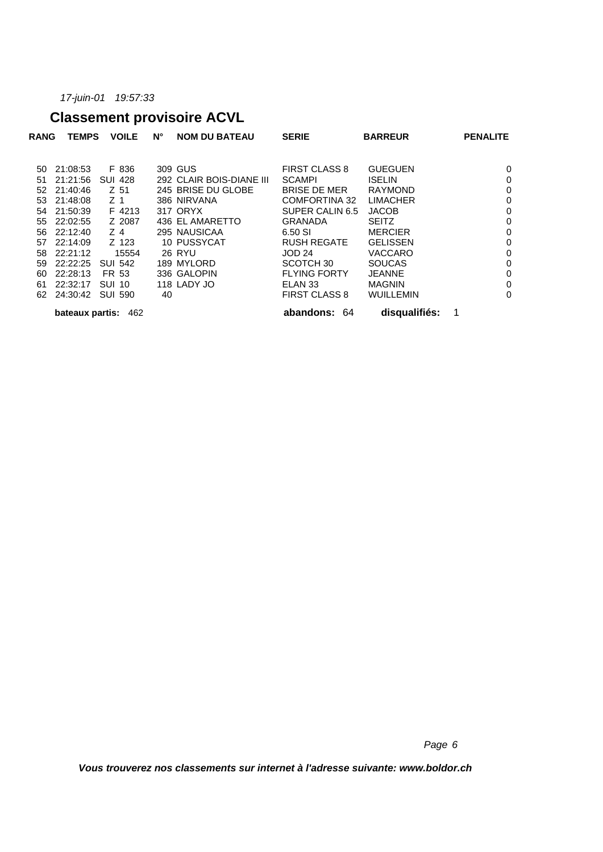# **Classement provisoire ACVL**

| <b>RANG</b> | <b>TEMPS</b>    | <b>VOILE</b>   | $N^{\circ}$ | <b>NOM DU BATEAU</b>     | <b>SERIE</b>         | <b>BARREUR</b>   | <b>PENALITE</b> |             |
|-------------|-----------------|----------------|-------------|--------------------------|----------------------|------------------|-----------------|-------------|
| 50          | 21:08:53        | F 836          |             | 309 GUS                  | <b>FIRST CLASS 8</b> | <b>GUEGUEN</b>   |                 | 0           |
| 51          | 21:21:56        | <b>SUI 428</b> |             | 292 CLAIR BOIS-DIANE III | <b>SCAMPI</b>        | <b>ISELIN</b>    |                 | 0           |
| 52          | 21:40:46        | Z 51           |             | 245 BRISE DU GLOBE       | <b>BRISE DE MER</b>  | <b>RAYMOND</b>   |                 | $\mathbf 0$ |
| 53          | 21:48:08        | Z 1            |             | 386 NIRVANA              | <b>COMFORTINA 32</b> | <b>LIMACHER</b>  |                 | 0           |
| 54          | 21:50:39        | F 4213         |             | 317 ORYX                 | SUPER CALIN 6.5      | <b>JACOB</b>     |                 | 0           |
| 55          | 22:02:55        | Z 2087         |             | 436 EL AMARETTO          | <b>GRANADA</b>       | <b>SEITZ</b>     |                 | 0           |
| 56          | 22:12:40        | Z 4            |             | 295 NAUSICAA             | 6.50 SI              | <b>MERCIER</b>   |                 | 0           |
| 57          | 22:14:09        | Z 123          |             | 10 PUSSYCAT              | <b>RUSH REGATE</b>   | <b>GELISSEN</b>  |                 | $\mathbf 0$ |
| 58          | 22:21:12        | 15554          |             | 26 RYU                   | <b>JOD 24</b>        | <b>VACCARO</b>   |                 | 0           |
| 59          | 22:22:25        | <b>SUI 542</b> |             | 189 MYLORD               | SCOTCH 30            | <b>SOUCAS</b>    |                 | 0           |
| 60          | 22:28:13        | FR 53          |             | 336 GALOPIN              | <b>FLYING FORTY</b>  | <b>JEANNE</b>    |                 | $\mathbf 0$ |
| 61          | 22:32:17        | <b>SUI 10</b>  |             | 118 LADY JO              | ELAN 33              | <b>MAGNIN</b>    |                 | $\mathbf 0$ |
| 62          | 24:30:42        | <b>SUI 590</b> | 40          |                          | <b>FIRST CLASS 8</b> | <b>WUILLEMIN</b> |                 | 0           |
|             | bateaux partis: | 462            |             |                          | abandons: 64         | disqualifiés:    |                 |             |

*Page 6*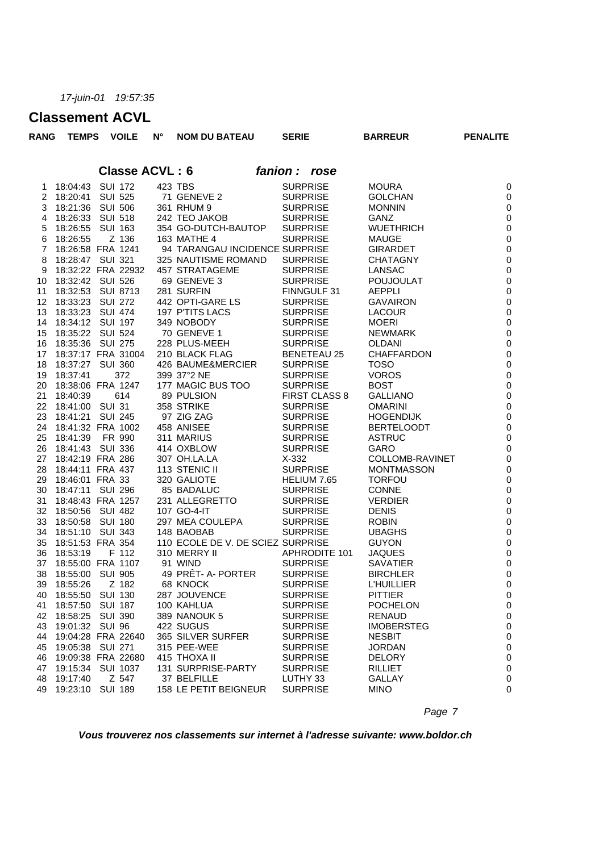### **Classement ACVL**

| <b>RANG</b>    | <b>TEMPS</b>       |                | <b>VOILE</b>    | $N^{\circ}$           | <b>NOM DU BATEAU</b>              | <b>SERIE</b>         | <b>BARREUR</b>    | <b>PENALITE</b>  |
|----------------|--------------------|----------------|-----------------|-----------------------|-----------------------------------|----------------------|-------------------|------------------|
|                |                    |                |                 | <b>Classe ACVL: 6</b> |                                   | fanion: rose         |                   |                  |
| 1              | 18:04:43           | <b>SUI 172</b> |                 |                       | 423 TBS                           | <b>SURPRISE</b>      | <b>MOURA</b>      | $\pmb{0}$        |
| 2              | 18:20:41 SUI 525   |                |                 |                       | 71 GENEVE 2                       | <b>SURPRISE</b>      | <b>GOLCHAN</b>    | $\pmb{0}$        |
| 3              | 18:21:36 SUI 506   |                |                 |                       | 361 RHUM 9                        | <b>SURPRISE</b>      | <b>MONNIN</b>     | $\pmb{0}$        |
| 4              | 18:26:33           |                | <b>SUI 518</b>  |                       | 242 TEO JAKOB                     | <b>SURPRISE</b>      | <b>GANZ</b>       | $\pmb{0}$        |
| 5              | 18:26:55           | <b>SUI 163</b> |                 |                       | 354 GO-DUTCH-BAUTOP               | <b>SURPRISE</b>      | <b>WUETHRICH</b>  | $\pmb{0}$        |
| 6              | 18:26:55           |                | Z 136           |                       | 163 MATHE 4                       | <b>SURPRISE</b>      | <b>MAUGE</b>      | $\pmb{0}$        |
| $\overline{7}$ | 18:26:58 FRA 1241  |                |                 |                       | 94 TARANGAU INCIDENCE SURPRISE    |                      | <b>GIRARDET</b>   | $\pmb{0}$        |
| 8              | 18:28:47 SUI 321   |                |                 |                       | 325 NAUTISME ROMAND               | <b>SURPRISE</b>      | <b>CHATAGNY</b>   | $\pmb{0}$        |
| 9              | 18:32:22 FRA 22932 |                |                 |                       | 457 STRATAGEME                    | <b>SURPRISE</b>      | LANSAC            | $\pmb{0}$        |
| 10             | 18:32:42 SUI 526   |                |                 |                       | 69 GENEVE 3                       | <b>SURPRISE</b>      | <b>POUJOULAT</b>  | $\pmb{0}$        |
| 11             | 18:32:53           |                | <b>SUI 8713</b> |                       | 281 SURFIN                        | FINNGULF 31          | <b>AEPPLI</b>     | $\pmb{0}$        |
| 12             | 18:33:23           | SUI 272        |                 |                       | 442 OPTI-GARE LS                  | <b>SURPRISE</b>      | <b>GAVAIRON</b>   | $\pmb{0}$        |
| 13             | 18:33:23           | <b>SUI 474</b> |                 |                       | 197 P'TITS LACS                   | <b>SURPRISE</b>      | <b>LACOUR</b>     | $\pmb{0}$        |
| 14             | 18:34:12 SUI 197   |                |                 |                       | 349 NOBODY                        | <b>SURPRISE</b>      | <b>MOERI</b>      | $\pmb{0}$        |
| 15             | 18:35:22 SUI 524   |                |                 |                       | 70 GENEVE 1                       | <b>SURPRISE</b>      | <b>NEWMARK</b>    | $\pmb{0}$        |
| 16             | 18:35:36           | SUI 275        |                 |                       | 228 PLUS-MEEH                     | <b>SURPRISE</b>      | <b>OLDANI</b>     | $\pmb{0}$        |
| 17             | 18:37:17 FRA 31004 |                |                 |                       | 210 BLACK FLAG                    | <b>BENETEAU 25</b>   | <b>CHAFFARDON</b> | $\pmb{0}$        |
| 18             | 18:37:27 SUI 360   |                |                 |                       | 426 BAUME&MERCIER                 | <b>SURPRISE</b>      | <b>TOSO</b>       | $\pmb{0}$        |
| 19             | 18:37:41           |                | 372             |                       | 399 37°2 NE                       | <b>SURPRISE</b>      | <b>VOROS</b>      | $\pmb{0}$        |
| 20             | 18:38:06 FRA 1247  |                |                 |                       | 177 MAGIC BUS TOO                 | <b>SURPRISE</b>      | <b>BOST</b>       | $\pmb{0}$        |
| 21             | 18:40:39           |                | 614             |                       | 89 PULSION                        | <b>FIRST CLASS 8</b> | <b>GALLIANO</b>   | $\pmb{0}$        |
| 22             | 18:41:00 SUI 31    |                |                 |                       | 358 STRIKE                        | <b>SURPRISE</b>      | <b>OMARINI</b>    | $\pmb{0}$        |
| 23             | 18:41:21           | <b>SUI 245</b> |                 |                       | 97 ZIG ZAG                        | <b>SURPRISE</b>      | <b>HOGENDIJK</b>  | $\pmb{0}$        |
| 24             | 18:41:32 FRA 1002  |                |                 |                       | 458 ANISEE                        | <b>SURPRISE</b>      | <b>BERTELOODT</b> | $\pmb{0}$        |
| 25             |                    | FR 990         |                 |                       |                                   | <b>SURPRISE</b>      |                   |                  |
|                | 18:41:39           |                |                 |                       | 311 MARIUS                        |                      | <b>ASTRUC</b>     | $\pmb{0}$        |
| 26             | 18:41:43 SUI 336   |                |                 |                       | 414 OXBLOW                        | <b>SURPRISE</b>      | <b>GARO</b>       | $\pmb{0}$        |
| 27             | 18:42:19 FRA 286   |                |                 |                       | 307 OH.LA.LA                      | $X-332$              | COLLOMB-RAVINET   | $\pmb{0}$        |
| 28             | 18:44:11 FRA 437   |                |                 |                       | 113 STENIC II                     | <b>SURPRISE</b>      | <b>MONTMASSON</b> | $\pmb{0}$        |
| 29             | 18:46:01 FRA 33    |                |                 |                       | 320 GALIOTE                       | HELIUM 7.65          | <b>TORFOU</b>     | $\pmb{0}$        |
| 30             | 18:47:11 SUI 296   |                |                 |                       | 85 BADALUC                        | <b>SURPRISE</b>      | <b>CONNE</b>      | $\pmb{0}$        |
| 31             | 18:48:43 FRA 1257  |                |                 |                       | 231 ALLEGRETTO                    | <b>SURPRISE</b>      | <b>VERDIER</b>    | $\pmb{0}$        |
| 32             | 18:50:56           | SUI 482        |                 |                       | 107 GO-4-IT                       | <b>SURPRISE</b>      | <b>DENIS</b>      | $\pmb{0}$        |
| 33             | 18:50:58           |                | <b>SUI 180</b>  |                       | 297 MEA COULEPA                   | <b>SURPRISE</b>      | <b>ROBIN</b>      | $\pmb{0}$        |
| 34             | 18:51:10           | <b>SUI 343</b> |                 |                       | 148 BAOBAB                        | <b>SURPRISE</b>      | <b>UBAGHS</b>     | $\boldsymbol{0}$ |
| 35             | 18:51:53 FRA 354   |                |                 |                       | 110 ECOLE DE V. DE SCIEZ SURPRISE |                      | <b>GUYON</b>      | $\pmb{0}$        |
| 36             | 18:53:19           |                | F 112           |                       | 310 MERRY II                      | <b>APHRODITE 101</b> | <b>JAQUES</b>     | $\pmb{0}$        |
| 37             | 18:55:00 FRA 1107  |                |                 |                       | 91 WIND                           | <b>SURPRISE</b>      | <b>SAVATIER</b>   | $\boldsymbol{0}$ |
| 38             | 18:55:00           | <b>SUI 905</b> |                 |                       | 49 PRÊT- A- PORTER                | <b>SURPRISE</b>      | <b>BIRCHLER</b>   | $\mathbf 0$      |
| 39             | 18:55:26           |                | Z 182           |                       | 68 KNOCK                          | <b>SURPRISE</b>      | <b>L'HUILLIER</b> | 0                |
| 40             | 18:55:50           |                | <b>SUI 130</b>  |                       | 287 JOUVENCE                      | <b>SURPRISE</b>      | <b>PITTIER</b>    | $\pmb{0}$        |
| 41             | 18:57:50           |                | <b>SUI 187</b>  |                       | 100 KAHLUA                        | <b>SURPRISE</b>      | <b>POCHELON</b>   | 0                |
| 42             | 18:58:25           |                | <b>SUI 390</b>  |                       | 389 NANOUK 5                      | <b>SURPRISE</b>      | <b>RENAUD</b>     | $\pmb{0}$        |
| 43             | 19:01:32           | SUI 96         |                 |                       | 422 SUGUS                         | <b>SURPRISE</b>      | <b>IMOBERSTEG</b> | $\pmb{0}$        |
| 44             | 19:04:28 FRA 22640 |                |                 |                       | 365 SILVER SURFER                 | <b>SURPRISE</b>      | <b>NESBIT</b>     | $\pmb{0}$        |
| 45             | 19:05:38           | SUI 271        |                 |                       | 315 PEE-WEE                       | <b>SURPRISE</b>      | <b>JORDAN</b>     | $\pmb{0}$        |
| 46             | 19:09:38 FRA 22680 |                |                 |                       | 415 THOXA II                      | <b>SURPRISE</b>      | <b>DELORY</b>     | $\pmb{0}$        |
| 47             | 19:15:34           |                | SUI 1037        |                       | 131 SURPRISE-PARTY                | <b>SURPRISE</b>      | <b>RILLIET</b>    | $\pmb{0}$        |
| 48             | 19:17:40           |                | Z 547           |                       | 37 BELFILLE                       | LUTHY 33             | <b>GALLAY</b>     | 0                |
| 49             | 19:23:10           |                | <b>SUI 189</b>  |                       | 158 LE PETIT BEIGNEUR             | <b>SURPRISE</b>      | <b>MINO</b>       | 0                |

*Page 7*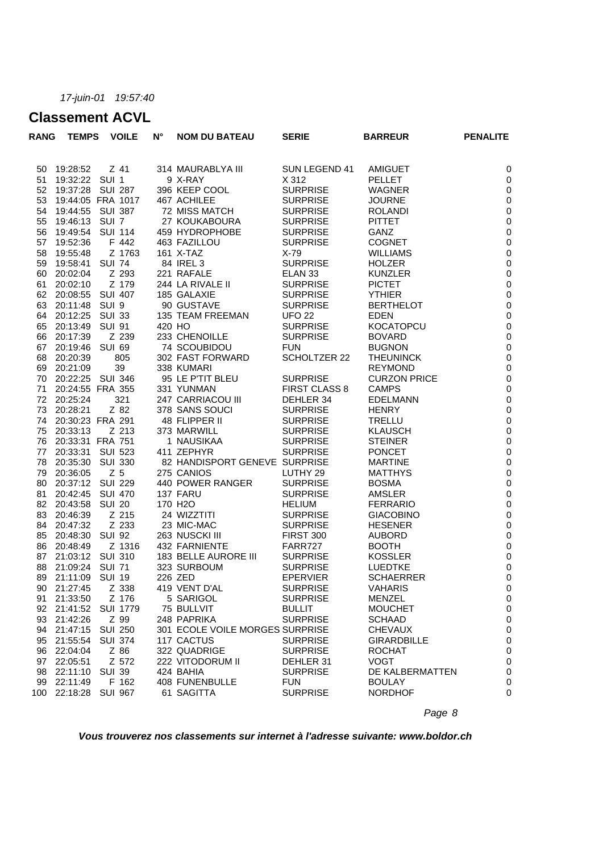### **Classement ACVL**

| <b>RANG</b> | <b>TEMPS</b>      |                  | <b>VOILE</b>    | $N^{\circ}$ | <b>NOM DU BATEAU</b>            | <b>SERIE</b>         | <b>BARREUR</b>      | <b>PENALITE</b>  |
|-------------|-------------------|------------------|-----------------|-------------|---------------------------------|----------------------|---------------------|------------------|
|             |                   |                  |                 |             |                                 |                      |                     |                  |
| 50          | 19:28:52          |                  | $Z$ 41          |             | 314 MAURABLYA III               | SUN LEGEND 41        | <b>AMIGUET</b>      | 0                |
| 51          | 19:32:22 SUI 1    |                  |                 |             | 9 X-RAY                         | X 312                | <b>PELLET</b>       | 0                |
| 52          | 19:37:28 SUI 287  |                  |                 |             | 396 KEEP COOL                   | <b>SURPRISE</b>      | <b>WAGNER</b>       | $\pmb{0}$        |
| 53          | 19:44:05 FRA 1017 |                  |                 |             | 467 ACHILEE                     | <b>SURPRISE</b>      | <b>JOURNE</b>       | $\pmb{0}$        |
| 54          | 19:44:55          | SUI 387          |                 |             | 72 MISS MATCH                   | <b>SURPRISE</b>      | <b>ROLANDI</b>      | $\pmb{0}$        |
| 55          | 19:46:13          | SUI <sub>7</sub> |                 |             | 27 KOUKABOURA                   | <b>SURPRISE</b>      | <b>PITTET</b>       | $\pmb{0}$        |
| 56          | 19:49:54          | <b>SUI 114</b>   |                 |             | 459 HYDROPHOBE                  | <b>SURPRISE</b>      | <b>GANZ</b>         | $\pmb{0}$        |
| 57          | 19:52:36          |                  | F 442           |             | 463 FAZILLOU                    | <b>SURPRISE</b>      | <b>COGNET</b>       | $\pmb{0}$        |
| 58          | 19:55:48          |                  | Z 1763          |             | 161 X-TAZ                       | $X-79$               | <b>WILLIAMS</b>     | $\pmb{0}$        |
| 59          | 19:58:41          | <b>SUI 74</b>    |                 |             | 84 IREL 3                       | <b>SURPRISE</b>      | <b>HOLZER</b>       | $\pmb{0}$        |
| 60          | 20:02:04          |                  | Z 293           |             | 221 RAFALE                      | ELAN <sub>33</sub>   | <b>KUNZLER</b>      | $\pmb{0}$        |
| 61          | 20:02:10          |                  | Z 179           |             | 244 LA RIVALE II                | <b>SURPRISE</b>      | <b>PICTET</b>       | $\pmb{0}$        |
| 62          | 20:08:55 SUI 407  |                  |                 |             | 185 GALAXIE                     | <b>SURPRISE</b>      | <b>YTHIER</b>       | $\pmb{0}$        |
| 63          | 20:11:48          | SUI <sub>9</sub> |                 |             | 90 GUSTAVE                      | <b>SURPRISE</b>      | <b>BERTHELOT</b>    | $\pmb{0}$        |
| 64          | 20:12:25          | <b>SUI 33</b>    |                 |             | 135 TEAM FREEMAN                | <b>UFO 22</b>        | <b>EDEN</b>         | $\pmb{0}$        |
| 65          | 20:13:49          | <b>SUI 91</b>    |                 | 420 HO      |                                 | <b>SURPRISE</b>      | <b>KOCATOPCU</b>    | $\pmb{0}$        |
| 66          | 20:17:39          |                  | Z 239           |             | 233 CHENOILLE                   | <b>SURPRISE</b>      | <b>BOVARD</b>       | $\pmb{0}$        |
| 67          | 20:19:46          | <b>SUI 69</b>    |                 |             | 74 SCOUBIDOU                    | <b>FUN</b>           | <b>BUGNON</b>       | $\pmb{0}$        |
| 68          | 20:20:39          |                  | 805             |             | 302 FAST FORWARD                | <b>SCHOLTZER 22</b>  | <b>THEUNINCK</b>    | $\boldsymbol{0}$ |
| 69          | 20:21:09          |                  | 39              |             | 338 KUMARI                      |                      | <b>REYMOND</b>      | $\pmb{0}$        |
| 70          | 20:22:25 SUI 346  |                  |                 |             | 95 LE P'TIT BLEU                | <b>SURPRISE</b>      | <b>CURZON PRICE</b> | $\pmb{0}$        |
| 71          | 20:24:55 FRA 355  |                  |                 |             | 331 YUNMAN                      | <b>FIRST CLASS 8</b> | <b>CAMPS</b>        | $\pmb{0}$        |
| 72          | 20:25:24          |                  | 321             |             | 247 CARRIACOU III               | DEHLER 34            | <b>EDELMANN</b>     | $\pmb{0}$        |
| 73          | 20:28:21          |                  | Z 82            |             | 378 SANS SOUCI                  | <b>SURPRISE</b>      | <b>HENRY</b>        | $\pmb{0}$        |
| 74          | 20:30:23 FRA 291  |                  |                 |             | 48 FLIPPER II                   | <b>SURPRISE</b>      | <b>TRELLU</b>       | $\pmb{0}$        |
| 75          | 20:33:13          |                  | Z 213           |             | 373 MARWILL                     | <b>SURPRISE</b>      | <b>KLAUSCH</b>      | $\pmb{0}$        |
| 76          | 20:33:31 FRA 751  |                  |                 |             | 1 NAUSIKAA                      | <b>SURPRISE</b>      | <b>STEINER</b>      | $\pmb{0}$        |
| 77          | 20:33:31 SUI 523  |                  |                 |             | 411 ZEPHYR                      | <b>SURPRISE</b>      | <b>PONCET</b>       | $\pmb{0}$        |
| 78          | 20:35:30          | <b>SUI 330</b>   |                 |             | 82 HANDISPORT GENEVE SURPRISE   |                      | <b>MARTINE</b>      | $\pmb{0}$        |
| 79          | 20:36:05          | Z <sub>5</sub>   |                 |             | 275 CANIOS                      | LUTHY 29             | <b>MATTHYS</b>      | $\pmb{0}$        |
| 80          | 20:37:12 SUI 229  |                  |                 |             | 440 POWER RANGER                | <b>SURPRISE</b>      | <b>BOSMA</b>        | $\pmb{0}$        |
| 81          | 20:42:45          | <b>SUI 470</b>   |                 |             | 137 FARU                        | <b>SURPRISE</b>      | AMSLER              | $\pmb{0}$        |
| 82          | 20:43:58          | <b>SUI 20</b>    |                 |             | 170 H <sub>2</sub> O            | <b>HELIUM</b>        | <b>FERRARIO</b>     | $\pmb{0}$        |
| 83          | 20:46:39          |                  | Z 215           |             | 24 WIZZTITI                     | <b>SURPRISE</b>      | <b>GIACOBINO</b>    | $\pmb{0}$        |
| 84          | 20:47:32          |                  | Z 233           |             | 23 MIC-MAC                      | <b>SURPRISE</b>      | <b>HESENER</b>      | $\pmb{0}$        |
| 85          | 20:48:30          | <b>SUI 92</b>    |                 |             | 263 NUSCKI III                  | <b>FIRST 300</b>     | <b>AUBORD</b>       | $\pmb{0}$        |
| 86          | 20:48:49          |                  | Z 1316          |             | 432 FARNIENTE                   | FARR727              | <b>BOOTH</b>        | $\pmb{0}$        |
| 87          | 21:03:12 SUI 310  |                  |                 |             | 183 BELLE AURORE III            | <b>SURPRISE</b>      | <b>KOSSLER</b>      | $\pmb{0}$        |
| 88          | 21:09:24          | <b>SUI 71</b>    |                 |             | 323 SURBOUM                     | <b>SURPRISE</b>      | <b>LUEDTKE</b>      | $\pmb{0}$        |
| 89          | 21:11:09          | <b>SUI 19</b>    |                 |             | 226 ZED                         | <b>EPERVIER</b>      | <b>SCHAERRER</b>    | 0                |
| 90          | 21:27:45          |                  | Z 338           |             | 419 VENT D'AL                   | SURPRISE             | VAHARIS             | $\mathbf 0$      |
| 91          | 21:33:50          |                  | Z 176           |             | 5 SARIGOL                       | <b>SURPRISE</b>      | <b>MENZEL</b>       | 0                |
| 92          | 21:41:52          |                  | <b>SUI 1779</b> |             | 75 BULLVIT                      | <b>BULLIT</b>        | <b>MOUCHET</b>      | 0                |
| 93          | 21:42:26          |                  | Z 99            |             | 248 PAPRIKA                     | <b>SURPRISE</b>      | <b>SCHAAD</b>       | 0                |
| 94          | 21:47:15          | <b>SUI 250</b>   |                 |             | 301 ECOLE VOILE MORGES SURPRISE |                      | <b>CHEVAUX</b>      | 0                |
| 95          | 21:55:54          |                  | <b>SUI 374</b>  |             | 117 CACTUS                      | <b>SURPRISE</b>      | <b>GIRARDBILLE</b>  | 0                |
| 96          | 22:04:04          |                  | Z 86            |             | 322 QUADRIGE                    | <b>SURPRISE</b>      | <b>ROCHAT</b>       | 0                |
| 97          | 22:05:51          |                  | Z 572           |             | 222 VITODORUM II                | DEHLER 31            | <b>VOGT</b>         | 0                |
| 98          | 22:11:10          | <b>SUI 39</b>    |                 |             | 424 BAHIA                       | <b>SURPRISE</b>      | DE KALBERMATTEN     | 0                |
| 99          | 22:11:49          |                  | F 162           |             | 408 FUNENBULLE                  | <b>FUN</b>           | <b>BOULAY</b>       | 0                |
| 100         | 22:18:28          | <b>SUI 967</b>   |                 |             | 61 SAGITTA                      | <b>SURPRISE</b>      | <b>NORDHOF</b>      | 0                |
|             |                   |                  |                 |             |                                 |                      |                     |                  |

*Page 8*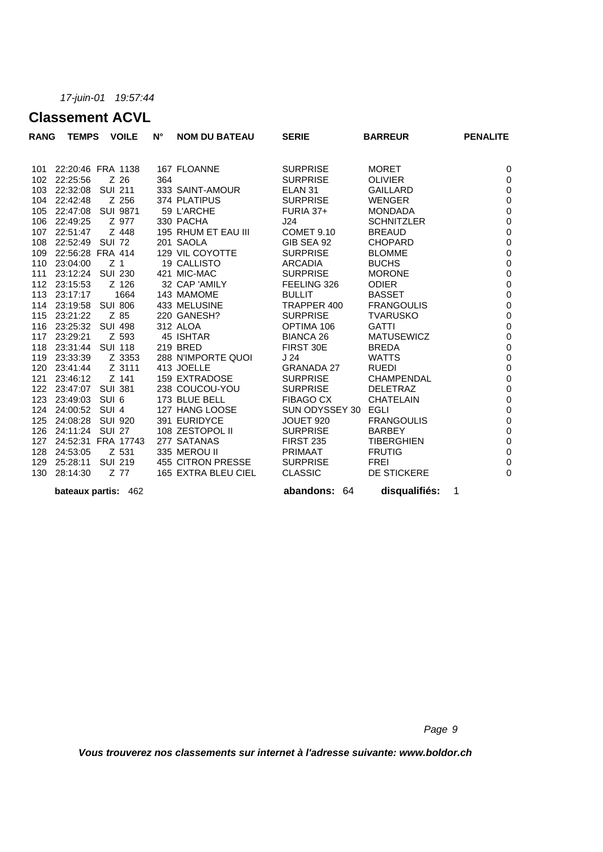### **Classement ACVL**

| <b>RANG</b> | <b>TEMPS</b>        |                | <b>VOILE</b>   | N°  | <b>NOM DU BATEAU</b> | <b>SERIE</b>        | <b>BARREUR</b>     | <b>PENALITE</b>  |
|-------------|---------------------|----------------|----------------|-----|----------------------|---------------------|--------------------|------------------|
| 101         | 22:20:46 FRA 1138   |                |                |     | 167 FLOANNE          | <b>SURPRISE</b>     | <b>MORET</b>       | 0                |
| 102         | 22:25:56            |                | Z 26           | 364 |                      | <b>SURPRISE</b>     | <b>OLIVIER</b>     | 0                |
| 103         | 22:32:08 SUI 211    |                |                |     | 333 SAINT-AMOUR      | ELAN <sub>31</sub>  | <b>GAILLARD</b>    | $\boldsymbol{0}$ |
| 104         | 22:42:48            |                | Z 256          |     | 374 PLATIPUS         | <b>SURPRISE</b>     | <b>WENGER</b>      | $\pmb{0}$        |
| 105         | 22:47:08 SUI 9871   |                |                |     | 59 L'ARCHE           | $FURIA$ 37+         | <b>MONDADA</b>     | $\pmb{0}$        |
| 106         | 22:49:25            |                | Z 977          |     | 330 PACHA            | J24                 | <b>SCHNITZLER</b>  | $\pmb{0}$        |
| 107         | 22:51:47            |                | Z 448          |     | 195 RHUM ET EAU III  | COMET 9.10          | <b>BREAUD</b>      | $\pmb{0}$        |
| 108         | 22:52:49 SUI 72     |                |                |     | 201 SAOLA            | GIB SEA 92          | <b>CHOPARD</b>     | $\pmb{0}$        |
| 109         | 22:56:28 FRA 414    |                |                |     | 129 VIL COYOTTE      | <b>SURPRISE</b>     | <b>BLOMME</b>      | $\pmb{0}$        |
| 110         | 23:04:00            | Z <sub>1</sub> |                |     | <b>19 CALLISTO</b>   | <b>ARCADIA</b>      | <b>BUCHS</b>       | $\pmb{0}$        |
| 111         | 23:12:24 SUI 230    |                |                |     | 421 MIC-MAC          | <b>SURPRISE</b>     | <b>MORONE</b>      | $\pmb{0}$        |
| 112         | 23:15:53            |                | Z 126          |     | 32 CAP 'AMILY        | FEELING 326         | <b>ODIER</b>       | $\pmb{0}$        |
| 113         | 23:17:17            |                | 1664           |     | 143 MAMOME           | <b>BULLIT</b>       | <b>BASSET</b>      | $\pmb{0}$        |
| 114         | 23:19:58 SUI 806    |                |                |     | 433 MELUSINE         | TRAPPER 400         | <b>FRANGOULIS</b>  | $\pmb{0}$        |
| 115         | 23:21:22            | Z 85           |                |     | 220 GANESH?          | <b>SURPRISE</b>     | <b>TVARUSKO</b>    | $\pmb{0}$        |
| 116         | 23:25:32 SUI 498    |                |                |     | 312 ALOA             | OPTIMA 106          | <b>GATTI</b>       | $\pmb{0}$        |
| 117         | 23:29:21            |                | Z 593          |     | 45 ISHTAR            | <b>BIANCA 26</b>    | <b>MATUSEWICZ</b>  | $\boldsymbol{0}$ |
| 118         | 23:31:44 SUI 118    |                |                |     | 219 BRED             | FIRST 30E           | <b>BREDA</b>       | $\pmb{0}$        |
| 119         | 23:33:39            |                | Z 3353         |     | 288 N'IMPORTE QUOI   | J <sub>24</sub>     | <b>WATTS</b>       | $\pmb{0}$        |
| 120         | 23:41:44            |                | Z 3111         |     | 413 JOELLE           | <b>GRANADA 27</b>   | <b>RUEDI</b>       | $\pmb{0}$        |
| 121         | 23:46:12            |                | Z 141          |     | 159 EXTRADOSE        | <b>SURPRISE</b>     | <b>CHAMPENDAL</b>  | $\pmb{0}$        |
| 122         | 23:47:07            |                | <b>SUI 381</b> |     | 238 COUCOU-YOU       | <b>SURPRISE</b>     | <b>DELETRAZ</b>    | $\pmb{0}$        |
| 123         | 23:49:03            | SUI 6          |                |     | 173 BLUE BELL        | <b>FIBAGO CX</b>    | <b>CHATELAIN</b>   | $\boldsymbol{0}$ |
| 124         | 24:00:52 SUI 4      |                |                |     | 127 HANG LOOSE       | SUN ODYSSEY 30 EGLI |                    | $\pmb{0}$        |
| 125         | 24:08:28            | SUI 920        |                |     | 391 EURIDYCE         | JOUET 920           | <b>FRANGOULIS</b>  | $\pmb{0}$        |
| 126         | 24:11:24            | <b>SUI 27</b>  |                |     | 108 ZESTOPOL II      | <b>SURPRISE</b>     | <b>BARBEY</b>      | $\pmb{0}$        |
| 127         | 24:52:31 FRA 17743  |                |                |     | 277 SATANAS          | <b>FIRST 235</b>    | <b>TIBERGHIEN</b>  | $\pmb{0}$        |
| 128         | 24:53:05            |                | Z 531          |     | 335 MEROU II         | <b>PRIMAAT</b>      | <b>FRUTIG</b>      | $\pmb{0}$        |
| 129         | 25:28:11 SUI 219    |                |                |     | 455 CITRON PRESSE    | <b>SURPRISE</b>     | <b>FREI</b>        | $\mathbf 0$      |
| 130         | 28:14:30            |                | Z 77           |     | 165 EXTRA BLEU CIEL  | <b>CLASSIC</b>      | <b>DE STICKERE</b> | 0                |
|             | bateaux partis: 462 |                |                |     |                      | abandons:<br>64     | disqualifiés:      | 1                |

*Page 9*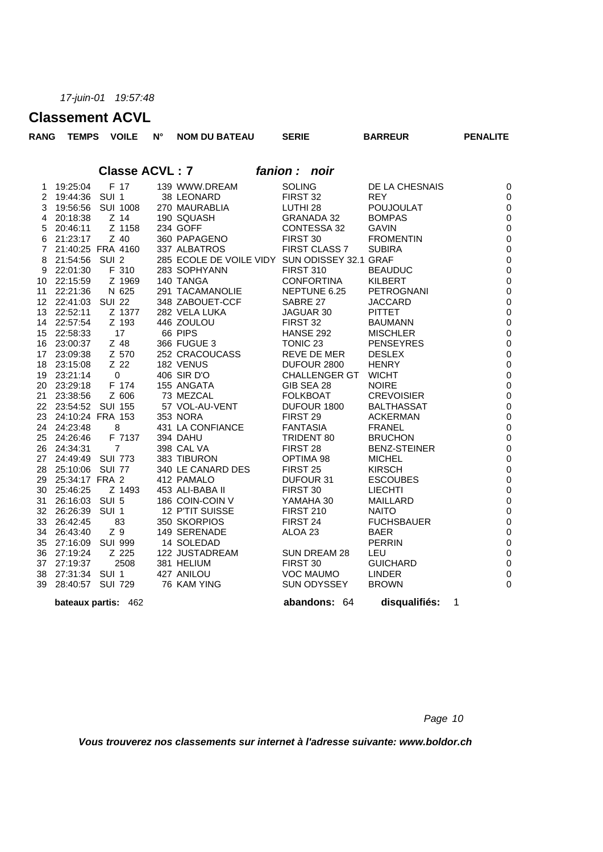# **Classement ACVL**

|                | <b>UIASSEMENT AUVL</b>     |                          |                 |                       |                                               |               |                     |                                    |                     |  |                          |
|----------------|----------------------------|--------------------------|-----------------|-----------------------|-----------------------------------------------|---------------|---------------------|------------------------------------|---------------------|--|--------------------------|
| <b>RANG</b>    | <b>TEMPS</b>               |                          | <b>VOILE</b>    | $N^{\circ}$           | <b>NOM DU BATEAU</b>                          |               | <b>SERIE</b>        |                                    | <b>BARREUR</b>      |  | <b>PENALITE</b>          |
|                |                            |                          |                 | <b>Classe ACVL: 7</b> |                                               |               |                     |                                    |                     |  |                          |
|                |                            |                          |                 |                       |                                               | fanion : noir |                     |                                    |                     |  |                          |
| $\mathbf{1}$   | 19:25:04                   |                          | F 17            |                       | 139 WWW.DREAM                                 |               | <b>SOLING</b>       |                                    | DE LA CHESNAIS      |  | $\boldsymbol{0}$         |
| $\overline{2}$ | 19:44:36 SUI 1             |                          |                 |                       | 38 LEONARD                                    |               | FIRST 32            |                                    | <b>REY</b>          |  | $\mathbf 0$              |
| 3              | 19:56:56 SUI 1008          |                          |                 |                       | 270 MAURABLIA                                 |               | LUTHI 28            |                                    | <b>POUJOULAT</b>    |  | $\boldsymbol{0}$         |
|                | 4 20:18:38                 |                          | $Z$ 14          |                       | 190 SQUASH                                    |               |                     | <b>GRANADA 32</b>                  | <b>BOMPAS</b>       |  | $\boldsymbol{0}$         |
| 5              | 20:46:11                   |                          | Z 1158          |                       | 234 GOFF                                      |               |                     | CONTESSA 32                        | <b>GAVIN</b>        |  | $\mathbf 0$              |
| 6              | 21:23:17                   |                          | Z 40            |                       | 360 PAPAGENO                                  |               | FIRST 30            |                                    | <b>FROMENTIN</b>    |  | $\pmb{0}$                |
|                | 7 21:40:25 FRA 4160        |                          |                 |                       | 337 ALBATROS                                  |               |                     | FIRST CLASS 7                      | <b>SUBIRA</b>       |  | $\mathbf 0$              |
| 8              | 21:54:56 SUI 2             |                          |                 |                       | 285 ECOLE DE VOILE VIDY SUN ODISSEY 32.1 GRAF |               |                     |                                    |                     |  | $\mathbf 0$              |
| 9              | 22:01:30                   |                          | F 310           |                       | 283 SOPHYANN                                  |               | <b>FIRST 310</b>    |                                    | <b>BEAUDUC</b>      |  | $\boldsymbol{0}$         |
|                | 10 22:15:59                |                          | Z 1969          |                       | 140 TANGA                                     |               |                     | <b>CONFORTINA</b>                  | KILBERT             |  | $\pmb{0}$                |
|                | 11 22:21:36                |                          | N 625           |                       | 291 TACAMANOLIE                               |               |                     | NEPTUNE 6.25                       | PETROGNANI          |  | $\boldsymbol{0}$         |
|                | 12 22:41:03 SUI 22         |                          |                 |                       | 348 ZABOUET-CCF                               |               | SABRE 27            |                                    | <b>JACCARD</b>      |  | $\mathbf 0$              |
|                | 13 22:52:11                |                          | Z 1377          |                       | 282 VELA LUKA                                 |               | JAGUAR 30           |                                    | <b>PITTET</b>       |  | $\pmb{0}$                |
|                | 14 22:57:54                |                          | Z 193           |                       | 446 ZOULOU                                    |               | FIRST 32            |                                    | <b>BAUMANN</b>      |  | $\boldsymbol{0}$         |
|                | 15 22:58:33                |                          | 17              |                       | 66 PIPS                                       |               | HANSE 292           |                                    | <b>MISCHLER</b>     |  | $\mathbf 0$              |
|                | 16 23:00:37                |                          | Z 48            |                       | 366 FUGUE 3                                   |               | TONIC <sub>23</sub> |                                    | <b>PENSEYRES</b>    |  | $\pmb{0}$<br>$\mathbf 0$ |
|                | 17 23:09:38                |                          | Z 570<br>$Z$ 22 |                       | 252 CRACOUCASS                                |               |                     | REVE DE MER                        | <b>DESLEX</b>       |  | $\mathbf 0$              |
|                | 18 23:15:08<br>19 23:21:14 | $\overline{\phantom{0}}$ |                 |                       | 182 VENUS<br>406 SIR D'O                      |               |                     | DUFOUR 2800<br>CHALLENGER GT WICHT | <b>HENRY</b>        |  |                          |
|                | 20 23:29:18                |                          | F 174           |                       | 155 ANGATA                                    |               | GIB SEA 28          |                                    | <b>NOIRE</b>        |  | $\pmb{0}$<br>$\pmb{0}$   |
|                | 21 23:38:56                |                          | Z 606           |                       | 73 MEZCAL                                     |               | <b>FOLKBOAT</b>     |                                    | <b>CREVOISIER</b>   |  | $\boldsymbol{0}$         |
|                | 22 23:54:52 SUI 155        |                          |                 |                       | 57 VOL-AU-VENT                                |               |                     | DUFOUR 1800                        | <b>BALTHASSAT</b>   |  | $\pmb{0}$                |
|                | 23 24:10:24 FRA 153        |                          |                 |                       | 353 NORA                                      |               | FIRST 29            |                                    | <b>ACKERMAN</b>     |  | $\mathbf 0$              |
|                | 24 24:23:48                | 8                        |                 |                       | 431 LA CONFIANCE                              |               | <b>FANTASIA</b>     |                                    | <b>FRANEL</b>       |  | $\pmb{0}$                |
|                | 25 24:26:46                |                          | F 7137          |                       | 394 DAHU                                      |               |                     | TRIDENT 80                         | <b>BRUCHON</b>      |  | $\mathbf 0$              |
|                | 26 24:34:31                |                          | $\overline{7}$  |                       | 398 CAL VA                                    |               | FIRST 28            |                                    | <b>BENZ-STEINER</b> |  | $\pmb{0}$                |
|                | 27 24:49:49 SUI 773        |                          |                 |                       | 383 TIBURON                                   |               | OPTIMA 98           |                                    | <b>MICHEL</b>       |  | $\mathbf 0$              |
|                | 28 25:10:06 SUI 77         |                          |                 |                       | 340 LE CANARD DES                             |               | FIRST <sub>25</sub> |                                    | <b>KIRSCH</b>       |  | $\mathbf 0$              |
| 29             | 25:34:17 FRA 2             |                          |                 |                       | 412 PAMALO                                    |               | DUFOUR 31           |                                    | <b>ESCOUBES</b>     |  | $\boldsymbol{0}$         |
|                | 30 25:46:25                |                          | Z 1493          |                       | 453 ALI-BABA II                               |               | FIRST 30            |                                    | <b>LIECHTI</b>      |  | $\boldsymbol{0}$         |
|                | 31 26:16:03 SUI 5          |                          |                 |                       | 186 COIN-COIN V                               |               | YAMAHA 30           |                                    | <b>MAILLARD</b>     |  | $\boldsymbol{0}$         |
|                | 32 26:26:39 SUI 1          |                          |                 |                       | 12 P'TIT SUISSE                               |               | <b>FIRST 210</b>    |                                    | <b>NAITO</b>        |  | $\pmb{0}$                |
|                | 33 26:42:45                |                          | 83              |                       | 350 SKORPIOS                                  |               | FIRST 24            |                                    | <b>FUCHSBAUER</b>   |  | $\boldsymbol{0}$         |
|                | 34 26:43:40                | Z 9                      |                 |                       | 149 SERENADE                                  |               | ALOA 23             |                                    | <b>BAER</b>         |  | $\boldsymbol{0}$         |
|                | 35 27:16:09 SUI 999        |                          |                 |                       | 14 SOLEDAD                                    |               |                     |                                    | <b>PERRIN</b>       |  | $\boldsymbol{0}$         |
|                | 36 27:19:24                |                          | Z 225           |                       | 122 JUSTADREAM                                |               |                     | SUN DREAM 28                       | LEU                 |  | $\boldsymbol{0}$         |
|                | 37 27:19:37                |                          | 2508            |                       | 381 HELIUM                                    |               | FIRST 30            |                                    | <b>GUICHARD</b>     |  | $\mathbf 0$              |
| 38             | 27:31:34 SUI 1             |                          |                 |                       | 427 ANILOU                                    |               |                     | <b>VOC MAUMO</b>                   | <b>LINDER</b>       |  | $\mathbf 0$              |
| 39             | 28:40:57 SUI 729           |                          |                 |                       | 76 KAM YING                                   |               |                     | SUN ODYSSEY                        | <b>BROWN</b>        |  | $\mathbf 0$              |
|                | bateaux partis: 462        |                          |                 |                       |                                               |               |                     | abandons: 64                       | disqualifiés:       |  | 1                        |

*Page 10*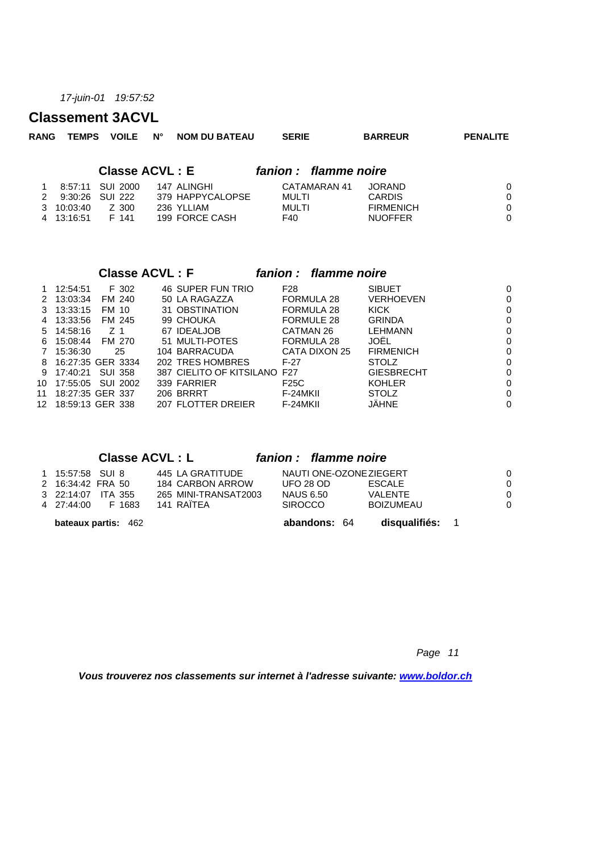#### **Classement 3ACVL**

| <b>RANG</b> | <b>TEMPS</b> | <b>VOILE</b> | <b>NOM DU BATEAU</b><br>$N^{\circ}$ | <b>SERIE</b> | <b>BARREUR</b>         | <b>PENALITE</b> |
|-------------|--------------|--------------|-------------------------------------|--------------|------------------------|-----------------|
|             |              |              | <b>Classe ACVL: E</b>               |              | fanion : flamme noire  |                 |
|             | 8:57:11      | SUI 2000     | 147 ALINGHI                         |              | CATAMARAN 41<br>JORAND | $\Omega$        |
| 2           | 9:30:26      | SUI 222      | 379 HAPPYCALOPSE                    | MULTI        | <b>CARDIS</b>          | $\Omega$        |
| 3           | 10:03:40     | Z 300        | 236 YLLIAM                          | MULTI        | <b>FIRMENICH</b>       | $\Omega$        |
| 4           | 13:16:51     | F 141        | 199 FORCE CASH                      | F40          | <b>NUOFFER</b>         | $\Omega$        |
|             |              |              |                                     |              |                        |                 |
|             |              |              |                                     |              |                        |                 |

|     |          |                   | <b>Classe ACVL: F</b> |                              |                   | fanion : flamme noire |                   |  |
|-----|----------|-------------------|-----------------------|------------------------------|-------------------|-----------------------|-------------------|--|
|     | 12:54:51 | F 302             |                       | <b>46 SUPER FUN TRIO</b>     | F28               |                       | <b>SIBUET</b>     |  |
| 2   | 13:03:34 | FM 240            |                       | 50 LA RAGAZZA                | <b>FORMULA 28</b> |                       | <b>VERHOEVEN</b>  |  |
| 3   | 13:33:15 | FM 10             |                       | 31 OBSTINATION               | FORMULA 28        |                       | KICK              |  |
| 4   | 13:33:56 | FM 245            | 99 CHOUKA             |                              | FORMULE 28        |                       | <b>GRINDA</b>     |  |
| 5.  | 14:58:16 | Z 1               | 67 IDEALJOB           |                              | CATMAN 26         |                       | <b>LEHMANN</b>    |  |
| 6.  | 15:08:44 | FM 270            |                       | 51 MULTI-POTES               | FORMULA 28        |                       | JOËL              |  |
|     | 15:36:30 | 25                |                       | 104 BARRACUDA                | CATA DIXON 25     |                       | <b>FIRMENICH</b>  |  |
| 8   |          | 16:27:35 GER 3334 |                       | 202 TRES HOMBRES             | $F-27$            |                       | <b>STOLZ</b>      |  |
| 9   | 17:40:21 | <b>SUI 358</b>    |                       | 387 CIELITO OF KITSILANO F27 |                   |                       | <b>GIESBRECHT</b> |  |
| 10  | 17:55:05 | SUI 2002          | 339 FARRIER           |                              | F <sub>25</sub> C |                       | <b>KOHLER</b>     |  |
| 11  |          | 18:27:35 GER 337  | 206 BRRRT             |                              | F-24MKII          |                       | <b>STOLZ</b>      |  |
| 12. |          | 18:59:13 GER 338  |                       | 207 FLOTTER DREIER           | F-24MKII          |                       | JÄHNE             |  |

#### **Classe ACVL : L** *fanion : flamme noire*

| <b>bateaux partis: 462</b>                    |                                      | abandons: 64                                | disqualifiés: 1             |  |
|-----------------------------------------------|--------------------------------------|---------------------------------------------|-----------------------------|--|
| 3 22:14:07<br>ITA 355<br>4 27:44:00<br>F 1683 | 265 MINI-TRANSAT2003<br>141 RAÏTEA   | NAUS 6.50<br><b>SIROCCO</b>                 | VALENTE<br><b>BOIZUMEAU</b> |  |
| 1 15:57:58 SUI 8<br>2 16:34:42 FRA 50         | 445 LA GRATITUDE<br>184 CARBON ARROW | NAUTI ONE-OZONE ZIEGERT<br><b>UFO 28 OD</b> | <b>ESCALE</b>               |  |

*Page 11*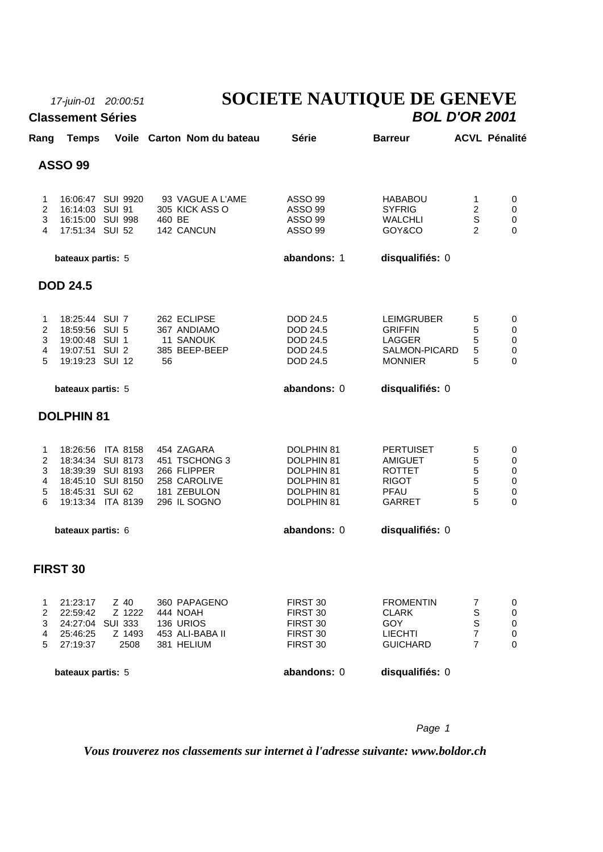**Classement Séries** 

# *17-juin-01 20:00:51* **SOCIETE NAUTIQUE DE GENEVE**

| Rang                                                       | <b>Temps</b>                                                                            |                                                                                                       | Voile Carton Nom du bateau                                                                | Série                                                                            | <b>Barreur</b>                                                                        |                                                                     | <b>ACVL Pénalité</b>                   |
|------------------------------------------------------------|-----------------------------------------------------------------------------------------|-------------------------------------------------------------------------------------------------------|-------------------------------------------------------------------------------------------|----------------------------------------------------------------------------------|---------------------------------------------------------------------------------------|---------------------------------------------------------------------|----------------------------------------|
|                                                            | <b>ASSO 99</b>                                                                          |                                                                                                       |                                                                                           |                                                                                  |                                                                                       |                                                                     |                                        |
| 1<br>$\overline{2}$<br>3<br>4                              | 16:14:03 SUI 91<br>17:51:34 SUI 52                                                      | 16:06:47 SUI 9920<br>16:15:00 SUI 998                                                                 | 93 VAGUE A L'AME<br>305 KICK ASS O<br>460 BE<br>142 CANCUN                                | <b>ASSO 99</b><br>ASSO 99<br>ASSO 99<br>ASSO 99                                  | <b>HABABOU</b><br><b>SYFRIG</b><br><b>WALCHLI</b><br>GOY&CO                           | 1<br>2<br>S<br>$\overline{2}$                                       | 0<br>0<br>0<br>$\mathbf 0$             |
|                                                            | bateaux partis: 5                                                                       |                                                                                                       |                                                                                           | abandons: 1                                                                      | disqualifiés: 0                                                                       |                                                                     |                                        |
|                                                            | <b>DOD 24.5</b>                                                                         |                                                                                                       |                                                                                           |                                                                                  |                                                                                       |                                                                     |                                        |
| 1<br>$\overline{c}$<br>$\ensuremath{\mathsf{3}}$<br>4<br>5 | 18:25:44 SUI 7<br>18:59:56 SUI 5<br>19:00:48 SUI 1<br>19:07:51 SUI 2<br>19:19:23 SUI 12 |                                                                                                       | 262 ECLIPSE<br>367 ANDIAMO<br>11 SANOUK<br>385 BEEP-BEEP<br>56                            | <b>DOD 24.5</b><br>DOD 24.5<br><b>DOD 24.5</b><br>DOD 24.5<br><b>DOD 24.5</b>    | <b>LEIMGRUBER</b><br><b>GRIFFIN</b><br>LAGGER<br>SALMON-PICARD<br><b>MONNIER</b>      | 5<br>5<br>5<br>5<br>5                                               | 0<br>0<br>0<br>0<br>0                  |
|                                                            | bateaux partis: 5                                                                       |                                                                                                       |                                                                                           | abandons: 0                                                                      | disqualifiés: 0                                                                       |                                                                     |                                        |
|                                                            | <b>DOLPHIN 81</b>                                                                       |                                                                                                       |                                                                                           |                                                                                  |                                                                                       |                                                                     |                                        |
| 1<br>$\overline{c}$<br>3<br>$\overline{4}$<br>5<br>6       | 18:45:31 SUI 62                                                                         | 18:26:56 ITA 8158<br>18:34:34 SUI 8173<br>18:39:39 SUI 8193<br>18:45:10 SUI 8150<br>19:13:34 ITA 8139 | 454 ZAGARA<br>451 TSCHONG 3<br>266 FLIPPER<br>258 CAROLIVE<br>181 ZEBULON<br>296 IL SOGNO | DOLPHIN 81<br>DOLPHIN 81<br>DOLPHIN 81<br>DOLPHIN 81<br>DOLPHIN 81<br>DOLPHIN 81 | <b>PERTUISET</b><br>AMIGUET<br><b>ROTTET</b><br><b>RIGOT</b><br>PFAU<br><b>GARRET</b> | 5<br>5<br>5<br>5<br>5<br>5                                          | 0<br>0<br>0<br>0<br>0<br>0             |
|                                                            | bateaux partis: 6                                                                       |                                                                                                       |                                                                                           | abandons: 0                                                                      | disqualifiés: 0                                                                       |                                                                     |                                        |
|                                                            | FIRST 30                                                                                |                                                                                                       |                                                                                           |                                                                                  |                                                                                       |                                                                     |                                        |
| 1<br>$\boldsymbol{2}$<br>3<br>4<br>5                       | 21:23:17<br>22:59:42<br>25:46:25<br>27:19:37                                            | Z 40<br>Z 1222<br>24:27:04 SUI 333<br>Z 1493<br>2508                                                  | 360 PAPAGENO<br>444 NOAH<br>136 URIOS<br>453 ALI-BABA II<br>381 HELIUM                    | FIRST 30<br>FIRST 30<br>FIRST 30<br>FIRST 30<br>FIRST 30                         | <b>FROMENTIN</b><br><b>CLARK</b><br><b>GOY</b><br><b>LIECHTI</b><br><b>GUICHARD</b>   | 7<br>$\mathbb S$<br>$\mathbf S$<br>$\overline{7}$<br>$\overline{7}$ | 0<br>$\mathbf 0$<br>0<br>0<br>$\Omega$ |
|                                                            | bateaux partis: 5                                                                       |                                                                                                       |                                                                                           | abandons: 0                                                                      | disqualifiés: 0                                                                       |                                                                     |                                        |

*Page 1*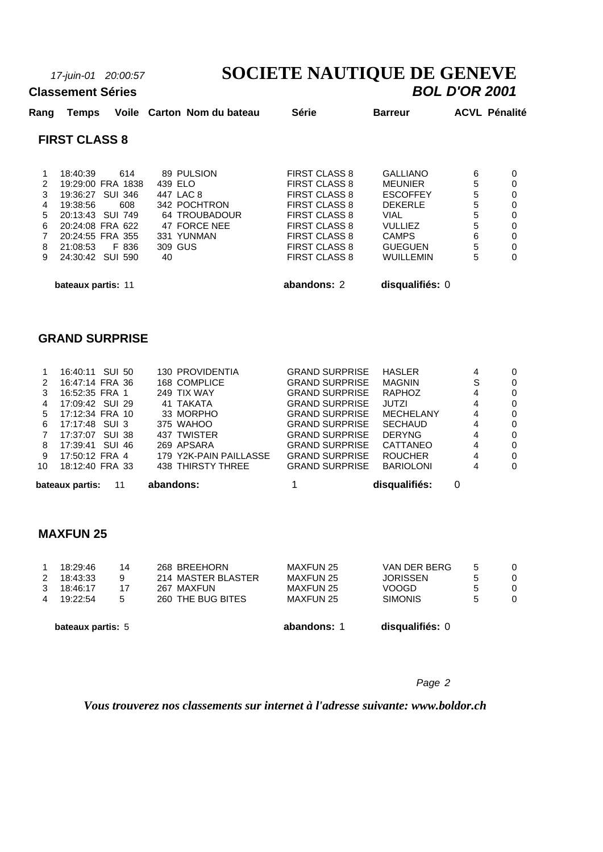# *17-juin-01 20:00:57* **SOCIETE NAUTIQUE DE GENEVE**

#### **Classement Séries**

| Rang | Temps                |                   | Voile Carton Nom du bateau | <b>Série</b>         | <b>Barreur</b>   |   | <b>ACVL Pénalité</b> |
|------|----------------------|-------------------|----------------------------|----------------------|------------------|---|----------------------|
|      | <b>FIRST CLASS 8</b> |                   |                            |                      |                  |   |                      |
| 1    | 18:40:39             | 614               | 89 PULSION                 | <b>FIRST CLASS 8</b> | <b>GALLIANO</b>  | 6 | 0                    |
| 2    |                      | 19:29:00 FRA 1838 | 439 ELO                    | FIRST CLASS 8        | <b>MEUNIER</b>   | 5 | 0                    |
| 3    | 19:36:27 SUI 346     |                   | 447 LAC 8                  | <b>FIRST CLASS 8</b> | <b>ESCOFFEY</b>  | 5 | 0                    |
| 4    | 19:38:56             | 608               | 342 POCHTRON               | <b>FIRST CLASS 8</b> | <b>DEKERLE</b>   | 5 | 0                    |
| 5    | 20:13:43 SUI 749     |                   | 64 TROUBADOUR              | <b>FIRST CLASS 8</b> | VIAL             | 5 | 0                    |
| 6    | 20:24:08 FRA 622     |                   | 47 FORCE NEE               | <b>FIRST CLASS 8</b> | VULLIEZ          | 5 | 0                    |
|      | 20:24:55 FRA 355     |                   | 331 YUNMAN                 | <b>FIRST CLASS 8</b> | <b>CAMPS</b>     | 6 | 0                    |
| 8    | 21:08:53             | F 836             | 309 GUS                    | <b>FIRST CLASS 8</b> | <b>GUEGUEN</b>   | 5 | 0                    |
| 9    | 24:30:42 SUI 590     |                   | 40                         | <b>FIRST CLASS 8</b> | <b>WUILLEMIN</b> | 5 | 0                    |
|      | bateaux partis: 11   |                   |                            | abandons: 2          | disqualifiés: 0  |   |                      |

#### **GRAND SURPRISE**

|    | bateaux partis:<br>11 | abandons:              |                       | disqualifiés:    | 0 |          |
|----|-----------------------|------------------------|-----------------------|------------------|---|----------|
| 10 | 18:12:40 FRA 33       | 438 THIRSTY THREE      | <b>GRAND SURPRISE</b> | <b>BARIOLONI</b> | 4 | 0        |
| 9  | 17:50:12 FRA 4        | 179 Y2K-PAIN PAILLASSE | <b>GRAND SURPRISE</b> | <b>ROUCHER</b>   | 4 | $\Omega$ |
| 8  | 17:39:41 SUI 46       | 269 APSARA             | <b>GRAND SURPRISE</b> | CATTANEO         | 4 | $\Omega$ |
|    | 17:37:07 SUI 38       | 437 TWISTER            | <b>GRAND SURPRISE</b> | <b>DERYNG</b>    | 4 | $\Omega$ |
| 6. | 17:17:48 SUI 3        | 375 WAHOO              | <b>GRAND SURPRISE</b> | <b>SECHAUD</b>   | 4 | $\Omega$ |
| 5. | 17:12:34 FRA 10       | 33 MORPHO              | <b>GRAND SURPRISE</b> | MECHELANY        | 4 | $\Omega$ |
| 4  | 17:09:42 SUI 29       | 41 TAKATA              | <b>GRAND SURPRISE</b> | JUTZI            | 4 | $\Omega$ |
| 3  | 16:52:35 FRA 1        | 249 TIX WAY            | <b>GRAND SURPRISE</b> | RAPHOZ           | 4 | $\Omega$ |
| 2  | 16:47:14 FRA 36       | 168 COMPLICE           | <b>GRAND SURPRISE</b> | MAGNIN           | S | 0        |
|    | 16:40:11 SUI 50       | 130 PROVIDENTIA        | <b>GRAND SURPRISE</b> | <b>HASLER</b>    | 4 | $\Omega$ |
|    |                       |                        |                       |                  |   |          |

#### **MAXFUN 25**

|                | bateaux partis: 5 |    |                    | abandons: 1                 | disqualifiés: 0 |   |          |
|----------------|-------------------|----|--------------------|-----------------------------|-----------------|---|----------|
| $\overline{A}$ | 19:22:54          | 5  | 260 THE BUG BITES  | <b>SIMONIS</b><br>MAXFUN 25 |                 | 5 | 0        |
| 3              | 18:46:17          | 17 | 267 MAXFUN         | <b>MAXFUN 25</b>            | <b>VOOGD</b>    | 5 | 0        |
| $\mathcal{P}$  | 18:43:33          | 9  | 214 MASTER BLASTER | MAXFUN 25                   | <b>JORISSEN</b> | 5 | $\Omega$ |
|                | 18:29:46          | 14 | 268 BREEHORN       | <b>MAXFUN 25</b>            | VAN DER BERG    | 5 | $\Omega$ |
|                |                   |    |                    |                             |                 |   |          |

#### *Page 2*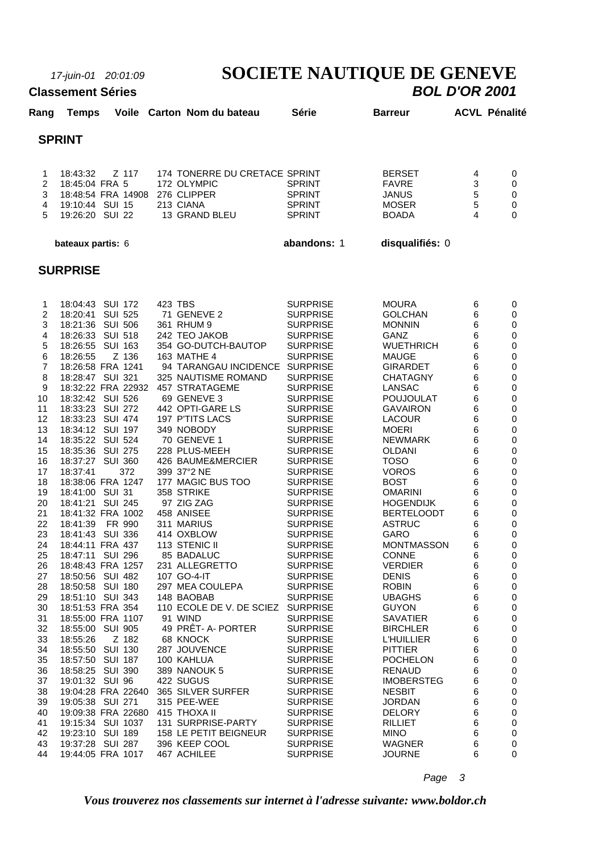# *17-juin-01 20:01:09* **SOCIETE NAUTIQUE DE GENEVE**

#### **Classement Séries**

|                                                                                                                                                                                                                                                                          | <b>SPRINT</b>                                                                                                                                                                                                                                                                                                                                                                                                                                                                                                                                                                                                                                                                                                                                                                                                                                                                                                              |                                                                                                                                                                                                                                                                                                                                                                                                                                                                                                                                                                                                                                                                                                                                                                                   |                                                                                                                                                                                                                                                                                                                                                                                                                                                                                                                                                                                                                                                                                                                                                                                                                                               |                                                                                                                                                                                                                                                                                                                                                                                                                                                                                                                                                                                                                                                                                                                                                                                            |                                                                                                                                                                                                                          |                                                                                                                                                                                                                                  |
|--------------------------------------------------------------------------------------------------------------------------------------------------------------------------------------------------------------------------------------------------------------------------|----------------------------------------------------------------------------------------------------------------------------------------------------------------------------------------------------------------------------------------------------------------------------------------------------------------------------------------------------------------------------------------------------------------------------------------------------------------------------------------------------------------------------------------------------------------------------------------------------------------------------------------------------------------------------------------------------------------------------------------------------------------------------------------------------------------------------------------------------------------------------------------------------------------------------|-----------------------------------------------------------------------------------------------------------------------------------------------------------------------------------------------------------------------------------------------------------------------------------------------------------------------------------------------------------------------------------------------------------------------------------------------------------------------------------------------------------------------------------------------------------------------------------------------------------------------------------------------------------------------------------------------------------------------------------------------------------------------------------|-----------------------------------------------------------------------------------------------------------------------------------------------------------------------------------------------------------------------------------------------------------------------------------------------------------------------------------------------------------------------------------------------------------------------------------------------------------------------------------------------------------------------------------------------------------------------------------------------------------------------------------------------------------------------------------------------------------------------------------------------------------------------------------------------------------------------------------------------|--------------------------------------------------------------------------------------------------------------------------------------------------------------------------------------------------------------------------------------------------------------------------------------------------------------------------------------------------------------------------------------------------------------------------------------------------------------------------------------------------------------------------------------------------------------------------------------------------------------------------------------------------------------------------------------------------------------------------------------------------------------------------------------------|--------------------------------------------------------------------------------------------------------------------------------------------------------------------------------------------------------------------------|----------------------------------------------------------------------------------------------------------------------------------------------------------------------------------------------------------------------------------|
| 1<br>$\overline{2}$<br>3<br>4<br>5                                                                                                                                                                                                                                       | 18:43:32<br>Z 117<br>18:45:04 FRA 5<br>18:48:54 FRA 14908<br>19:10:44 SUI 15<br>19:26:20 SUI 22                                                                                                                                                                                                                                                                                                                                                                                                                                                                                                                                                                                                                                                                                                                                                                                                                            | 174 TONERRE DU CRETACE SPRINT<br>172 OLYMPIC<br>276 CLIPPER<br>213 CIANA<br>13 GRAND BLEU                                                                                                                                                                                                                                                                                                                                                                                                                                                                                                                                                                                                                                                                                         | <b>SPRINT</b><br><b>SPRINT</b><br><b>SPRINT</b><br><b>SPRINT</b>                                                                                                                                                                                                                                                                                                                                                                                                                                                                                                                                                                                                                                                                                                                                                                              | <b>BERSET</b><br><b>FAVRE</b><br><b>JANUS</b><br><b>MOSER</b><br><b>BOADA</b>                                                                                                                                                                                                                                                                                                                                                                                                                                                                                                                                                                                                                                                                                                              | 4<br>3<br>5<br>5<br>4                                                                                                                                                                                                    | 0<br>0<br>0<br>0<br>0                                                                                                                                                                                                            |
|                                                                                                                                                                                                                                                                          | bateaux partis: 6                                                                                                                                                                                                                                                                                                                                                                                                                                                                                                                                                                                                                                                                                                                                                                                                                                                                                                          |                                                                                                                                                                                                                                                                                                                                                                                                                                                                                                                                                                                                                                                                                                                                                                                   | abandons: 1                                                                                                                                                                                                                                                                                                                                                                                                                                                                                                                                                                                                                                                                                                                                                                                                                                   | disqualifiés: 0                                                                                                                                                                                                                                                                                                                                                                                                                                                                                                                                                                                                                                                                                                                                                                            |                                                                                                                                                                                                                          |                                                                                                                                                                                                                                  |
|                                                                                                                                                                                                                                                                          |                                                                                                                                                                                                                                                                                                                                                                                                                                                                                                                                                                                                                                                                                                                                                                                                                                                                                                                            |                                                                                                                                                                                                                                                                                                                                                                                                                                                                                                                                                                                                                                                                                                                                                                                   |                                                                                                                                                                                                                                                                                                                                                                                                                                                                                                                                                                                                                                                                                                                                                                                                                                               |                                                                                                                                                                                                                                                                                                                                                                                                                                                                                                                                                                                                                                                                                                                                                                                            |                                                                                                                                                                                                                          |                                                                                                                                                                                                                                  |
|                                                                                                                                                                                                                                                                          | <b>SURPRISE</b>                                                                                                                                                                                                                                                                                                                                                                                                                                                                                                                                                                                                                                                                                                                                                                                                                                                                                                            |                                                                                                                                                                                                                                                                                                                                                                                                                                                                                                                                                                                                                                                                                                                                                                                   |                                                                                                                                                                                                                                                                                                                                                                                                                                                                                                                                                                                                                                                                                                                                                                                                                                               |                                                                                                                                                                                                                                                                                                                                                                                                                                                                                                                                                                                                                                                                                                                                                                                            |                                                                                                                                                                                                                          |                                                                                                                                                                                                                                  |
| 1<br>2<br>3<br>4<br>5<br>6<br>$\overline{7}$<br>8<br>9<br>10<br>11<br>12<br>13<br>14<br>15<br>16<br>17<br>18<br>19<br>20<br>21<br>22<br>23<br>24<br>25<br>26<br>27<br>28<br>29<br>30<br>31<br>32<br>33<br>34<br>35<br>36<br>37<br>38<br>39<br>40<br>41<br>42<br>43<br>44 | 18:04:43 SUI 172<br>18:20:41 SUI 525<br>18:21:36 SUI 506<br>18:26:33 SUI 518<br>18:26:55 SUI 163<br>18:26:55<br>Z 136<br>18:26:58 FRA 1241<br>18:28:47 SUI 321<br>18:32:22 FRA 22932<br>18:32:42 SUI 526<br>18:33:23 SUI 272<br>18:33:23 SUI 474<br>18:34:12 SUI 197<br>18:35:22 SUI 524<br>18:35:36 SUI 275<br>18:37:27 SUI 360<br>372<br>18:37:41<br>18:38:06 FRA 1247<br>18:41:00 SUI 31<br>18:41:21 SUI 245<br>18:41:32 FRA 1002<br>18:41:39<br>FR 990<br>18:41:43 SUI 336<br>18:44:11 FRA 437<br>18:47:11 SUI 296<br>18:48:43 FRA 1257<br>18:50:56 SUI 482<br>18:50:58 SUI 180<br>18:51:10 SUI 343<br>18:51:53 FRA 354<br>18:55:00 FRA 1107<br>18:55:00 SUI 905<br>18:55:26<br>Z 182<br>18:55:50 SUI 130<br>18:57:50 SUI 187<br>18:58:25 SUI 390<br>19:01:32 SUI 96<br>19:04:28 FRA 22640<br>19:05:38 SUI 271<br>19:09:38 FRA 22680<br>19:15:34 SUI 1037<br>19:23:10 SUI 189<br>19:37:28 SUI 287<br>19:44:05 FRA 1017 | 423 TBS<br>71 GENEVE 2<br>361 RHUM 9<br>242 TEO JAKOB<br>354 GO-DUTCH-BAUTOP<br>163 MATHE 4<br>94 TARANGAU INCIDENCE SURPRISE<br>325 NAUTISME ROMAND<br>457 STRATAGEME<br>69 GENEVE 3<br>442 OPTI-GARE LS<br>197 P'TITS LACS<br>349 NOBODY<br>70 GENEVE 1<br>228 PLUS-MEEH<br>426 BAUME&MERCIER<br>399 37°2 NE<br>177 MAGIC BUS TOO<br>358 STRIKE<br>97 ZIG ZAG<br>458 ANISEE<br>311 MARIUS<br>414 OXBLOW<br>113 STENIC II<br>85 BADALUC<br>231 ALLEGRETTO<br>107 GO-4-IT<br>297 MEA COULEPA<br>148 BAOBAB<br>110 ECOLE DE V. DE SCIEZ<br>91 WIND<br>49 PRÊT- A- PORTER<br>68 KNOCK<br>287 JOUVENCE<br>100 KAHLUA<br>389 NANOUK 5<br>422 SUGUS<br>365 SILVER SURFER<br>315 PEE-WEE<br>415 THOXA II<br>131 SURPRISE-PARTY<br>158 LE PETIT BEIGNEUR<br>396 KEEP COOL<br>467 ACHILEE | <b>SURPRISE</b><br><b>SURPRISE</b><br><b>SURPRISE</b><br><b>SURPRISE</b><br><b>SURPRISE</b><br><b>SURPRISE</b><br><b>SURPRISE</b><br><b>SURPRISE</b><br><b>SURPRISE</b><br><b>SURPRISE</b><br><b>SURPRISE</b><br><b>SURPRISE</b><br><b>SURPRISE</b><br><b>SURPRISE</b><br><b>SURPRISE</b><br><b>SURPRISE</b><br><b>SURPRISE</b><br><b>SURPRISE</b><br><b>SURPRISE</b><br><b>SURPRISE</b><br><b>SURPRISE</b><br><b>SURPRISE</b><br><b>SURPRISE</b><br><b>SURPRISE</b><br><b>SURPRISE</b><br><b>SURPRISE</b><br><b>SURPRISE</b><br><b>SURPRISE</b><br><b>SURPRISE</b><br><b>SURPRISE</b><br><b>SURPRISE</b><br><b>SURPRISE</b><br><b>SURPRISE</b><br><b>SURPRISE</b><br><b>SURPRISE</b><br><b>SURPRISE</b><br><b>SURPRISE</b><br><b>SURPRISE</b><br><b>SURPRISE</b><br><b>SURPRISE</b><br><b>SURPRISE</b><br><b>SURPRISE</b><br><b>SURPRISE</b> | <b>MOURA</b><br><b>GOLCHAN</b><br><b>MONNIN</b><br><b>GANZ</b><br>WUETHRICH<br><b>MAUGE</b><br><b>GIRARDET</b><br><b>CHATAGNY</b><br><b>LANSAC</b><br><b>POUJOULAT</b><br><b>GAVAIRON</b><br><b>LACOUR</b><br><b>MOERI</b><br><b>NEWMARK</b><br><b>OLDANI</b><br><b>TOSO</b><br><b>VOROS</b><br><b>BOST</b><br><b>OMARINI</b><br><b>HOGENDIJK</b><br><b>BERTELOODT</b><br><b>ASTRUC</b><br><b>GARO</b><br><b>MONTMASSON</b><br><b>CONNE</b><br><b>VERDIER</b><br><b>DENIS</b><br><b>ROBIN</b><br><b>UBAGHS</b><br><b>GUYON</b><br><b>SAVATIER</b><br><b>BIRCHLER</b><br><b>L'HUILLIER</b><br><b>PITTIER</b><br><b>POCHELON</b><br><b>RENAUD</b><br><b>IMOBERSTEG</b><br><b>NESBIT</b><br><b>JORDAN</b><br><b>DELORY</b><br><b>RILLIET</b><br><b>MINO</b><br><b>WAGNER</b><br><b>JOURNE</b> | 6<br>6<br>6<br>6<br>6<br>6<br>6<br>6<br>6<br>6<br>6<br>6<br>6<br>6<br>6<br>6<br>6<br>6<br>6<br>6<br>6<br>6<br>6<br>6<br>6<br>6<br>6<br>6<br>6<br>6<br>6<br>6<br>6<br>6<br>6<br>6<br>6<br>6<br>6<br>6<br>6<br>6<br>6<br>6 | 0<br>0<br>0<br>0<br>0<br>0<br>0<br>0<br>0<br>0<br>0<br>0<br>0<br>0<br>0<br>0<br>0<br>0<br>0<br>0<br>0<br>0<br>0<br>0<br>0<br>0<br>0<br>$\pmb{0}$<br>0<br>0<br>0<br>0<br>0<br>0<br>0<br>0<br>0<br>0<br>0<br>0<br>0<br>0<br>0<br>0 |
|                                                                                                                                                                                                                                                                          |                                                                                                                                                                                                                                                                                                                                                                                                                                                                                                                                                                                                                                                                                                                                                                                                                                                                                                                            |                                                                                                                                                                                                                                                                                                                                                                                                                                                                                                                                                                                                                                                                                                                                                                                   |                                                                                                                                                                                                                                                                                                                                                                                                                                                                                                                                                                                                                                                                                                                                                                                                                                               | Page                                                                                                                                                                                                                                                                                                                                                                                                                                                                                                                                                                                                                                                                                                                                                                                       | $\mathbf{3}$                                                                                                                                                                                                             |                                                                                                                                                                                                                                  |

**Rang Temps Voile Carton Nom du bateau Série Barreur ACVL Pénalité**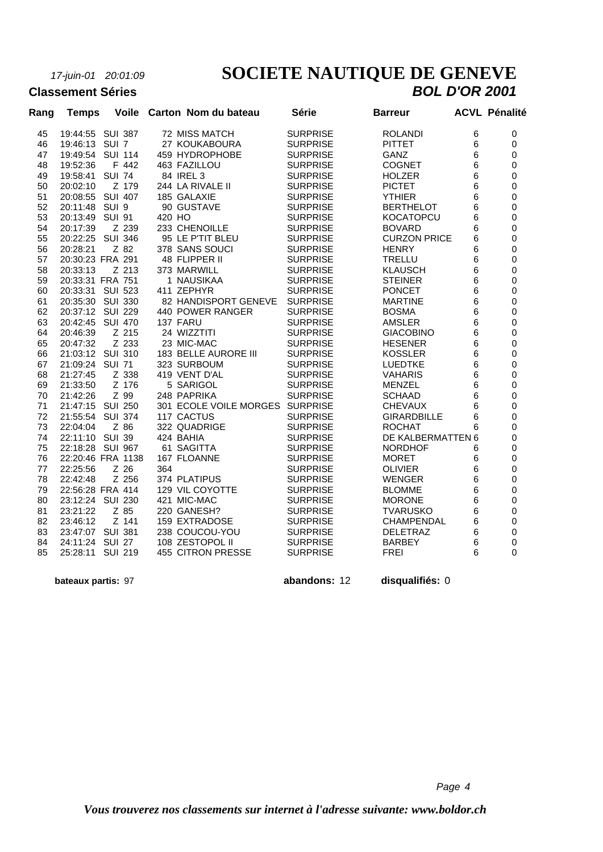## *17-juin-01 20:01:09* **SOCIETE NAUTIQUE DE GENEVE Classement Séries** *BOL D'OR 2001*

| <b>Classement Séries</b> |  |  |                                  |       | <b>BOL D'OR 2001</b> |                      |  |  |
|--------------------------|--|--|----------------------------------|-------|----------------------|----------------------|--|--|
| Rang                     |  |  | Temps Voile Carton Nom du bateau | Série | <b>Barreur</b>       | <b>ACVL Pénalité</b> |  |  |

| nany | i empo                              |               | סווט א |        | Varion nom uu valtau                        | ucne                               | Daneur                       |        | AVVL I GHAIRG |
|------|-------------------------------------|---------------|--------|--------|---------------------------------------------|------------------------------------|------------------------------|--------|---------------|
| 45   | 19:44:55 SUI 387                    |               |        |        | <b>72 MISS MATCH</b>                        | <b>SURPRISE</b>                    | <b>ROLANDI</b>               | 6      | $\Omega$      |
| 46   | 19:46:13 SUI 7                      |               |        |        | 27 KOUKABOURA                               | <b>SURPRISE</b>                    | <b>PITTET</b>                | 6      | $\mathbf 0$   |
| 47   | 19:49:54 SUI 114                    |               |        |        | 459 HYDROPHOBE                              | <b>SURPRISE</b>                    | GANZ                         | 6      | $\mathbf 0$   |
| 48   | 19:52:36                            |               | F 442  |        | 463 FAZILLOU                                | <b>SURPRISE</b>                    | <b>COGNET</b>                | 6      | $\mathbf 0$   |
| 49   | 19:58:41                            | <b>SUI 74</b> |        |        | 84 IREL 3                                   | <b>SURPRISE</b>                    | <b>HOLZER</b>                | 6      | $\mathbf 0$   |
| 50   | 20:02:10                            |               | Z 179  |        | 244 LA RIVALE II                            | <b>SURPRISE</b>                    | <b>PICTET</b>                | 6      | $\mathbf 0$   |
| 51   | 20:08:55 SUI 407                    |               |        |        | 185 GALAXIE                                 | <b>SURPRISE</b>                    | <b>YTHIER</b>                | 6      | 0             |
| 52   | 20:11:48 SUI 9                      |               |        |        | 90 GUSTAVE                                  | <b>SURPRISE</b>                    | <b>BERTHELOT</b>             | 6      | 0             |
| 53   | 20:13:49 SUI 91                     |               |        | 420 HO |                                             | <b>SURPRISE</b>                    | <b>KOCATOPCU</b>             | 6      | $\mathbf 0$   |
| 54   | 20:17:39                            |               | Z 239  |        | 233 CHENOILLE                               | <b>SURPRISE</b>                    | <b>BOVARD</b>                | 6      | 0             |
| 55   | 20:22:25                            | SUI 346       |        |        | 95 LE P'TIT BLEU                            | <b>SURPRISE</b>                    | <b>CURZON PRICE</b>          | 6      | $\mathbf 0$   |
| 56   | 20:28:21                            |               | Z 82   |        | 378 SANS SOUCI                              | <b>SURPRISE</b>                    | <b>HENRY</b>                 | 6      | 0             |
| 57   | 20:30:23 FRA 291                    |               |        |        | 48 FLIPPER II                               | <b>SURPRISE</b>                    | <b>TRELLU</b>                | 6      | $\mathbf 0$   |
| 58   | 20:33:13                            |               | Z 213  |        | 373 MARWILL                                 | <b>SURPRISE</b>                    | <b>KLAUSCH</b>               | 6      | 0             |
| 59   | 20:33:31 FRA 751                    |               |        |        | 1 NAUSIKAA                                  | <b>SURPRISE</b>                    | <b>STEINER</b>               | 6      | $\mathbf 0$   |
| 60   | 20:33:31 SUI 523                    |               |        |        | 411 ZEPHYR                                  | <b>SURPRISE</b>                    | <b>PONCET</b>                | 6      | $\mathbf 0$   |
| 61   | 20:35:30 SUI 330                    |               |        |        | 82 HANDISPORT GENEVE                        | <b>SURPRISE</b>                    | <b>MARTINE</b>               | 6      | 0             |
| 62   | 20:37:12 SUI 229                    |               |        |        | 440 POWER RANGER                            | <b>SURPRISE</b>                    | <b>BOSMA</b>                 | 6      | $\mathbf 0$   |
| 63   | 20:42:45 SUI 470                    |               |        |        | 137 FARU                                    | <b>SURPRISE</b>                    | <b>AMSLER</b>                | 6      | 0             |
| 64   | 20:46:39                            |               | Z 215  |        | 24 WIZZTITI                                 | <b>SURPRISE</b>                    | <b>GIACOBINO</b>             | 6      | $\mathbf 0$   |
| 65   | 20:47:32                            |               | Z 233  |        | 23 MIC-MAC                                  | <b>SURPRISE</b>                    | <b>HESENER</b>               | 6      | 0             |
| 66   | 21:03:12 SUI 310                    |               |        |        | 183 BELLE AURORE III                        | <b>SURPRISE</b>                    | <b>KOSSLER</b>               | 6      | 0             |
| 67   | 21:09:24 SUI 71                     |               |        |        | 323 SURBOUM                                 | <b>SURPRISE</b>                    | <b>LUEDTKE</b>               | 6      | $\mathbf 0$   |
| 68   | 21:27:45                            |               | Z 338  |        | 419 VENT D'AL                               | <b>SURPRISE</b>                    | <b>VAHARIS</b>               | 6      | $\pmb{0}$     |
| 69   | 21:33:50                            |               | Z 176  |        | 5 SARIGOL                                   | <b>SURPRISE</b>                    | <b>MENZEL</b>                | 6      | 0             |
| 70   | 21:42:26                            |               | Z 99   |        | 248 PAPRIKA                                 | <b>SURPRISE</b>                    | <b>SCHAAD</b>                | 6      | $\mathbf 0$   |
| 71   | 21:47:15 SUI 250                    |               |        |        | 301 ECOLE VOILE MORGES SURPRISE             |                                    | <b>CHEVAUX</b>               | 6      | $\mathbf 0$   |
| 72   | 21:55:54 SUI 374                    |               |        |        | 117 CACTUS                                  | <b>SURPRISE</b>                    | <b>GIRARDBILLE</b>           | 6      | 0             |
| 73   | 22:04:04                            | Z 86          |        |        | 322 QUADRIGE                                | <b>SURPRISE</b>                    | <b>ROCHAT</b>                | 6      | 0             |
| 74   | 22:11:10 SUI 39                     |               |        |        | 424 BAHIA                                   | <b>SURPRISE</b>                    | DE KALBERMATTEN 6            |        | 0             |
| 75   | 22:18:28 SUI 967                    |               |        |        | 61 SAGITTA                                  | <b>SURPRISE</b>                    | <b>NORDHOF</b>               | 6      | 0             |
| 76   | 22:20:46 FRA 1138                   |               |        |        | 167 FLOANNE                                 | <b>SURPRISE</b>                    | <b>MORET</b>                 | 6      | 0             |
| 77   | 22:25:56                            | Z 26          |        | 364    |                                             | <b>SURPRISE</b>                    | <b>OLIVIER</b>               | 6      | $\pmb{0}$     |
| 78   | 22:42:48                            |               | Z 256  |        | 374 PLATIPUS                                | <b>SURPRISE</b>                    | <b>WENGER</b>                | 6      | $\mathbf 0$   |
| 79   | 22:56:28 FRA 414                    |               |        |        | 129 VIL COYOTTE                             | <b>SURPRISE</b>                    | <b>BLOMME</b>                | 6      | $\pmb{0}$     |
| 80   | 23:12:24 SUI 230                    |               |        |        | 421 MIC-MAC                                 | <b>SURPRISE</b>                    | <b>MORONE</b>                | 6      | 0             |
| 81   | 23:21:22                            |               | Z 85   |        | 220 GANESH?                                 | <b>SURPRISE</b>                    | <b>TVARUSKO</b>              | 6      | 0             |
| 82   | 23:46:12                            |               | Z 141  |        | <b>159 EXTRADOSE</b>                        | <b>SURPRISE</b>                    | CHAMPENDAL                   | 6      | 0             |
| 83   | 23:47:07 SUI 381                    |               |        |        | 238 COUCOU-YOU                              | <b>SURPRISE</b>                    | <b>DELETRAZ</b>              | 6      | 0             |
| 84   | 24:11:24 SUI 27<br>25:28:11 SUI 219 |               |        |        | 108 ZESTOPOL II<br><b>455 CITRON PRESSE</b> | <b>SURPRISE</b><br><b>SURPRISE</b> | <b>BARBEY</b><br><b>FREI</b> | 6<br>6 | 0<br>0        |
| 85   |                                     |               |        |        |                                             |                                    |                              |        |               |
|      |                                     |               |        |        |                                             |                                    |                              |        |               |

 **bateaux partis:** 97 **abandons:** 12 **disqualifiés:** 0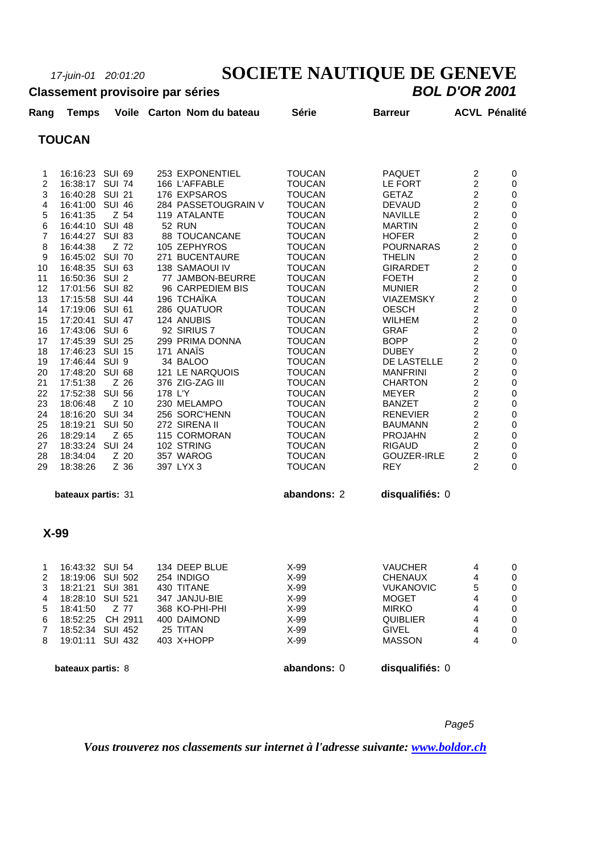# *17-juin-01 20:01:20* **SOCIETE NAUTIQUE DE GENEVE**

#### **Classement provisoire par séries**

| Rang           | <b>Temps</b>    |                  | Voile Carton Nom du bateau | Série         | <b>Barreur</b>     |                | <b>ACVL Pénalité</b> |
|----------------|-----------------|------------------|----------------------------|---------------|--------------------|----------------|----------------------|
|                | <b>TOUCAN</b>   |                  |                            |               |                    |                |                      |
|                |                 |                  |                            |               |                    |                |                      |
| 1              | 16:16:23 SUI 69 |                  | 253 EXPONENTIEL            | <b>TOUCAN</b> | <b>PAQUET</b>      | 2              | 0                    |
| $\overline{2}$ | 16:38:17 SUI 74 |                  | 166 L'AFFABLE              | <b>TOUCAN</b> | LE FORT            | $\overline{2}$ | 0                    |
| 3              | 16:40:28 SUI 21 |                  | 176 EXPSAROS               | <b>TOUCAN</b> | <b>GETAZ</b>       | $\overline{2}$ | 0                    |
| 4              | 16:41:00        | <b>SUI 46</b>    | 284 PASSETOUGRAIN V        | <b>TOUCAN</b> | <b>DEVAUD</b>      | $\overline{2}$ | 0                    |
| 5              | 16:41:35        | Z 54             | 119 ATALANTE               | <b>TOUCAN</b> | <b>NAVILLE</b>     | $\overline{c}$ | 0                    |
| 6              | 16:44:10 SUI 48 |                  | <b>52 RUN</b>              | <b>TOUCAN</b> | <b>MARTIN</b>      | $\overline{c}$ | 0                    |
| $\overline{7}$ | 16:44:27 SUI 83 |                  | 88 TOUCANCANE              | <b>TOUCAN</b> | <b>HOFER</b>       | 2              | 0                    |
| 8              | 16:44:38        | Z 72             | 105 ZEPHYROS               | <b>TOUCAN</b> | <b>POURNARAS</b>   | $\overline{c}$ | 0                    |
| 9              | 16:45:02 SUI 70 |                  | 271 BUCENTAURE             | <b>TOUCAN</b> | <b>THELIN</b>      | $\overline{2}$ | 0                    |
| 10             | 16:48:35 SUI 63 |                  | 138 SAMAOUI IV             | <b>TOUCAN</b> | <b>GIRARDET</b>    | $\overline{2}$ | 0                    |
| 11             | 16:50:36 SUI 2  |                  | 77 JAMBON-BEURRE           | <b>TOUCAN</b> | <b>FOETH</b>       | $\overline{c}$ | 0                    |
| 12             | 17:01:56        | <b>SUI 82</b>    | 96 CARPEDIEM BIS           | <b>TOUCAN</b> | <b>MUNIER</b>      | $\overline{c}$ | 0                    |
| 13             | 17:15:58        | SUI 44           | 196 TCHAÏKA                | <b>TOUCAN</b> | <b>VIAZEMSKY</b>   | $\overline{c}$ | 0                    |
| 14             | 17:19:06        | <b>SUI 61</b>    | 286 QUATUOR                | <b>TOUCAN</b> | <b>OESCH</b>       | $\overline{2}$ | 0                    |
| 15             | 17:20:41        | <b>SUI 47</b>    | 124 ANUBIS                 | <b>TOUCAN</b> | <b>WILHEM</b>      | $\overline{2}$ | $\Omega$             |
| 16             | 17:43:06        | SUI <sub>6</sub> | 92 SIRIUS 7                | <b>TOUCAN</b> | <b>GRAF</b>        | $\overline{2}$ | 0                    |
| 17             | 17:45:39        | <b>SUI 25</b>    | 299 PRIMA DONNA            | <b>TOUCAN</b> | <b>BOPP</b>        | $\overline{c}$ | 0                    |
| 18             | 17:46:23        | <b>SUI 15</b>    | 171 ANAÏS                  | <b>TOUCAN</b> | <b>DUBEY</b>       | $\overline{2}$ | $\Omega$             |
| 19             | 17:46:44        | SUI 9            | 34 BALOO                   | <b>TOUCAN</b> | DE LASTELLE        | $\overline{2}$ | 0                    |
| 20             | 17:48:20        | <b>SUI 68</b>    | 121 LE NARQUOIS            | <b>TOUCAN</b> | <b>MANFRINI</b>    | $\overline{c}$ | 0                    |
| 21             | 17:51:38        | $Z$ 26           | 376 ZIG-ZAG III            | <b>TOUCAN</b> | <b>CHARTON</b>     | $\overline{2}$ | 0                    |
| 22             | 17:52:38        | <b>SUI 56</b>    | 178 L'Y                    | <b>TOUCAN</b> | <b>MEYER</b>       | $\overline{2}$ | 0                    |
| 23             | 18:06:48        | $Z$ 10           | 230 MELAMPO                | <b>TOUCAN</b> | <b>BANZET</b>      | $\overline{c}$ | 0                    |
| 24             | 18:16:20        | <b>SUI 34</b>    | 256 SORC'HENN              | <b>TOUCAN</b> | <b>RENEVIER</b>    | $\overline{c}$ | 0                    |
| 25             | 18:19:21        | <b>SUI 50</b>    | 272 SIRENA II              | <b>TOUCAN</b> | <b>BAUMANN</b>     | $\overline{2}$ | 0                    |
| 26             | 18:29:14        | Z 65             | 115 CORMORAN               | <b>TOUCAN</b> | <b>PROJAHN</b>     | $\overline{c}$ | 0                    |
| 27             | 18:33:24 SUI 24 |                  | 102 STRING                 | <b>TOUCAN</b> | <b>RIGAUD</b>      | $\overline{2}$ | $\mathbf 0$          |
| 28             | 18:34:04        | Z 20             | 357 WAROG                  | <b>TOUCAN</b> | <b>GOUZER-IRLE</b> | $\overline{c}$ | 0                    |
| 29             | 18:38:26        | Z 36             | 397 LYX 3                  | <b>TOUCAN</b> | <b>REY</b>         | $\overline{2}$ | $\Omega$             |
|                |                 |                  |                            |               |                    |                |                      |

 **bateaux partis:** 31 **abandons:** 2 **disqualifiés:** 0

#### **X-99**

| 1              | 16:43:32 SUI 54  |                  | 134 DEEP BLUE  | $X-99$ | <b>VAUCHER</b>   | 4 | 0        |
|----------------|------------------|------------------|----------------|--------|------------------|---|----------|
| 2              |                  | 18:19:06 SUI 502 | 254 INDIGO     | $X-99$ | <b>CHENAUX</b>   | 4 | 0        |
| 3              | 18:21:21 SUI 381 |                  | 430 TITANE     | $X-99$ | <b>VUKANOVIC</b> | 5 | $\Omega$ |
| 4              | 18:28:10 SUI 521 |                  | 347 JANJU-BIE  | X-99   | <b>MOGET</b>     | 4 | $\Omega$ |
| 5              | 18:41:50         | Z 77             | 368 KO-PHI-PHI | $X-99$ | <b>MIRKO</b>     | 4 | $\Omega$ |
| 6              | 18:52:25         | CH 2911          | 400 DAIMOND    | $X-99$ | <b>QUIBLIER</b>  | 4 | $\Omega$ |
| $\overline{7}$ |                  | 18:52:34 SUI 452 | 25 TITAN       | X-99   | <b>GIVEL</b>     | 4 | $\Omega$ |
| 8              | 19:01:11         | SUI 432          | 403 X+HOPP     | $X-99$ | <b>MASSON</b>    | 4 | $\Omega$ |
|                |                  |                  |                |        |                  |   |          |
|                |                  |                  |                |        |                  |   |          |

 **bateaux partis:** 8 **abandons:** 0 **disqualifiés:** 0

*Page5*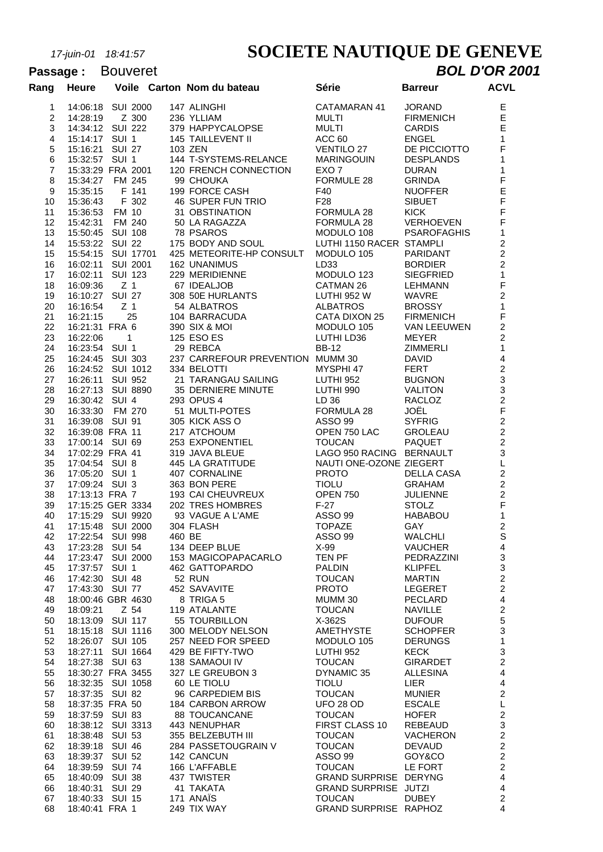# *17-juin-01 18:41:57* **SOCIETE NAUTIQUE DE GENEVE**

#### Passage : Bouveret **BOL D'OR 2001 Rang Heure Voile Carton Nom du bateau Série Barreur ACVL** 14:06:18 SUI 2000 147 ALINGHI CATAMARAN 41 JORAND E 14:28:19 Z 300 236 YLLIAM MULTI FIRMENICH E 14:34:12 SUI 222 379 HAPPYCALOPSE MULTI CARDIS E 15:14:17 SUI 1 145 TAILLEVENT II ACC 60 ENGEL 1 15:16:21 SUI 27 103 ZEN VENTILO 27 DE PICCIOTTO F 15:32:57 SUI 1 144 T-SYSTEMS-RELANCE MARINGOUIN DESPLANDS 1 15:33:29 FRA 2001 120 FRENCH CONNECTION EXO 7 DURAN 1 15:34:27 FM 245 99 CHOUKA FORMULE 28 GRINDA F 15:35:15 F 141 199 FORCE CASH F40 NUOFFER E 15:36:43 F 302 46 SUPER FUN TRIO F28 SIBUET F 15:36:53 FM 10 31 OBSTINATION FORMULA 28 KICK F 15:42:31 FM 240 50 LA RAGAZZA FORMULA 28 VERHOEVEN F 15:50:45 SUI 108 78 PSAROS MODULO 108 PSAROFAGHIS 1 15:53:22 SUI 22 175 BODY AND SOUL LUTHI 1150 RACER STAMPLI 2 15:54:15 SUI 17701 425 METEORITE-HP CONSULT MODULO 105 PARIDANT 2 16:02:11 SUI 2001 162 UNANIMUS LD33 BORDIER 2 16:02:11 SUI 123 229 MERIDIENNE MODULO 123 SIEGFRIED 1 16:09:36 Z 1 67 IDEALJOB CATMAN 26 LEHMANN F 16:10:27 SUI 27 308 50E HURLANTS LUTHI 952 W WAVRE 2 16:16:54 Z 1 54 ALBATROS ALBATROS BROSSY 1 16:21:15 25 104 BARRACUDA CATA DIXON 25 FIRMENICH F 16:21:31 FRA 6 390 SIX & MOI MODULO 105 VAN LEEUWEN 2 16:22:06 1 125 ESO ES LUTHI LD36 MEYER 2 16:23:54 SUI 1 29 REBCA BB-12 ZIMMERLI 1 16:24:45 SUI 303 237 CARREFOUR PREVENTION MUMM 30 DAVID 4 16:24:52 SUI 1012 334 BELOTTI MYSPHI 47 FERT 2 16:26:11 SUI 952 21 TARANGAU SAILING LUTHI 952 BUGNON 3 16:27:13 SUI 8890 35 DERNIERE MINUTE LUTHI 990 VALITON 3 16:30:42 SUI 4 293 OPUS 4 LD 36 RACLOZ 2 16:33:30 FM 270 51 MULTI-POTES FORMULA 28 JOËL F 31 16:39:08 SUI 91 305 KICK ASS O ASSO 99 SYFRIG 2 16:39:08 FRA 11 217 ATCHOUM OPEN 750 LAC GROLEAU 2 17:00:14 SUI 69 253 EXPONENTIEL TOUCAN PAQUET 2 17:02:29 FRA 41 319 JAVA BLEUE LAGO 950 RACING BERNAULT 3 17:04:54 SUI 8 445 LA GRATITUDE NAUTI ONE-OZONE ZIEGERT L 17:05:20 SUI 1 407 CORNALINE PROTO DELLA CASA 2 17:09:24 SUI 3 363 BON PERE TIOLU GRAHAM 2 17:13:13 FRA 7 193 CAI CHEUVREUX OPEN 750 JULIENNE 2 17:15:25 GER 3334 202 TRES HOMBRES F-27 STOLZ F 17:15:29 SUI 9920 93 VAGUE A L'AME ASSO 99 HABABOU 1 17:15:48 SUI 2000 304 FLASH TOPAZE GAY 2 17:22:54 SUI 998 460 BE ASSO 99 WALCHLI S 17:23:28 SUI 54 134 DEEP BLUE X-99 VAUCHER 4 17:23:47 SUI 2000 153 MAGICOPAPACARLO TEN PF PEDRAZZINI 3 17:37:57 SUI 1 462 GATTOPARDO PALDIN KLIPFEL 3 17:42:30 SUI 48 52 RUN TOUCAN MARTIN 2 17:43:30 SUI 77 452 SAVAVITE PROTO LEGERET 2 18:00:46 GBR 4630 8 TRIGA 5 MUMM 30 PECLARD 4 18:09:21 Z 54 119 ATALANTE TOUCAN NAVILLE 2 18:13:09 SUI 117 55 TOURBILLON X-362S DUFOUR 5 18:15:18 SUI 1116 300 MELODY NELSON AMETHYSTE SCHOPFER 3 18:26:07 SUI 105 257 NEED FOR SPEED MODULO 105 DERUNGS 1 18:27:11 SUI 1664 429 BE FIFTY-TWO LUTHI 952 KECK 3 18:27:38 SUI 63 138 SAMAOUI IV TOUCAN GIRARDET 2 18:30:27 FRA 3455 327 LE GREUBON 3 DYNAMIC 35 ALLESINA 4 18:32:35 SUI 1058 60 LE TIOLU TIOLU LIER 4 18:37:35 SUI 82 96 CARPEDIEM BIS TOUCAN MUNIER 2 18:37:35 FRA 50 184 CARBON ARROW UFO 28 OD ESCALE L 18:37:59 SUI 83 88 TOUCANCANE TOUCAN HOFER 2 18:38:12 SUI 3313 443 NENUPHAR FIRST CLASS 10 REBEAUD 3 18:38:48 SUI 53 355 BELZEBUTH III TOUCAN VACHERON 2 18:39:18 SUI 46 284 PASSETOUGRAIN V TOUCAN DEVAUD 2 18:39:37 SUI 52 142 CANCUN ASSO 99 GOY&CO 2 18:39:59 SUI 74 166 L'AFFABLE TOUCAN LE FORT 2 18:40:09 SUI 38 437 TWISTER GRAND SURPRISE DERYNG 4 18:40:31 SUI 29 41 TAKATA GRAND SURPRISE JUTZI 4 18:40:33 SUI 15 171 ANAÏS TOUCAN DUBEY 2

18:40:41 FRA 1 249 TIX WAY GRAND SURPRISE RAPHOZ 4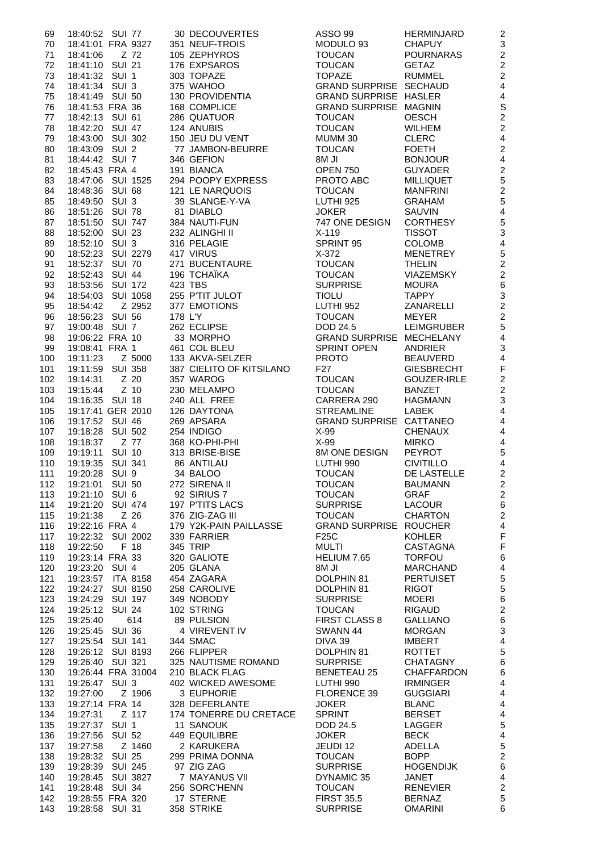| 69  | 18:40:52 SUI 77                        | 30 DECOUVERTES                                                                                                                                                                                                                                               | ASSO 99                                 | HERMINJARD        | 2                       |
|-----|----------------------------------------|--------------------------------------------------------------------------------------------------------------------------------------------------------------------------------------------------------------------------------------------------------------|-----------------------------------------|-------------------|-------------------------|
| 70  | 18:41:01 FRA 9327                      | 351 NEUF-TROIS                                                                                                                                                                                                                                               | MODULO 93                               | <b>CHAPUY</b>     | $\mathsf 3$             |
| 71  | Z 72<br>18:41:06                       | 105 INEUT-TROIS<br>105 ZEPHYROS<br>176 EXPSAROS<br>176 EXPSAROS<br>176 EXPSAROS<br>176 EXPSAROS<br>176 INCUCAN GETAZ<br>177 ANITEICE<br>18 COMPLICE<br>286 QUATUOR<br>18 COMPLICE<br>286 QUATUOR<br>194 ANITEIR<br>194 ANITEIR<br>194 ANITEIR<br>194 ANITEIR |                                         | POURNARAS         | $\overline{2}$          |
| 72  | 18:41:10 SUI 21                        |                                                                                                                                                                                                                                                              |                                         |                   | $\overline{c}$          |
| 73  | 18:41:32 SUI 1                         |                                                                                                                                                                                                                                                              |                                         |                   | $\overline{c}$          |
| 74  | 18:41:34 SUI 3                         |                                                                                                                                                                                                                                                              |                                         |                   | $\overline{4}$          |
| 75  | 18:41:49 SUI 50                        |                                                                                                                                                                                                                                                              |                                         |                   | $\overline{\mathbf{4}}$ |
| 76  | 18:41:53 FRA 36                        |                                                                                                                                                                                                                                                              |                                         |                   | $\mathsf S$             |
| 77  | 18:42:13 SUI 61                        |                                                                                                                                                                                                                                                              |                                         |                   | $\overline{a}$          |
| 78  | 18:42:20 SUI 47                        |                                                                                                                                                                                                                                                              | TOUCAN                                  | <b>WILHEM</b>     | $\overline{2}$          |
| 79  | 18:43:00 SUI 302                       | 124 ANUBIS<br>150 JEU DU VENT                                                                                                                                                                                                                                | MUMM 30                                 | CLERC             | $\overline{\mathbf{4}}$ |
| 80  |                                        |                                                                                                                                                                                                                                                              |                                         |                   | $\overline{c}$          |
| 81  |                                        |                                                                                                                                                                                                                                                              |                                         |                   | $\overline{4}$          |
| 82  |                                        |                                                                                                                                                                                                                                                              |                                         |                   | $\overline{c}$          |
| 83  |                                        |                                                                                                                                                                                                                                                              |                                         |                   | 5                       |
| 84  |                                        |                                                                                                                                                                                                                                                              |                                         |                   | $\overline{c}$          |
| 85  |                                        |                                                                                                                                                                                                                                                              |                                         |                   | 5                       |
| 86  |                                        |                                                                                                                                                                                                                                                              |                                         |                   | $\overline{\mathbf{4}}$ |
| 87  |                                        |                                                                                                                                                                                                                                                              |                                         |                   | 5                       |
| 88  |                                        |                                                                                                                                                                                                                                                              |                                         |                   | 3                       |
| 89  |                                        |                                                                                                                                                                                                                                                              |                                         |                   | $\overline{\mathbf{4}}$ |
| 90  |                                        |                                                                                                                                                                                                                                                              |                                         |                   | 5                       |
| 91  |                                        |                                                                                                                                                                                                                                                              |                                         |                   | $\overline{c}$          |
| 92  |                                        |                                                                                                                                                                                                                                                              |                                         | VIAZEMSKY         | $\overline{c}$          |
| 93  |                                        |                                                                                                                                                                                                                                                              |                                         |                   | 6                       |
| 94  |                                        |                                                                                                                                                                                                                                                              |                                         |                   | $\mathbf{3}$            |
| 95  |                                        | 19.43.00 SH 124 ANUMBON-BEURRE<br>19.43.00 SUI 302 77 JAMBON-BEURRE TOUCAN FOETH<br>19.43.00 SUI 2 77 JAMBON-BEURRE TOUCAN FOETH<br>19.43.00 SUI 1525 294 POOPY EXPRESS BORN JU<br>19.43.43.1 FRA 4 319 BIANCA 8M JI BORN 750 GUYADER                        |                                         |                   | $\overline{c}$          |
| 96  |                                        |                                                                                                                                                                                                                                                              |                                         |                   | $\overline{c}$          |
| 97  |                                        |                                                                                                                                                                                                                                                              |                                         | LEIMGRUBER        | 5                       |
| 98  |                                        |                                                                                                                                                                                                                                                              |                                         |                   | $\overline{\mathbf{4}}$ |
| 99  |                                        |                                                                                                                                                                                                                                                              |                                         |                   | 3                       |
| 100 |                                        |                                                                                                                                                                                                                                                              |                                         |                   | $\overline{\mathbf{4}}$ |
| 101 |                                        |                                                                                                                                                                                                                                                              |                                         | <b>GIESBRECHT</b> | F                       |
| 102 | Z 20<br>19:14:31                       |                                                                                                                                                                                                                                                              | <b>TOUCAN</b>                           | GOUZER-IRLE       | $\overline{c}$          |
| 103 | Z 10<br>19:15:44                       |                                                                                                                                                                                                                                                              | <b>TOUCAN</b>                           | <b>BANZET</b>     | $\overline{c}$          |
| 104 | 19:16:35 SUI 18                        | 387 CIELITO OF KITSILANO<br>357 WAROG<br>230 MELAMPO<br>240 ALL FREE<br>126 DAYTONA<br>269 APSARA<br>254 INDIGO<br>368 KO-PHI-PHI<br>313 BRISE-BISE<br>86 ANTILAU<br>34 BALOO<br>272 SIRENA II                                                               |                                         |                   | $\mathbf{3}$            |
| 105 | 19:17:41 GER 2010                      |                                                                                                                                                                                                                                                              | CARRERA 290 HAGMANN<br>STREAMLINE LABEK |                   | $\overline{4}$          |
| 106 | 19:17:52 SUI 46                        |                                                                                                                                                                                                                                                              | GRAND SURPRISE CATTANEO                 |                   | $\overline{4}$          |
| 107 | 19:18:28 SUI 502                       |                                                                                                                                                                                                                                                              | X-99                                    | <b>CHENAUX</b>    | $\overline{\mathbf{4}}$ |
| 108 |                                        |                                                                                                                                                                                                                                                              | $X-99$                                  | <b>MIRKO</b>      | $\overline{4}$          |
| 109 | 19:19:11 SUI 10                        |                                                                                                                                                                                                                                                              | 8M ONE DESIGN                           | PEYROT            | 5                       |
| 110 | 19:19:35 SUI 341                       |                                                                                                                                                                                                                                                              | LUTHI 990                               | <b>CIVITILLO</b>  | $\overline{\mathbf{4}}$ |
| 111 | 19:20:28 SUI 9                         |                                                                                                                                                                                                                                                              | <b>TOUCAN</b>                           | DE LASTELLE       | $\overline{c}$          |
|     | 112  19:21:01  SUI  50  272  SIRENA II |                                                                                                                                                                                                                                                              | <b>TOUCAN</b>                           | <b>BAUMANN</b>    | $\boldsymbol{2}$        |
| 113 | 19:21:10 SUI 6                         | 92 SIRIUS 7                                                                                                                                                                                                                                                  | <b>TOUCAN</b>                           | <b>GRAF</b>       | 2                       |
| 114 | 19:21:20 SUI 474                       | 197 P'TITS LACS                                                                                                                                                                                                                                              | <b>SURPRISE</b>                         | LACOUR            | 6                       |
| 115 | 19:21:38<br>Z 26                       | 376 ZIG-ZAG III                                                                                                                                                                                                                                              | <b>TOUCAN</b>                           | <b>CHARTON</b>    | $\overline{c}$          |
| 116 | 19:22:16 FRA 4                         | 179 Y2K-PAIN PAILLASSE                                                                                                                                                                                                                                       | GRAND SURPRISE ROUCHER                  |                   | 4                       |
| 117 | 19:22:32 SUI 2002                      | 339 FARRIER                                                                                                                                                                                                                                                  | F25C                                    | <b>KOHLER</b>     | F                       |
| 118 | 19:22:50<br>F 18                       | 345 TRIP                                                                                                                                                                                                                                                     | <b>MULTI</b>                            | <b>CASTAGNA</b>   | F                       |
| 119 | 19:23:14 FRA 33                        | 320 GALIOTE                                                                                                                                                                                                                                                  | HELIUM 7.65                             | <b>TORFOU</b>     | 6                       |
| 120 | 19:23:20 SUI 4                         | 205 GLANA                                                                                                                                                                                                                                                    | 8M JI                                   | <b>MARCHAND</b>   | 4                       |
| 121 | 19:23:57 ITA 8158                      | 454 ZAGARA                                                                                                                                                                                                                                                   | DOLPHIN 81                              | <b>PERTUISET</b>  | 5                       |
| 122 | 19:24:27 SUI 8150                      | 258 CAROLIVE                                                                                                                                                                                                                                                 | DOLPHIN 81                              | <b>RIGOT</b>      | 5                       |
| 123 | 19:24:29 SUI 197                       | 349 NOBODY                                                                                                                                                                                                                                                   | <b>SURPRISE</b>                         | <b>MOERI</b>      | 6                       |
| 124 | 19:25:12 SUI 24                        | 102 STRING                                                                                                                                                                                                                                                   | <b>TOUCAN</b>                           | <b>RIGAUD</b>     | $\overline{\mathbf{c}}$ |
| 125 | 19:25:40<br>614                        | 89 PULSION                                                                                                                                                                                                                                                   | <b>FIRST CLASS 8</b>                    | <b>GALLIANO</b>   | 6                       |
| 126 | 19:25:45 SUI 36                        | 4 VIREVENT IV                                                                                                                                                                                                                                                | SWANN 44                                | <b>MORGAN</b>     | 3                       |
| 127 | 19:25:54 SUI 141                       | 344 SMAC                                                                                                                                                                                                                                                     | DIVA 39                                 | IMBERT            | 4                       |
| 128 | 19:26:12 SUI 8193                      | 266 FLIPPER                                                                                                                                                                                                                                                  | DOLPHIN 81                              | <b>ROTTET</b>     | 5                       |
| 129 | 19:26:40 SUI 321                       | 325 NAUTISME ROMAND                                                                                                                                                                                                                                          | <b>SURPRISE</b>                         | CHATAGNY          | 6                       |
| 130 | 19:26:44 FRA 31004                     | 210 BLACK FLAG                                                                                                                                                                                                                                               | <b>BENETEAU 25</b>                      | <b>CHAFFARDON</b> | 6                       |
| 131 | 19:26:47 SUI 3                         | 402 WICKED AWESOME                                                                                                                                                                                                                                           | LUTHI 990                               | <b>IRMINGER</b>   | 4                       |
| 132 | 19:27:00<br>Z 1906                     | 3 EUPHORIE                                                                                                                                                                                                                                                   | FLORENCE 39                             | <b>GUGGIARI</b>   | 4                       |
| 133 | 19:27:14 FRA 14                        | 328 DEFERLANTE                                                                                                                                                                                                                                               | <b>JOKER</b>                            | <b>BLANC</b>      | 4                       |
| 134 | 19:27:31<br>Z 117                      | 174 TONERRE DU CRETACE                                                                                                                                                                                                                                       | <b>SPRINT</b>                           | <b>BERSET</b>     | 4                       |
| 135 | 19:27:37 SUI 1                         | 11 SANOUK                                                                                                                                                                                                                                                    | DOD 24.5                                | LAGGER            | 5                       |
| 136 | 19:27:56 SUI 52                        | 449 EQUILIBRE                                                                                                                                                                                                                                                | <b>JOKER</b>                            | <b>BECK</b>       | 4                       |
| 137 | Z 1460<br>19:27:58                     | 2 KARUKERA                                                                                                                                                                                                                                                   | JEUDI 12                                | ADELLA            | 5                       |
| 138 | 19:28:32 SUI 25                        | 299 PRIMA DONNA                                                                                                                                                                                                                                              | <b>TOUCAN</b>                           | <b>BOPP</b>       | $\overline{c}$          |
| 139 | 19:28:39 SUI 245                       | 97 ZIG ZAG                                                                                                                                                                                                                                                   | <b>SURPRISE</b>                         | <b>HOGENDIJK</b>  | 6                       |
| 140 | 19:28:45 SUI 3827                      | 7 MAYANUS VII                                                                                                                                                                                                                                                | DYNAMIC 35                              | JANET             | $\overline{4}$          |
| 141 | 19:28:48 SUI 34                        | 256 SORC'HENN                                                                                                                                                                                                                                                | <b>TOUCAN</b>                           | <b>RENEVIER</b>   | $\overline{c}$          |
| 142 | 19:28:55 FRA 320                       | 17 STERNE                                                                                                                                                                                                                                                    | <b>FIRST 35,5</b>                       | <b>BERNAZ</b>     | 5                       |
| 143 | 19:28:58 SUI 31                        | 358 STRIKE                                                                                                                                                                                                                                                   | <b>SURPRISE</b>                         | <b>OMARINI</b>    | 6                       |
|     |                                        |                                                                                                                                                                                                                                                              |                                         |                   |                         |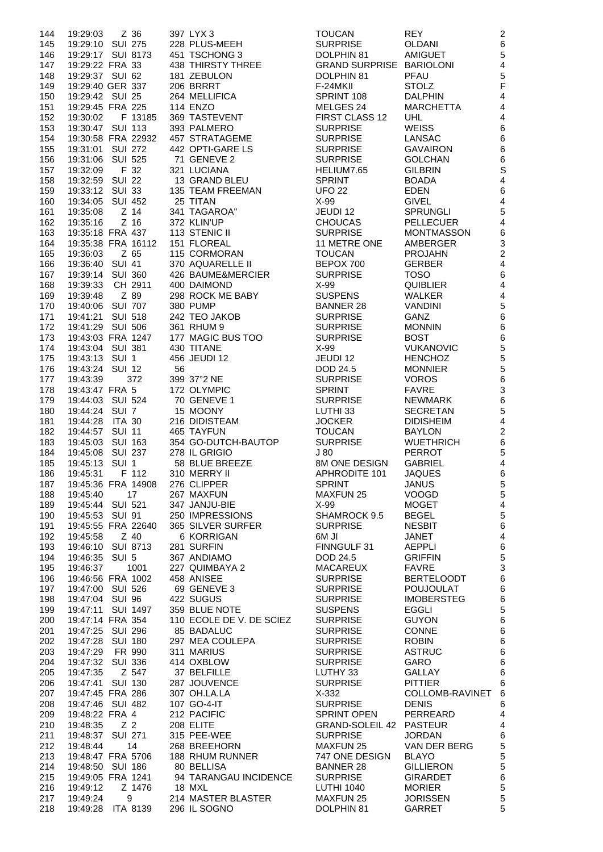| 144        | Z 36<br>19:29:03                     | 397 LYX 3                              | <b>TOUCAN</b>                      | <b>REY</b>                          | $\overline{c}$               |
|------------|--------------------------------------|----------------------------------------|------------------------------------|-------------------------------------|------------------------------|
| 145        | 19:29:10 SUI 275                     | 228 PLUS-MEEH                          | <b>SURPRISE</b>                    | <b>OLDANI</b>                       | $6\phantom{a}$               |
| 146        | 19:29:17 SUI 8173                    | 451 TSCHONG 3                          | DOLPHIN 81                         | <b>AMIGUET</b>                      | 5                            |
| 147        | 19:29:22 FRA 33                      | 438 THIRSTY THREE                      | <b>GRAND SURPRISE BARIOLONI</b>    |                                     | $\overline{4}$               |
| 148        | 19:29:37 SUI 62                      | 181 ZEBULON                            | DOLPHIN 81                         | PFAU                                | 5                            |
| 149        | 19:29:40 GER 337                     | 206 BRRRT                              | F-24MKII                           | <b>STOLZ</b>                        | $\overline{F}$               |
| 150        | 19:29:42 SUI 25                      | 264 MELLIFICA                          | SPRINT 108                         | <b>DALPHIN</b>                      | $\overline{4}$               |
| 151        | 19:29:45 FRA 225                     | <b>114 ENZO</b>                        | MELGES 24                          | <b>MARCHETTA</b>                    | $\overline{\mathbf{r}}$      |
| 152        | F 13185<br>19:30:02                  | 369 TASTEVENT                          | FIRST CLASS 12                     | <b>UHL</b>                          | $\overline{4}$               |
| 153        | 19:30:47 SUI 113                     | 393 PALMERO                            | <b>SURPRISE</b>                    | <b>WEISS</b>                        | 6                            |
| 154        | 19:30:58 FRA 22932                   | 457 STRATAGEME                         | <b>SURPRISE</b>                    | LANSAC                              | 6                            |
| 155        | 19:31:01 SUI 272<br>19:31:06         | 442 OPTI-GARE LS<br>71 GENEVE 2        | <b>SURPRISE</b>                    | <b>GAVAIRON</b>                     | 6                            |
| 156        | <b>SUI 525</b><br>F 32               |                                        | <b>SURPRISE</b>                    | <b>GOLCHAN</b>                      | $6\phantom{1}6$<br>S         |
| 157        | 19:32:09<br>19:32:59 SUI 22          | 321 LUCIANA<br>13 GRAND BLEU           | HELIUM7.65<br><b>SPRINT</b>        | <b>GILBRIN</b><br><b>BOADA</b>      | $\overline{\mathbf{4}}$      |
| 158<br>159 | 19:33:12 SUI 33                      | 135 TEAM FREEMAN                       | <b>UFO 22</b>                      | <b>EDEN</b>                         | 6                            |
| 160        | 19:34:05 SUI 452                     | 25 TITAN                               | $X-99$                             | <b>GIVEL</b>                        | $\overline{\mathbf{4}}$      |
| 161        | $Z$ 14<br>19:35:08                   | 341 TAGAROA"                           | JEUDI 12                           | <b>SPRUNGLI</b>                     | 5                            |
| 162        | $Z$ 16<br>19:35:16                   | 372 KLIN'UP                            | <b>CHOUCAS</b>                     | <b>PELLECUER</b>                    | $\overline{4}$               |
| 163        | 19:35:18 FRA 437                     | 113 STENIC II                          | <b>SURPRISE</b>                    | <b>MONTMASSON</b>                   | 6                            |
| 164        | 19:35:38 FRA 16112                   | 151 FLOREAL                            | 11 METRE ONE                       | AMBERGER                            | 3                            |
| 165        | Z 65<br>19:36:03                     | 115 CORMORAN                           | <b>TOUCAN</b>                      | <b>PROJAHN</b>                      | $\overline{c}$               |
| 166        | <b>SUI 41</b><br>19:36:40            | 370 AQUARELLE II                       | BEPOX 700                          | <b>GERBER</b>                       | $\overline{\mathcal{L}}$     |
| 167        | 19:39:14 SUI 360                     | 426 BAUME&MERCIER                      | <b>SURPRISE</b>                    | <b>TOSO</b>                         | $6\phantom{1}6$              |
| 168        | CH 2911<br>19:39:33                  | 400 DAIMOND                            | $X-99$                             | <b>QUIBLIER</b>                     | $\overline{4}$               |
| 169        | Z 89<br>19:39:48                     | 298 ROCK ME BABY                       | <b>SUSPENS</b>                     | <b>WALKER</b>                       | $\overline{\mathbf{4}}$      |
| 170        | 19:40:06 SUI 707                     | <b>380 PUMP</b>                        | <b>BANNER 28</b>                   | <b>VANDINI</b>                      | 5                            |
| 171        | 19:41:21 SUI 518                     | 242 TEO JAKOB                          | <b>SURPRISE</b>                    | GANZ                                | 6                            |
| 172        | 19:41:29 SUI 506                     | 361 RHUM 9                             | <b>SURPRISE</b>                    | <b>MONNIN</b>                       | 6                            |
| 173        | 19:43:03 FRA 1247                    | 177 MAGIC BUS TOO                      | <b>SURPRISE</b>                    | <b>BOST</b>                         | 6                            |
| 174        | 19:43:04 SUI 381                     | 430 TITANE                             | $X-99$                             | <b>VUKANOVIC</b>                    | 5                            |
| 175        | 19:43:13 SUI 1                       | 456 JEUDI 12                           | JEUDI 12                           | <b>HENCHOZ</b>                      | 5                            |
| 176        | 19:43:24 SUI 12                      | 56                                     | DOD 24.5                           | <b>MONNIER</b>                      | 5                            |
| 177        | 372<br>19:43:39                      | 399 37°2 NE                            | <b>SURPRISE</b>                    | <b>VOROS</b>                        | $6\phantom{1}6$              |
| 178        | 19:43:47 FRA 5                       | 172 OLYMPIC                            | <b>SPRINT</b>                      | <b>FAVRE</b>                        | 3                            |
| 179        | 19:44:03 SUI 524                     | 70 GENEVE 1                            | <b>SURPRISE</b>                    | NEWMARK                             | 6                            |
| 180<br>181 | 19:44:24 SUI 7<br>19:44:28 ITA 30    | 15 MOONY<br>216 DIDISTEAM              | LUTHI 33<br><b>JOCKER</b>          | <b>SECRETAN</b><br><b>DIDISHEIM</b> | 5<br>$\overline{\mathbf{r}}$ |
| 182        | 19:44:57 SUI 11                      | 465 TAYFUN                             | <b>TOUCAN</b>                      | <b>BAYLON</b>                       | $\overline{c}$               |
| 183        | 19:45:03 SUI 163                     | 354 GO-DUTCH-BAUTOP                    | <b>SURPRISE</b>                    | <b>WUETHRICH</b>                    | $6\phantom{a}$               |
| 184        | 19:45:08 SUI 237                     | 278 IL GRIGIO                          | J80                                | <b>PERROT</b>                       | 5                            |
| 185        | 19:45:13 SUI 1                       | 58 BLUE BREEZE                         | 8M ONE DESIGN                      | <b>GABRIEL</b>                      | $\overline{4}$               |
| 186        | 19:45:31 F 112                       | 310 MERRY II                           | APHRODITE 101                      | <b>JAQUES</b>                       | 6                            |
| 187        | 19:45:36 FRA 14908                   | 276 CLIPPER                            | SPRINT                             | <b>JANUS</b>                        | 5                            |
| 188        | 19:45:40<br>17                       | 267 MAXFUN                             | <b>MAXFUN 25</b>                   | <b>VOOGD</b>                        | 5                            |
| 189        | 19:45:44 SUI 521                     | 347 JANJU-BIE                          | $X-99$                             | <b>MOGET</b>                        | $\overline{4}$               |
| 190        | 19:45:53 SUI 91                      | 250 IMPRESSIONS                        | SHAMROCK 9.5                       | <b>BEGEL</b>                        | 5                            |
| 191        | 19:45:55 FRA 22640                   | 365 SILVER SURFER                      | <b>SURPRISE</b>                    | <b>NESBIT</b>                       | 6                            |
| 192        | $Z$ 40<br>19:45:58                   | 6 KORRIGAN                             | 6M JI                              | JANET                               | $\overline{\mathbf{r}}$      |
| 193        | 19:46:10 SUI 8713                    | 281 SURFIN                             | FINNGULF 31                        | <b>AEPPLI</b>                       | 6                            |
| 194        | 19:46:35 SUI 5                       | 367 ANDIAMO                            | DOD 24.5                           | <b>GRIFFIN</b>                      | 5                            |
| 195        | 1001<br>19:46:37                     | 227 QUIMBAYA 2                         | <b>MACAREUX</b>                    | <b>FAVRE</b>                        | 3                            |
| 196        | 19:46:56 FRA 1002                    | 458 ANISEE                             | <b>SURPRISE</b>                    | <b>BERTELOODT</b>                   | 6                            |
| 197        | 19:47:00 SUI 526                     | 69 GENEVE 3                            | <b>SURPRISE</b>                    | <b>POUJOULAT</b>                    | 6                            |
| 198        | 19:47:04 SUI 96                      | 422 SUGUS                              | <b>SURPRISE</b>                    | <b>IMOBERSTEG</b>                   | 6                            |
| 199        | 19:47:11 SUI 1497                    | 359 BLUE NOTE                          | <b>SUSPENS</b>                     | EGGLI                               | 5<br>6                       |
| 200<br>201 | 19:47:14 FRA 354<br>19:47:25 SUI 296 | 110 ECOLE DE V. DE SCIEZ<br>85 BADALUC | <b>SURPRISE</b><br><b>SURPRISE</b> | <b>GUYON</b><br><b>CONNE</b>        | 6                            |
| 202        | 19:47:28 SUI 180                     | 297 MEA COULEPA                        | <b>SURPRISE</b>                    | <b>ROBIN</b>                        | 6                            |
| 203        | 19:47:29 FR 990                      | 311 MARIUS                             | <b>SURPRISE</b>                    | <b>ASTRUC</b>                       | 6                            |
| 204        | 19:47:32 SUI 336                     | 414 OXBLOW                             | <b>SURPRISE</b>                    | GARO                                | 6                            |
| 205        | Z 547<br>19:47:35                    | 37 BELFILLE                            | LUTHY 33                           | <b>GALLAY</b>                       | 6                            |
| 206        | 19:47:41 SUI 130                     | 287 JOUVENCE                           | <b>SURPRISE</b>                    | <b>PITTIER</b>                      | 6                            |
| 207        | 19:47:45 FRA 286                     | 307 OH.LA.LA                           | $X-332$                            | COLLOMB-RAVINET                     | 6                            |
| 208        | 19:47:46 SUI 482                     | 107 GO-4-IT                            | <b>SURPRISE</b>                    | <b>DENIS</b>                        | 6                            |
| 209        | 19:48:22 FRA 4                       | 212 PACIFIC                            | <b>SPRINT OPEN</b>                 | PERREARD                            | $\overline{4}$               |
| 210        | Z <sub>2</sub><br>19:48:35           | 208 ELITE                              | GRAND-SOLEIL 42 PASTEUR            |                                     | $\overline{4}$               |
| 211        | 19:48:37 SUI 271                     | 315 PEE-WEE                            | <b>SURPRISE</b>                    | <b>JORDAN</b>                       | 6                            |
| 212        | 14<br>19:48:44                       | 268 BREEHORN                           | <b>MAXFUN 25</b>                   | VAN DER BERG                        | 5                            |
| 213        | 19:48:47 FRA 5706                    | 188 RHUM RUNNER                        | 747 ONE DESIGN                     | <b>BLAYO</b>                        | 5                            |
| 214        | 19:48:50 SUI 186                     | 80 BELLISA                             | <b>BANNER 28</b>                   | <b>GILLIERON</b>                    | 5                            |
| 215        | 19:49:05 FRA 1241                    | 94 TARANGAU INCIDENCE                  | <b>SURPRISE</b>                    | <b>GIRARDET</b>                     | 6                            |
| 216        | Z 1476<br>19:49:12                   | 18 MXL                                 | <b>LUTHI 1040</b>                  | <b>MORIER</b>                       | 5                            |
| 217        | 19:49:24<br>9                        | 214 MASTER BLASTER                     | MAXFUN 25                          | <b>JORISSEN</b>                     | 5                            |
| 218        | 19:49:28 ITA 8139                    | 296 IL SOGNO                           | DOLPHIN 81                         | <b>GARRET</b>                       | 5                            |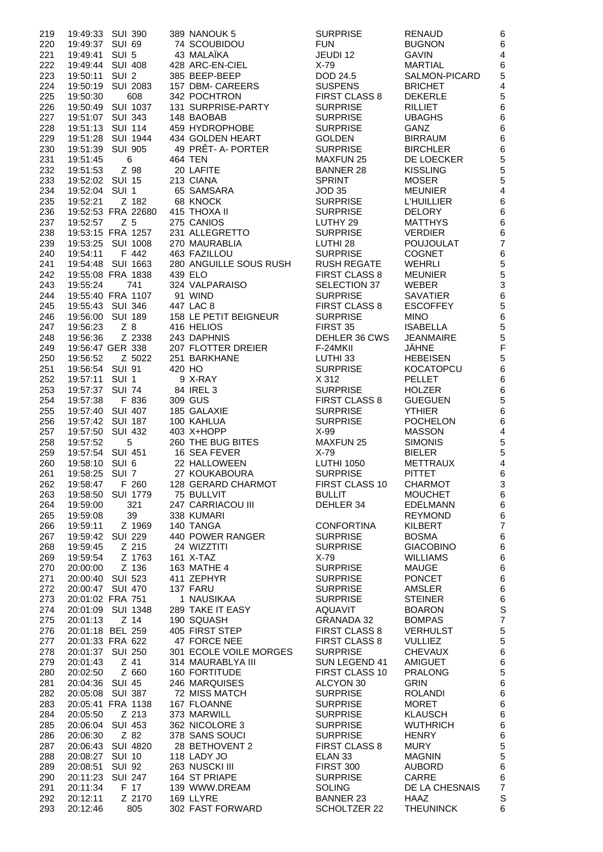| 219        | 19:49:33 SUI 390                                | 389 NANOUK 5                           | <b>SURPRISE</b>                         | <b>RENAUD</b>                    | 6                       |
|------------|-------------------------------------------------|----------------------------------------|-----------------------------------------|----------------------------------|-------------------------|
| 220        | 19:49:37 SUI 69                                 | 74 SCOUBIDOU                           | <b>FUN</b>                              | <b>BUGNON</b>                    | 6                       |
| 221        | 19:49:41 SUI 5                                  | 43 MALAÏKA                             | JEUDI 12                                | <b>GAVIN</b>                     | $\overline{4}$          |
| 222        | 19:49:44 SUI 408<br>19:50:11 SUI 2              | 428 ARC-EN-CIEL<br>385 BEEP-BEEP       | $X-79$                                  | <b>MARTIAL</b>                   | 6                       |
| 223<br>224 | <b>SUI 2083</b><br>19:50:19                     | 157 DBM- CAREERS                       | DOD 24.5<br><b>SUSPENS</b>              | SALMON-PICARD<br><b>BRICHET</b>  | 5<br>4                  |
| 225        | 608<br>19:50:30                                 | 342 POCHTRON                           | <b>FIRST CLASS 8</b>                    | <b>DEKERLE</b>                   | 5                       |
| 226        | 19:50:49<br><b>SUI 1037</b>                     | 131 SURPRISE-PARTY                     | <b>SURPRISE</b>                         | <b>RILLIET</b>                   | $6\phantom{1}6$         |
| 227        | 19:51:07 SUI 343                                | 148 BAOBAB                             | <b>SURPRISE</b>                         | <b>UBAGHS</b>                    | 6                       |
| 228        | 19:51:13 SUI 114                                | 459 HYDROPHOBE                         | <b>SURPRISE</b>                         | GANZ                             | 6                       |
| 229        | 19:51:28 SUI 1944                               | 434 GOLDEN HEART                       | <b>GOLDEN</b>                           | <b>BIRRAUM</b>                   | $6\phantom{1}6$         |
| 230        | 19:51:39 SUI 905                                | 49 PRÊT- A- PORTER                     | <b>SURPRISE</b>                         | <b>BIRCHLER</b>                  | 6                       |
| 231        | 19:51:45<br>6                                   | <b>464 TEN</b>                         | <b>MAXFUN 25</b>                        | DE LOECKER                       | 5                       |
| 232        | Z 98<br>19:51:53                                | 20 LAFITE                              | <b>BANNER 28</b>                        | <b>KISSLING</b>                  | 5                       |
| 233        | 19:52:02 SUI 15                                 | 213 CIANA                              | <b>SPRINT</b>                           | <b>MOSER</b>                     | 5                       |
| 234        | 19:52:04 SUI 1                                  | 65 SAMSARA                             | <b>JOD 35</b>                           | <b>MEUNIER</b>                   | $\overline{\mathbf{4}}$ |
| 235        | 19:52:21<br>Z 182                               | 68 KNOCK                               | <b>SURPRISE</b>                         | <b>L'HUILLIER</b>                | 6                       |
| 236        | 19:52:53 FRA 22680                              | 415 THOXA II                           | <b>SURPRISE</b>                         | <b>DELORY</b>                    | $6\phantom{1}6$         |
| 237        | Z <sub>5</sub><br>19:52:57<br>19:53:15 FRA 1257 | 275 CANIOS                             | LUTHY 29                                | <b>MATTHYS</b><br><b>VERDIER</b> | $6\phantom{1}6$         |
| 238<br>239 | 19:53:25 SUI 1008                               | 231 ALLEGRETTO<br>270 MAURABLIA        | <b>SURPRISE</b><br>LUTHI <sub>28</sub>  | <b>POUJOULAT</b>                 | 6<br>$\overline{7}$     |
| 240        | F 442<br>19:54:11                               | 463 FAZILLOU                           | <b>SURPRISE</b>                         | <b>COGNET</b>                    | $6\phantom{1}6$         |
| 241        | 19:54:48 SUI 1663                               | 280 ANGUILLE SOUS RUSH                 | <b>RUSH REGATE</b>                      | <b>WEHRLI</b>                    | 5                       |
| 242        | 19:55:08 FRA 1838                               | 439 ELO                                | FIRST CLASS 8                           | <b>MEUNIER</b>                   | 5                       |
| 243        | 741<br>19:55:24                                 | 324 VALPARAISO                         | SELECTION 37                            | WEBER                            | 3                       |
| 244        | 19:55:40 FRA 1107                               | 91 WIND                                | <b>SURPRISE</b>                         | <b>SAVATIER</b>                  | $6\phantom{1}6$         |
| 245        | 19:55:43 SUI 346                                | 447 LAC 8                              | <b>FIRST CLASS 8</b>                    | <b>ESCOFFEY</b>                  | 5                       |
| 246        | 19:56:00 SUI 189                                | 158 LE PETIT BEIGNEUR                  | <b>SURPRISE</b>                         | <b>MINO</b>                      | $6\phantom{1}6$         |
| 247        | 19:56:23<br>$Z_8$                               | 416 HELIOS                             | FIRST 35                                | <b>ISABELLA</b>                  | 5                       |
| 248        | 19:56:36<br>Z 2338                              | 243 DAPHNIS                            | DEHLER 36 CWS                           | <b>JEANMAIRE</b>                 | 5                       |
| 249        | 19:56:47 GER 338                                | 207 FLOTTER DREIER                     | F-24MKII                                | JÄHNE                            | $\mathsf{F}$            |
| 250        | Z 5022<br>19:56:52                              | 251 BARKHANE                           | LUTHI 33                                | <b>HEBEISEN</b>                  | 5                       |
| 251        | 19:56:54 SUI 91                                 | 420 HO                                 | <b>SURPRISE</b>                         | <b>KOCATOPCU</b>                 | $6\phantom{1}6$         |
| 252<br>253 | 19:57:11 SUI 1<br>19:57:37 SUI 74               | 9 X-RAY<br>84 IREL 3                   | X 312<br><b>SURPRISE</b>                | <b>PELLET</b><br><b>HOLZER</b>   | 6<br>$6\phantom{1}6$    |
| 254        | F 836<br>19:57:38                               | 309 GUS                                | <b>FIRST CLASS 8</b>                    | <b>GUEGUEN</b>                   | 5                       |
| 255        | 19:57:40 SUI 407                                | 185 GALAXIE                            | <b>SURPRISE</b>                         | <b>YTHIER</b>                    | $6\phantom{1}6$         |
| 256        | 19:57:42 SUI 187                                | 100 KAHLUA                             | <b>SURPRISE</b>                         | <b>POCHELON</b>                  | 6                       |
| 257        | 19:57:50 SUI 432                                | 403 X+HOPP                             | $X-99$                                  | <b>MASSON</b>                    | $\overline{4}$          |
| 258        | 5<br>19:57:52                                   | 260 THE BUG BITES                      | <b>MAXFUN 25</b>                        | <b>SIMONIS</b>                   | 5                       |
| 259        | 19:57:54 SUI 451                                | 16 SEA FEVER                           | $X-79$                                  | <b>BIELER</b>                    | 5                       |
| 260        | 19:58:10 SUI 6                                  | 22 HALLOWEEN                           | <b>LUTHI 1050</b>                       | <b>METTRAUX</b>                  | $\overline{4}$          |
| 261        | 19:58:25 SUI 7                                  | 27 KOUKABOURA                          | <b>SURPRISE</b>                         | <b>PITTET</b>                    | 6                       |
| 262        | 19:58:47 F 260                                  | 128 GERARD CHARMOT                     | FIRST CLASS 10                          | CHARMOT                          | 3                       |
| 263        | 19:58:50 SUI 1779                               | 75 BULLVIT                             | <b>BULLIT</b>                           | <b>MOUCHET</b>                   | 6                       |
| 264        | 19:59:00<br>321                                 | 247 CARRIACOU III                      | DEHLER 34                               | <b>EDELMANN</b>                  | 6<br>$6\phantom{1}6$    |
| 265<br>266 | 39<br>19:59:08<br>19:59:11<br>Z 1969            | 338 KUMARI<br>140 TANGA                | <b>CONFORTINA</b>                       | <b>REYMOND</b><br>KILBERT        | $\overline{7}$          |
| 267        | 19:59:42 SUI 229                                | 440 POWER RANGER                       | <b>SURPRISE</b>                         | <b>BOSMA</b>                     | 6                       |
| 268        | Z 215<br>19:59:45                               | 24 WIZZTITI                            | <b>SURPRISE</b>                         | <b>GIACOBINO</b>                 | $6\phantom{1}6$         |
| 269        | Z 1763<br>19:59:54                              | 161 X-TAZ                              | $X-79$                                  | <b>WILLIAMS</b>                  | 6                       |
| 270        | Z 136<br>20:00:00                               | 163 MATHE 4                            | <b>SURPRISE</b>                         | <b>MAUGE</b>                     | 6                       |
| 271        | 20:00:40 SUI 523                                | 411 ZEPHYR                             | <b>SURPRISE</b>                         | <b>PONCET</b>                    | 6                       |
| 272        | 20:00:47 SUI 470                                | 137 FARU                               | <b>SURPRISE</b>                         | AMSLER                           | $6\phantom{1}6$         |
| 273        | 20:01:02 FRA 751                                | 1 NAUSIKAA                             | <b>SURPRISE</b>                         | <b>STEINER</b>                   | $\,$ 6 $\,$             |
| 274        | 20:01:09 SUI 1348                               | 289 TAKE IT EASY                       | AQUAVIT                                 | <b>BOARON</b>                    | S                       |
| 275        | $Z$ 14<br>20:01:13                              | 190 SQUASH                             | <b>GRANADA 32</b>                       | <b>BOMPAS</b>                    | $\overline{7}$          |
| 276        | 20:01:18 BEL 259<br>20:01:33 FRA 622            | 405 FIRST STEP                         | FIRST CLASS 8                           | <b>VERHULST</b>                  | 5                       |
| 277        | 20:01:37 SUI 250                                | 47 FORCE NEE<br>301 ECOLE VOILE MORGES | <b>FIRST CLASS 8</b><br><b>SURPRISE</b> | <b>VULLIEZ</b><br><b>CHEVAUX</b> | 5<br>6                  |
| 278<br>279 | 20:01:43<br>Z 41                                | 314 MAURABLYA III                      | SUN LEGEND 41                           | AMIGUET                          | 6                       |
| 280        | Z 660<br>20:02:50                               | 160 FORTITUDE                          | FIRST CLASS 10                          | <b>PRALONG</b>                   | 5                       |
| 281        | 20:04:36 SUI 45                                 | 246 MARQUISES                          | ALCYON 30                               | <b>GRIN</b>                      | 6                       |
| 282        | 20:05:08 SUI 387                                | 72 MISS MATCH                          | <b>SURPRISE</b>                         | <b>ROLANDI</b>                   | 6                       |
| 283        | 20:05:41 FRA 1138                               | 167 FLOANNE                            | <b>SURPRISE</b>                         | <b>MORET</b>                     | $6\phantom{1}6$         |
| 284        | Z 213<br>20:05:50                               | 373 MARWILL                            | <b>SURPRISE</b>                         | <b>KLAUSCH</b>                   | 6                       |
| 285        | 20:06:04 SUI 453                                | 362 NICOLORE 3                         | <b>SURPRISE</b>                         | <b>WUTHRICH</b>                  | 6                       |
| 286        | 20:06:30<br>Z 82                                | 378 SANS SOUCI                         | <b>SURPRISE</b>                         | <b>HENRY</b>                     | $6\phantom{1}6$         |
| 287        | 20:06:43 SUI 4820                               | 28 BETHOVENT 2                         | <b>FIRST CLASS 8</b>                    | <b>MURY</b>                      | 5                       |
| 288        | 20:08:27 SUI 10                                 | 118 LADY JO                            | ELAN <sub>33</sub>                      | <b>MAGNIN</b>                    | 5                       |
| 289<br>290 | <b>SUI 92</b><br>20:08:51<br>20:11:23 SUI 247   | 263 NUSCKI III<br>164 ST PRIAPE        | FIRST 300<br><b>SURPRISE</b>            | <b>AUBORD</b><br>CARRE           | 6<br>6                  |
| 291        | F 17<br>20:11:34                                | 139 WWW.DREAM                          | <b>SOLING</b>                           | DE LA CHESNAIS                   | $\overline{7}$          |
| 292        | Z 2170<br>20:12:11                              | 169 LLYRE                              | <b>BANNER 23</b>                        | HAAZ                             | S                       |
| 293        | 20:12:46<br>805                                 | 302 FAST FORWARD                       | SCHOLTZER 22                            | <b>THEUNINCK</b>                 | 6                       |
|            |                                                 |                                        |                                         |                                  |                         |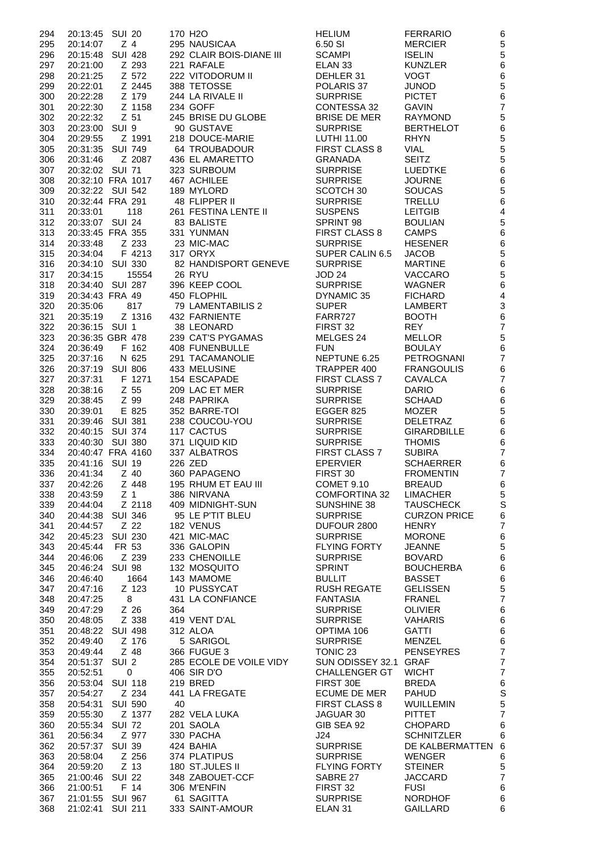| 294        | 20:13:45                              | <b>SUI 20</b>   |     | 170 H <sub>2</sub> O           | <b>HELIUM</b>                       | <b>FERRARIO</b>                     | 6                                          |
|------------|---------------------------------------|-----------------|-----|--------------------------------|-------------------------------------|-------------------------------------|--------------------------------------------|
| 295        | 20:14:07                              | Z <sub>4</sub>  |     | 295 NAUSICAA                   | 6.50 SI                             | <b>MERCIER</b>                      | 5                                          |
| 296        | 20:15:48 SUI 428                      |                 |     | 292 CLAIR BOIS-DIANE III       | <b>SCAMPI</b>                       | <b>ISELIN</b>                       | 5                                          |
| 297<br>298 | 20:21:00<br>20:21:25                  | Z 293<br>Z 572  |     | 221 RAFALE<br>222 VITODORUM II | ELAN <sub>33</sub><br>DEHLER 31     | <b>KUNZLER</b><br><b>VOGT</b>       | $6\phantom{a}$<br>6                        |
| 299        | 20:22:01                              | Z 2445          |     | 388 TETOSSE                    | POLARIS 37                          | <b>JUNOD</b>                        | 5                                          |
| 300        | 20:22:28                              | Z 179           |     | 244 LA RIVALE II               | <b>SURPRISE</b>                     | <b>PICTET</b>                       | $6\phantom{a}$                             |
| 301        | 20:22:30                              | Z 1158          |     | 234 GOFF                       | CONTESSA 32                         | <b>GAVIN</b>                        | $\overline{7}$                             |
| 302        | 20:22:32                              | $Z$ 51          |     | 245 BRISE DU GLOBE             | <b>BRISE DE MER</b>                 | <b>RAYMOND</b>                      | 5                                          |
| 303        | 20:23:00 SUI 9                        |                 |     | 90 GUSTAVE                     | <b>SURPRISE</b>                     | <b>BERTHELOT</b>                    | $6\phantom{a}$                             |
| 304        | 20:29:55                              | Z 1991          |     | 218 DOUCE-MARIE                | LUTHI 11.00                         | <b>RHYN</b>                         | 5                                          |
| 305        | 20:31:35 SUI 749                      |                 |     | 64 TROUBADOUR                  | <b>FIRST CLASS 8</b>                | <b>VIAL</b>                         | 5                                          |
| 306        | 20:31:46                              | Z 2087          |     | 436 EL AMARETTO                | <b>GRANADA</b>                      | <b>SEITZ</b>                        | 5                                          |
| 307        | 20:32:02 SUI 71                       |                 |     | 323 SURBOUM                    | <b>SURPRISE</b>                     | <b>LUEDTKE</b><br><b>JOURNE</b>     | $6\phantom{a}$                             |
| 308<br>309 | 20:32:10 FRA 1017<br>20:32:22 SUI 542 |                 |     | 467 ACHILEE<br>189 MYLORD      | <b>SURPRISE</b><br>SCOTCH 30        | <b>SOUCAS</b>                       | $6\phantom{1}6$<br>5                       |
| 310        | 20:32:44 FRA 291                      |                 |     | 48 FLIPPER II                  | <b>SURPRISE</b>                     | TRELLU                              | $6\phantom{a}$                             |
| 311        | 20:33:01                              | 118             |     | 261 FESTINA LENTE II           | <b>SUSPENS</b>                      | <b>LEITGIB</b>                      | $\overline{4}$                             |
| 312        | 20:33:07 SUI 24                       |                 |     | 83 BALISTE                     | SPRINT 98                           | <b>BOULIAN</b>                      | 5                                          |
| 313        | 20:33:45 FRA 355                      |                 |     | 331 YUNMAN                     | <b>FIRST CLASS 8</b>                | <b>CAMPS</b>                        | 6                                          |
| 314        | 20:33:48                              | Z 233           |     | 23 MIC-MAC                     | <b>SURPRISE</b>                     | <b>HESENER</b>                      | $6\phantom{1}6$                            |
| 315        | 20:34:04                              | F 4213          |     | 317 ORYX                       | SUPER CALIN 6.5                     | <b>JACOB</b>                        | 5                                          |
| 316        | 20:34:10 SUI 330                      |                 |     | 82 HANDISPORT GENEVE           | <b>SURPRISE</b>                     | <b>MARTINE</b>                      | $6\phantom{1}6$                            |
| 317        | 20:34:15                              | 15554           |     | <b>26 RYU</b>                  | JOD 24                              | <b>VACCARO</b>                      | 5                                          |
| 318<br>319 | 20:34:40 SUI 287<br>20:34:43 FRA 49   |                 |     | 396 KEEP COOL<br>450 FLOPHIL   | <b>SURPRISE</b><br>DYNAMIC 35       | WAGNER<br><b>FICHARD</b>            | $6\phantom{a}$<br>$\overline{\mathcal{A}}$ |
| 320        | 20:35:06                              | 817             |     | 79 LAMENTABILIS 2              | <b>SUPER</b>                        | LAMBERT                             | 3                                          |
| 321        | 20:35:19                              | Z 1316          |     | 432 FARNIENTE                  | FARR727                             | <b>BOOTH</b>                        | $6\phantom{a}$                             |
| 322        | 20:36:15 SUI 1                        |                 |     | 38 LEONARD                     | FIRST 32                            | <b>REY</b>                          | $\overline{7}$                             |
| 323        | 20:36:35 GBR 478                      |                 |     | 239 CAT'S PYGAMAS              | MELGES 24                           | <b>MELLOR</b>                       | 5                                          |
| 324        | 20:36:49                              | F 162           |     | 408 FUNENBULLE                 | <b>FUN</b>                          | <b>BOULAY</b>                       | $6\phantom{a}$                             |
| 325        | 20:37:16                              | N 625           |     | 291 TACAMANOLIE                | NEPTUNE 6.25                        | PETROGNANI                          | $\overline{7}$                             |
| 326        | 20:37:19 SUI 806                      |                 |     | 433 MELUSINE                   | TRAPPER 400                         | <b>FRANGOULIS</b>                   | $6\phantom{1}6$                            |
| 327        | 20:37:31                              | F 1271          |     | 154 ESCAPADE                   | <b>FIRST CLASS 7</b>                | <b>CAVALCA</b>                      | $\overline{7}$                             |
| 328        | 20:38:16                              | Z 55            |     | 209 LAC ET MER                 | <b>SURPRISE</b>                     | <b>DARIO</b>                        | 6                                          |
| 329        | 20:38:45                              | Z 99<br>E 825   |     | 248 PAPRIKA<br>352 BARRE-TOI   | <b>SURPRISE</b>                     | <b>SCHAAD</b><br><b>MOZER</b>       | $6\phantom{a}$                             |
| 330<br>331 | 20:39:01<br>20:39:46 SUI 381          |                 |     | 238 COUCOU-YOU                 | <b>EGGER 825</b><br><b>SURPRISE</b> | <b>DELETRAZ</b>                     | 5<br>6                                     |
| 332        | 20:40:15 SUI 374                      |                 |     | 117 CACTUS                     | <b>SURPRISE</b>                     | <b>GIRARDBILLE</b>                  | 6                                          |
| 333        | 20:40:30 SUI 380                      |                 |     | 371 LIQUID KID                 | <b>SURPRISE</b>                     | <b>THOMIS</b>                       | 6                                          |
| 334        | 20:40:47 FRA 4160                     |                 |     | 337 ALBATROS                   | FIRST CLASS 7                       | <b>SUBIRA</b>                       | $\overline{7}$                             |
| 335        | 20:41:16 SUI 19                       |                 |     | 226 ZED                        | <b>EPERVIER</b>                     | <b>SCHAERRER</b>                    | 6                                          |
| 336        | 20:41:34                              | Z 40            |     | 360 PAPAGENO                   | FIRST 30                            | <b>FROMENTIN</b>                    | $\overline{7}$                             |
| 337        |                                       |                 |     | 195 RHUM ET EAU III            | COMET 9.10                          | <b>BREAUD</b>                       | $6\phantom{a}$                             |
| 338        | 20:43:59                              | Z 1             |     | 386 NIRVANA                    | <b>COMFORTINA 32</b>                | <b>LIMACHER</b>                     | 5                                          |
| 339        | 20:44:04                              | Z 2118          |     | 409 MIDNIGHT-SUN               | SUNSHINE 38                         | <b>TAUSCHECK</b>                    | S                                          |
| 340<br>341 | 20:44:38<br>20:44:57                  | SUI 346<br>Z 22 |     | 95 LE P'TIT BLEU<br>182 VENUS  | <b>SURPRISE</b><br>DUFOUR 2800      | <b>CURZON PRICE</b><br><b>HENRY</b> | 6<br>$\overline{7}$                        |
| 342        | 20:45:23                              | SUI 230         |     | 421 MIC-MAC                    | <b>SURPRISE</b>                     | <b>MORONE</b>                       | $6\phantom{1}6$                            |
| 343        | 20:45:44                              | FR 53           |     | 336 GALOPIN                    | <b>FLYING FORTY</b>                 | <b>JEANNE</b>                       | 5                                          |
| 344        | 20:46:06                              | Z 239           |     | 233 CHENOILLE                  | <b>SURPRISE</b>                     | <b>BOVARD</b>                       | $6\phantom{a}$                             |
| 345        | 20:46:24 SUI 98                       |                 |     | 132 MOSQUITO                   | <b>SPRINT</b>                       | <b>BOUCHERBA</b>                    | 6                                          |
| 346        | 20:46:40                              | 1664            |     | 143 MAMOME                     | <b>BULLIT</b>                       | <b>BASSET</b>                       | 6                                          |
| 347        | 20:47:16                              | Z 123           |     | 10 PUSSYCAT                    | <b>RUSH REGATE</b>                  | <b>GELISSEN</b>                     | 5                                          |
| 348        | 20:47:25                              | 8               |     | 431 LA CONFIANCE               | <b>FANTASIA</b>                     | FRANEL                              | $\overline{7}$                             |
| 349        | 20:47:29                              | Z 26            | 364 |                                | <b>SURPRISE</b>                     | <b>OLIVIER</b>                      | 6                                          |
| 350<br>351 | 20:48:05<br>20:48:22 SUI 498          | Z 338           |     | 419 VENT D'AL<br>312 ALOA      | <b>SURPRISE</b><br>OPTIMA 106       | <b>VAHARIS</b><br>GATTI             | $6\phantom{1}6$<br>6                       |
| 352        | 20:49:40                              | Z 176           |     | 5 SARIGOL                      | <b>SURPRISE</b>                     | MENZEL                              | 6                                          |
| 353        | 20:49:44                              | Z 48            |     | 366 FUGUE 3                    | TONIC 23                            | <b>PENSEYRES</b>                    | $\overline{7}$                             |
| 354        | 20:51:37 SUI 2                        |                 |     | 285 ECOLE DE VOILE VIDY        | SUN ODISSEY 32.1 GRAF               |                                     | $\overline{7}$                             |
| 355        | 20:52:51                              | $\mathsf{O}$    |     | 406 SIR D'O                    | <b>CHALLENGER GT</b>                | <b>WICHT</b>                        | $\overline{7}$                             |
| 356        | 20:53:04 SUI 118                      |                 |     | 219 BRED                       | FIRST 30E                           | <b>BREDA</b>                        | $6\phantom{1}6$                            |
| 357        | 20:54:27                              | Z 234           |     | 441 LA FREGATE                 | ECUME DE MER                        | <b>PAHUD</b>                        | S                                          |
| 358        | 20:54:31 SUI 590                      |                 | 40  |                                | FIRST CLASS 8                       | WUILLEMIN                           | 5                                          |
| 359        | 20:55:30                              | Z 1377          |     | 282 VELA LUKA                  | JAGUAR 30                           | <b>PITTET</b>                       | $\overline{7}$                             |
| 360        | 20:55:34 SUI 72                       |                 |     | 201 SAOLA                      | GIB SEA 92                          | <b>CHOPARD</b>                      | 6                                          |
| 361        | 20:56:34                              | Z 977           |     | 330 PACHA                      | J24                                 | <b>SCHNITZLER</b>                   | 6                                          |
| 362<br>363 | 20:57:37 SUI 39<br>20:58:04           | Z 256           |     | 424 BAHIA<br>374 PLATIPUS      | <b>SURPRISE</b><br><b>SURPRISE</b>  | DE KALBERMATTEN 6<br><b>WENGER</b>  |                                            |
| 364        | 20:59:20                              | Z 13            |     | 180 ST.JULES II                | <b>FLYING FORTY</b>                 | <b>STEINER</b>                      | 6<br>5                                     |
| 365        | 21:00:46 SUI 22                       |                 |     | 348 ZABOUET-CCF                | SABRE 27                            | <b>JACCARD</b>                      | $\overline{7}$                             |
| 366        | 21:00:51                              | F 14            |     | 306 M'ENFIN                    | FIRST 32                            | <b>FUSI</b>                         | 6                                          |
| 367        | 21:01:55 SUI 967                      |                 |     | 61 SAGITTA                     | <b>SURPRISE</b>                     | <b>NORDHOF</b>                      | 6                                          |
| 368        | 21:02:41 SUI 211                      |                 |     | 333 SAINT-AMOUR                | ELAN <sub>31</sub>                  | GAILLARD                            | 6                                          |

|                     | <b>FERRARIO</b>                  | l                 |
|---------------------|----------------------------------|-------------------|
|                     | <b>MERCIER</b>                   | こうしょう こうこうこう こうこう |
|                     | <b>ISELIN</b><br><b>KUNZLER</b>  |                   |
| 31                  | <b>VOGT</b>                      |                   |
| 37                  | <b>JUNOD</b>                     |                   |
| SЕ                  | <b>PICTET</b>                    |                   |
| SA 32               | <b>GAVIN</b>                     |                   |
| E MER               | <b>RAYMOND</b>                   |                   |
| SЕ<br>.00           | <b>BERTHELOT</b><br><b>RHYN</b>  |                   |
| ASS <sub>8</sub>    | <b>VIAL</b>                      |                   |
| ۱A                  | <b>SEITZ</b>                     |                   |
| SЕ                  | <b>LUEDTKE</b>                   |                   |
| SЕ                  | <b>JOURNE</b>                    |                   |
| 30                  | SOUCAS                           |                   |
| SЕ<br>S             | TRELLU<br><b>LEITGIB</b>         |                   |
| 98                  | <b>BOULIAN</b>                   |                   |
| ASS 8               | <b>CAMPS</b>                     |                   |
| SЕ                  | <b>HESENER</b>                   |                   |
| ALIN 6.5            | <b>JACOB</b>                     |                   |
| SЕ                  | <b>MARTINE</b><br><b>VACCARO</b> |                   |
| SЕ                  | WAGNER                           |                   |
| $\mathsf{\circ}$ 35 | <b>FICHARD</b>                   |                   |
|                     | <b>LAMBERT</b>                   |                   |
| 7                   | <b>BOOTH</b>                     |                   |
|                     | <b>REY</b>                       |                   |
| 24                  | <b>MELLOR</b><br><b>BOULAY</b>   |                   |
| E 6.25              | <b>PETROGNANI</b>                |                   |
| R 400               | <b>FRANGOULIS</b>                |                   |
| ASS <sub>7</sub>    | CAVALCA                          |                   |
| SЕ                  | <b>DARIO</b>                     |                   |
| SЕ                  | <b>SCHAAD</b>                    |                   |
| 325<br>SЕ           | <b>MOZER</b><br><b>DELETRAZ</b>  | $\frac{1}{2}$     |
| SЕ                  | <b>GIRARDBILLE</b>               |                   |
| SЕ                  | <b>THOMIS</b>                    |                   |
| ASS <sub>7</sub>    | <b>SUBIRA</b>                    | $\frac{1}{2}$     |
| R                   | <b>SCHAERRER</b>                 |                   |
| )                   | <b>FROMENTIN</b><br>BREAUD       |                   |
| 9.10<br>रTINA 32    | <b>LIMACHER</b>                  |                   |
| VE 38               | <b>TAUSCHECK</b>                 |                   |
| SЕ                  | <b>CURZON PRICE</b>              | $\frac{1}{2}$     |
| 2800                | <b>HENRY</b>                     |                   |
| SЕ                  | MORONE                           | $\mathfrak{g}$    |
| FORTY<br>SЕ         | JEANNE<br><b>BOVARD</b>          | $\ddot{\hat{}}$   |
|                     | <b>BOUCHERBA</b>                 | (                 |
|                     | <b>BASSET</b>                    |                   |
| EGATE               | <b>GELISSEN</b>                  | $\frac{1}{2}$     |
| ١A                  | <b>FRANEL</b>                    |                   |
| SЕ<br>SЕ            | <b>OLIVIER</b><br>VAHARIS        | (<br>6            |
| 106                 | GATTI                            | $\mathfrak{g}$    |
| SЕ                  | MENZEL                           |                   |
| 3                   | <b>PENSEYRES</b>                 |                   |
| SSEY 32.1 GRAF      |                                  |                   |
| <b>NGER GT</b>      | <b>WICHT</b><br><b>BREDA</b>     |                   |
| )Ε<br>DE MER        | <b>PAHUD</b>                     |                   |
| ASS <sub>8</sub>    | <b>WUILLEMIN</b>                 |                   |
| 30                  | PITTET                           |                   |
| 92                  | <b>CHOPARD</b>                   | (                 |
|                     | <b>SCHNITZLER</b>                | 6                 |
| SЕ                  | DE KALBERMATTEN<br><b>WENGER</b> | 6                 |
| SЕ<br>FORTY         | STEINER                          |                   |
| '7                  | <b>JACCARD</b>                   | $\frac{1}{2}$     |
| ,                   | <b>FUSI</b>                      |                   |
| SЕ                  | <b>NORDHOF</b>                   | 6                 |
|                     | GAILLARD                         | $\epsilon$        |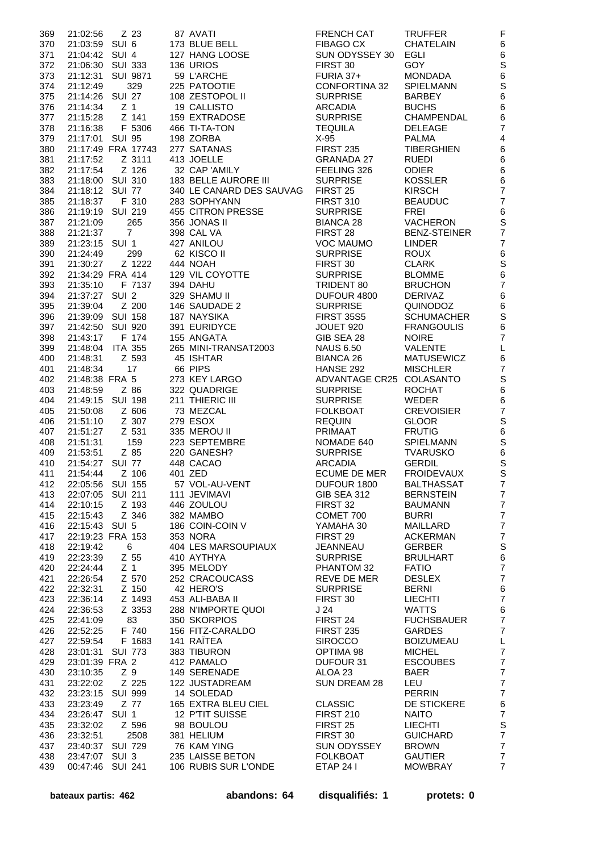| 369 | 21:02:56         | Z 23               | 87 AVATI                 | <b>FRENCH CAT</b>        | <b>TRUFFER</b>      | $\mathsf F$      |
|-----|------------------|--------------------|--------------------------|--------------------------|---------------------|------------------|
| 370 | 21:03:59 SUI 6   |                    | 173 BLUE BELL            | <b>FIBAGO CX</b>         | <b>CHATELAIN</b>    | $\,6$            |
| 371 | 21:04:42 SUI 4   |                    | 127 HANG LOOSE           | SUN ODYSSEY 30           | <b>EGLI</b>         | $\,6$            |
|     |                  |                    |                          |                          |                     |                  |
| 372 |                  | 21:06:30 SUI 333   | 136 URIOS                | FIRST 30                 | <b>GOY</b>          | S                |
| 373 | 21:12:31         | <b>SUI 9871</b>    | 59 L'ARCHE               | FURIA 37+                | <b>MONDADA</b>      | $\,6$            |
| 374 | 21:12:49         | 329                | 225 PATOOTIE             | <b>CONFORTINA 32</b>     | <b>SPIELMANN</b>    | S                |
| 375 | 21:14:26 SUI 27  |                    | 108 ZESTOPOL II          | <b>SURPRISE</b>          | <b>BARBEY</b>       | $\,6$            |
|     |                  |                    |                          |                          |                     |                  |
| 376 | 21:14:34         | Z <sub>1</sub>     | 19 CALLISTO              | <b>ARCADIA</b>           | <b>BUCHS</b>        | $\,6$            |
| 377 | 21:15:28         | Z 141              | 159 EXTRADOSE            | <b>SURPRISE</b>          | <b>CHAMPENDAL</b>   | 6                |
| 378 | 21:16:38         | F 5306             | 466 TI-TA-TON            | <b>TEQUILA</b>           | <b>DELEAGE</b>      | $\overline{7}$   |
|     |                  |                    |                          |                          |                     |                  |
| 379 | 21:17:01 SUI 95  |                    | 198 ZORBA                | $X-95$                   | <b>PALMA</b>        | $\overline{4}$   |
| 380 |                  | 21:17:49 FRA 17743 | 277 SATANAS              | <b>FIRST 235</b>         | <b>TIBERGHIEN</b>   | $\,6$            |
| 381 | 21:17:52         | Z 3111             | 413 JOELLE               | <b>GRANADA 27</b>        | <b>RUEDI</b>        | $\,6$            |
|     |                  |                    |                          |                          |                     |                  |
| 382 | 21:17:54         | Z 126              | 32 CAP 'AMILY            | FEELING 326              | <b>ODIER</b>        | $\,6$            |
| 383 |                  | 21:18:00 SUI 310   | 183 BELLE AURORE III     | <b>SURPRISE</b>          | <b>KOSSLER</b>      | $\,6$            |
| 384 | 21:18:12         | <b>SUI 77</b>      | 340 LE CANARD DES SAUVAG | FIRST 25                 | <b>KIRSCH</b>       | $\overline{7}$   |
| 385 | 21:18:37         | F 310              | 283 SOPHYANN             | <b>FIRST 310</b>         | <b>BEAUDUC</b>      | $\overline{7}$   |
|     |                  |                    |                          |                          |                     |                  |
| 386 |                  | 21:19:19 SUI 219   | 455 CITRON PRESSE        | <b>SURPRISE</b>          | <b>FREI</b>         | $\,6$            |
| 387 | 21:21:09         | 265                | 356 JONAS II             | <b>BIANCA 28</b>         | <b>VACHERON</b>     | S                |
| 388 | 21:21:37         | $\overline{7}$     | 398 CAL VA               | FIRST 28                 | <b>BENZ-STEINER</b> | $\overline{7}$   |
|     |                  |                    |                          |                          |                     |                  |
| 389 | 21:23:15 SUI 1   |                    | 427 ANILOU               | <b>VOC MAUMO</b>         | <b>LINDER</b>       | $\overline{7}$   |
| 390 | 21:24:49         | 299                | 62 KISCO II              | <b>SURPRISE</b>          | <b>ROUX</b>         | $\,6$            |
| 391 | 21:30:27         | Z 1222             | 444 NOAH                 | FIRST 30                 | <b>CLARK</b>        | S                |
| 392 |                  | 21:34:29 FRA 414   | 129 VIL COYOTTE          | <b>SURPRISE</b>          | <b>BLOMME</b>       | $\,6$            |
|     |                  |                    |                          |                          |                     |                  |
| 393 | 21:35:10         | F 7137             | 394 DAHU                 | TRIDENT 80               | <b>BRUCHON</b>      | $\overline{7}$   |
| 394 | 21:37:27 SUI 2   |                    | 329 SHAMU II             | DUFOUR 4800              | <b>DERIVAZ</b>      | $\,6$            |
| 395 | 21:39:04         | Z 200              | 146 SAUDADE 2            | <b>SURPRISE</b>          | QUINODOZ            | 6                |
|     |                  |                    |                          |                          |                     |                  |
| 396 |                  | 21:39:09 SUI 158   | 187 NAYSIKA              | <b>FIRST 35S5</b>        | <b>SCHUMACHER</b>   | S                |
| 397 |                  | 21:42:50 SUI 920   | 391 EURIDYCE             | JOUET 920                | <b>FRANGOULIS</b>   | $\,6$            |
| 398 | 21:43:17         | F 174              | 155 ANGATA               | GIB SEA 28               | <b>NOIRE</b>        | $\overline{7}$   |
| 399 | 21:48:04         | <b>ITA 355</b>     | 265 MINI-TRANSAT2003     | <b>NAUS 6.50</b>         | <b>VALENTE</b>      | L                |
|     |                  |                    |                          |                          |                     |                  |
| 400 | 21:48:31         | Z 593              | 45 ISHTAR                | <b>BIANCA 26</b>         | <b>MATUSEWICZ</b>   | $6\phantom{1}6$  |
| 401 | 21:48:34         | 17                 | 66 PIPS                  | HANSE 292                | <b>MISCHLER</b>     | $\overline{7}$   |
| 402 | 21:48:38 FRA 5   |                    | 273 KEY LARGO            | ADVANTAGE CR25 COLASANTO |                     | S                |
| 403 | 21:48:59         | Z 86               | 322 QUADRIGE             | <b>SURPRISE</b>          | <b>ROCHAT</b>       | $6\phantom{1}6$  |
| 404 |                  | 21:49:15 SUI 198   | 211 THIERIC III          | <b>SURPRISE</b>          | <b>WEDER</b>        | $6\phantom{a}$   |
|     |                  |                    |                          |                          |                     |                  |
| 405 | 21:50:08         | Z 606              | 73 MEZCAL                | <b>FOLKBOAT</b>          | <b>CREVOISIER</b>   | $\overline{7}$   |
| 406 | 21:51:10         | Z 307              | 279 ESOX                 | <b>REQUIN</b>            | <b>GLOOR</b>        | S                |
| 407 | 21:51:27         | Z 531              | 335 MEROU II             | <b>PRIMAAT</b>           | <b>FRUTIG</b>       | $\,6$            |
| 408 | 21:51:31         | 159                | 223 SEPTEMBRE            | NOMADE 640               | <b>SPIELMANN</b>    | S                |
|     |                  |                    |                          |                          |                     |                  |
| 409 | 21:53:51         | Z 85               | 220 GANESH?              | <b>SURPRISE</b>          | <b>TVARUSKO</b>     | $\,6$            |
| 410 | 21:54:27         | <b>SUI 77</b>      | 448 CACAO                | <b>ARCADIA</b>           | <b>GERDIL</b>       | S                |
| 411 | 21:54:44         | Z 106              | 401 ZED                  | ECUME DE MER             | <b>FROIDEVAUX</b>   | S                |
| 412 |                  | 22:05:56 SUI 155   | 57 VOL-AU-VENT           | DUFOUR 1800              | <b>BALTHASSAT</b>   | $\overline{7}$   |
| 413 | 22:07:05         | <b>SUI 211</b>     | 111 JEVIMAVI             | <b>GIB SEA 312</b>       | <b>BERNSTEIN</b>    | $\overline{7}$   |
|     |                  |                    |                          |                          |                     |                  |
| 414 | 22:10:15         | Z 193              | 446 ZOULOU               | FIRST 32                 | <b>BAUMANN</b>      | $\overline{7}$   |
| 415 | 22:15:43         | Z 346              | 382 MAMBO                | COMET 700                | <b>BURRI</b>        | $\overline{7}$   |
| 416 | 22:15:43 SUI 5   |                    | 186 COIN-COIN V          | YAMAHA 30                | MAILLARD            | $\overline{7}$   |
| 417 |                  | 22:19:23 FRA 153   | 353 NORA                 | FIRST 29                 | <b>ACKERMAN</b>     | $\overline{7}$   |
|     |                  |                    |                          |                          |                     |                  |
| 418 | 22:19:42         | 6                  | 404 LES MARSOUPIAUX      | JEANNEAU                 | <b>GERBER</b>       | S                |
| 419 | 22:23:39         | Z 55               | 410 AYTHYA               | <b>SURPRISE</b>          | <b>BRULHART</b>     | 6                |
| 420 | 22:24:44         | Z <sub>1</sub>     | 395 MELODY               | PHANTOM 32               | <b>FATIO</b>        | $\overline{7}$   |
| 421 | 22:26:54         | Z 570              | 252 CRACOUCASS           | REVE DE MER              | <b>DESLEX</b>       | $\overline{7}$   |
|     |                  |                    |                          |                          |                     |                  |
| 422 | 22:32:31         | Z 150              | 42 HERO'S                | <b>SURPRISE</b>          | <b>BERNI</b>        | $\,6$            |
| 423 | 22:36:14         | Z 1493             | 453 ALI-BABA II          | FIRST 30                 | <b>LIECHTI</b>      | $\boldsymbol{7}$ |
| 424 | 22:36:53         | Z 3353             | 288 N'IMPORTE QUOI       | J24                      | <b>WATTS</b>        | $\,6$            |
| 425 | 22:41:09         | 83                 | 350 SKORPIOS             | FIRST 24                 | <b>FUCHSBAUER</b>   | $\overline{7}$   |
|     |                  |                    |                          |                          |                     |                  |
| 426 | 22:52:25         | F 740              | 156 FITZ-CARALDO         | <b>FIRST 235</b>         | <b>GARDES</b>       | $\overline{7}$   |
| 427 | 22:59:54         | F 1683             | 141 RAÏTEA               | <b>SIROCCO</b>           | <b>BOIZUMEAU</b>    | L                |
| 428 | 23:01:31         | <b>SUI 773</b>     | 383 TIBURON              | OPTIMA 98                | <b>MICHEL</b>       | $\overline{7}$   |
| 429 | 23:01:39 FRA 2   |                    | 412 PAMALO               | DUFOUR 31                | <b>ESCOUBES</b>     | $\overline{7}$   |
|     |                  |                    |                          |                          |                     |                  |
| 430 | 23:10:35         | Z 9                | 149 SERENADE             | ALOA 23                  | <b>BAER</b>         | $\overline{7}$   |
| 431 | 23:22:02         | Z 225              | 122 JUSTADREAM           | SUN DREAM 28             | LEU                 | $\boldsymbol{7}$ |
| 432 | 23:23:15         | <b>SUI 999</b>     | 14 SOLEDAD               |                          | <b>PERRIN</b>       | $\overline{7}$   |
| 433 | 23:23:49         | Z 77               | 165 EXTRA BLEU CIEL      | <b>CLASSIC</b>           | DE STICKERE         | $\,6$            |
| 434 | 23:26:47         | SUI 1              | 12 P'TIT SUISSE          | <b>FIRST 210</b>         | <b>NAITO</b>        | $\overline{7}$   |
|     |                  |                    |                          |                          |                     |                  |
| 435 | 23:32:02         | Z 596              | 98 BOULOU                | FIRST 25                 | <b>LIECHTI</b>      | S                |
| 436 | 23:32:51         | 2508               | 381 HELIUM               | FIRST 30                 | <b>GUICHARD</b>     | $\overline{7}$   |
| 437 | 23:40:37         | <b>SUI 729</b>     | 76 KAM YING              | <b>SUN ODYSSEY</b>       | <b>BROWN</b>        | $\overline{7}$   |
| 438 | 23:47:07         | SUI <sub>3</sub>   | 235 LAISSE BETON         | <b>FOLKBOAT</b>          | <b>GAUTIER</b>      | $\overline{7}$   |
| 439 | 00:47:46 SUI 241 |                    | 106 RUBIS SUR L'ONDE     | <b>ETAP 241</b>          | <b>MOWBRAY</b>      | 7                |
|     |                  |                    |                          |                          |                     |                  |
|     |                  |                    |                          |                          |                     |                  |